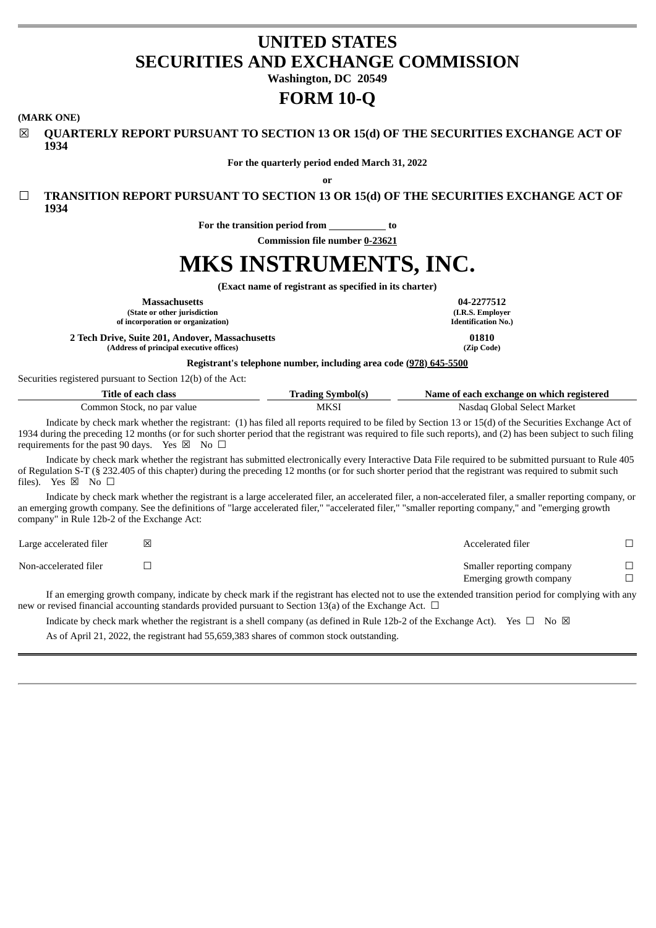# **UNITED STATES SECURITIES AND EXCHANGE COMMISSION**

**Washington, DC 20549**

# **FORM 10-Q**

**(MARK ONE)**

☒ **QUARTERLY REPORT PURSUANT TO SECTION 13 OR 15(d) OF THE SECURITIES EXCHANGE ACT OF 1934**

**For the quarterly period ended March 31, 2022**

**or**

☐ **TRANSITION REPORT PURSUANT TO SECTION 13 OR 15(d) OF THE SECURITIES EXCHANGE ACT OF 1934**

**For the transition period from to**

**Commission file number 0-23621**

# **MKS INSTRUMENTS, INC.**

**(Exact name of registrant as specified in its charter)**

| <b>Massachusetts</b>              |  |
|-----------------------------------|--|
| (State or other jurisdiction      |  |
| of incorporation or organization) |  |

**2 Tech Drive, Suite 201, Andover, Massachusetts 01810**  $(A$ ddress of **principal** executive offices)

**Massachusetts 04-2277512 (State or other jurisdiction (I.R.S. Employer of incorporation or organization) Identification No.)**

**Registrant's telephone number, including area code (978) 645-5500**

Securities registered pursuant to Section 12(b) of the Act:

| Title of each class        | Trading Svmbol(s) | Name of each exchange on which registered |
|----------------------------|-------------------|-------------------------------------------|
| Common Stock, no par value | MKSI              | Nasdag Global Select Market               |

Indicate by check mark whether the registrant: (1) has filed all reports required to be filed by Section 13 or 15(d) of the Securities Exchange Act of 1934 during the preceding 12 months (or for such shorter period that the registrant was required to file such reports), and (2) has been subject to such filing requirements for the past 90 days. Yes  $\boxtimes$  No  $\Box$ 

Indicate by check mark whether the registrant has submitted electronically every Interactive Data File required to be submitted pursuant to Rule 405 of Regulation S-T (§ 232.405 of this chapter) during the preceding 12 months (or for such shorter period that the registrant was required to submit such files). Yes  $\boxtimes$  No  $\square$ 

Indicate by check mark whether the registrant is a large accelerated filer, an accelerated filer, a non-accelerated filer, a smaller reporting company, or an emerging growth company. See the definitions of "large accelerated filer," "accelerated filer," "smaller reporting company," and "emerging growth company" in Rule 12b-2 of the Exchange Act:

| Large accelerated filer | ⊠ | Accelerated filer                                    |  |
|-------------------------|---|------------------------------------------------------|--|
| Non-accelerated filer   |   | Smaller reporting company<br>Emerging growth company |  |

If an emerging growth company, indicate by check mark if the registrant has elected not to use the extended transition period for complying with any new or revised financial accounting standards provided pursuant to Section 13(a) of the Exchange Act.  $\Box$ 

Indicate by check mark whether the registrant is a shell company (as defined in Rule 12b-2 of the Exchange Act). Yes  $\Box$  No  $\boxtimes$ 

As of April 21, 2022, the registrant had 55,659,383 shares of common stock outstanding.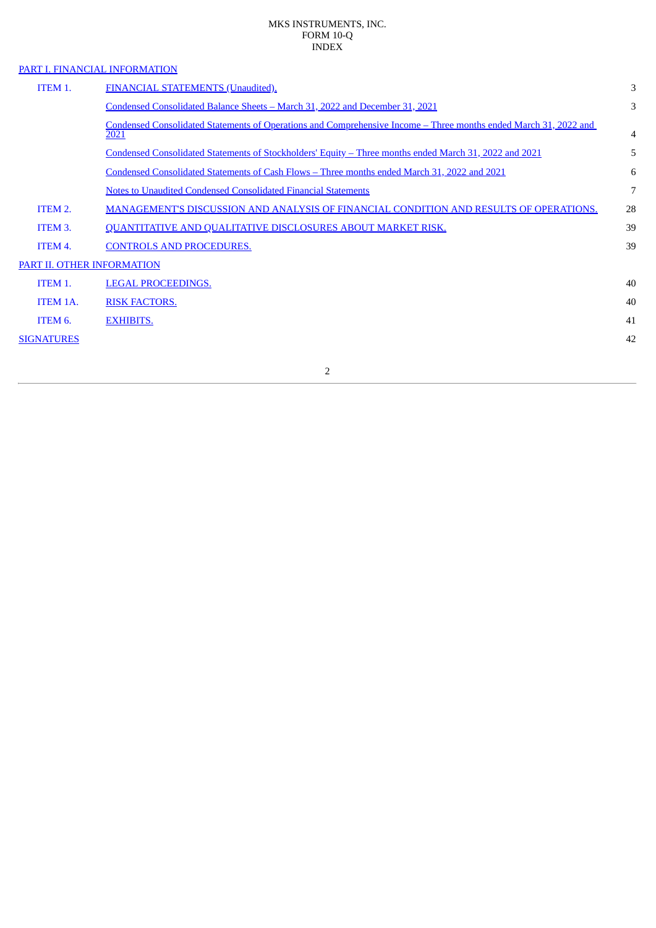#### MKS INSTRUMENTS, INC. FORM 10-Q INDEX

# PART I. FINANCIAL [INFORMATION](#page-2-0) ITEM 1. FINANCIAL [STATEMENTS](#page-2-1) (Unaudited). 3 Condensed [Consolidated](#page-2-2) Balance Sheets – March 31, 2022 and December 31, 2021 3 Condensed Consolidated Statements of Operations and [Comprehensive](#page-3-0) Income – Three months ended March 31, 2022 and  $\frac{2021}{4}$ Condensed Consolidated Statements of [Stockholders'](#page-4-0) Equity – Three months ended March 31, 2022 and 2021 5 Condensed [Consolidated](#page-5-0) Statements of Cash Flows – Three months ended March 31, 2022 and 2021 6 Notes to Unaudited Condensed [Consolidated](#page-6-0) Financial Statements 7 ITEM 2. [MANAGEMENT'S](#page-27-0) DISCUSSION AND ANALYSIS OF FINANCIAL CONDITION AND RESULTS OF OPERATIONS. 28 ITEM 3. [QUANTITATIVE](#page-38-0) AND QUALITATIVE DISCLOSURES ABOUT MARKET RISK. 39 ITEM 4. CONTROLS AND [PROCEDURES.](#page-38-1) 39 PART II. OTHER [INFORMATION](#page-39-0) ITEM 1. LEGAL [PROCEEDINGS.](#page-39-1) 40 ITEM 1A. RISK [FACTORS.](#page-39-2) 40 **ITEM 6.** [EXHIBITS.](#page-40-0) 41 [SIGNATURES](#page-41-0) 42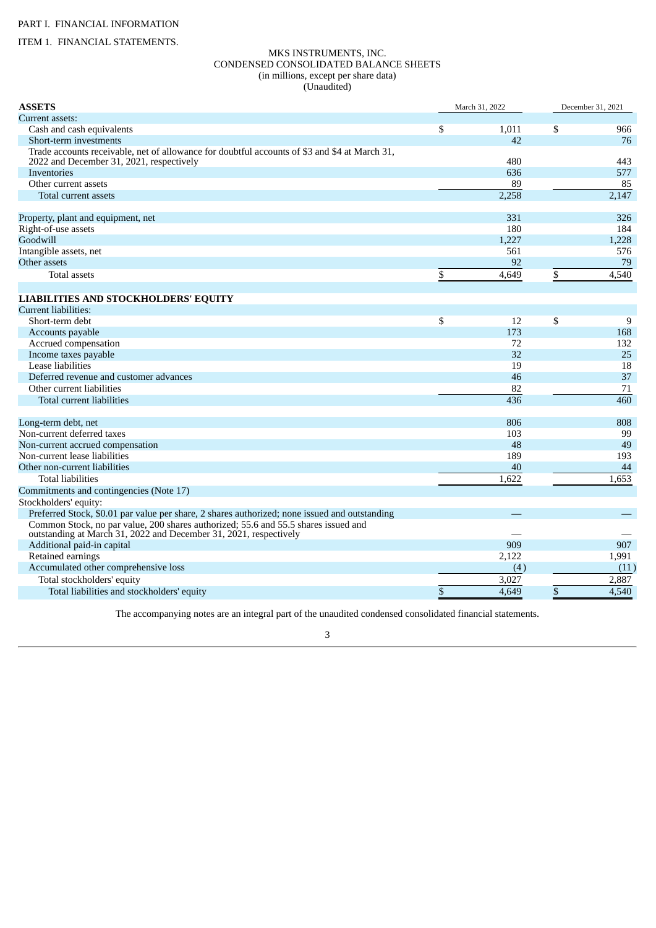<span id="page-2-2"></span><span id="page-2-1"></span><span id="page-2-0"></span>ITEM 1. FINANCIAL STATEMENTS.

#### MKS INSTRUMENTS, INC. CONDENSED CONSOLIDATED BALANCE SHEETS (in millions, except per share data) (Unaudited)

| <b>ASSETS</b>                                                                                                                                           | March 31, 2022 |                 | December 31, 2021 |
|---------------------------------------------------------------------------------------------------------------------------------------------------------|----------------|-----------------|-------------------|
| Current assets:                                                                                                                                         |                |                 |                   |
| Cash and cash equivalents                                                                                                                               | \$<br>1,011    | \$              | 966               |
| Short-term investments                                                                                                                                  | 42             |                 | 76                |
| Trade accounts receivable, net of allowance for doubtful accounts of \$3 and \$4 at March 31,                                                           |                |                 |                   |
| 2022 and December 31, 2021, respectively                                                                                                                | 480            |                 | 443               |
| Inventories                                                                                                                                             | 636            |                 | 577               |
| Other current assets                                                                                                                                    | 89             |                 | 85                |
| Total current assets                                                                                                                                    | 2,258          |                 | 2.147             |
|                                                                                                                                                         | 331            |                 | 326               |
| Property, plant and equipment, net<br>Right-of-use assets                                                                                               | 180            |                 | 184               |
| Goodwill                                                                                                                                                | 1,227          |                 | 1,228             |
| Intangible assets, net                                                                                                                                  | 561            |                 | 576               |
| Other assets                                                                                                                                            | 92             |                 | 79                |
| <b>Total assets</b>                                                                                                                                     | \$<br>4,649    | $\overline{\$}$ | 4,540             |
|                                                                                                                                                         |                |                 |                   |
| <b>LIABILITIES AND STOCKHOLDERS' EQUITY</b>                                                                                                             |                |                 |                   |
| <b>Current liabilities:</b>                                                                                                                             |                |                 |                   |
| Short-term debt                                                                                                                                         | \$<br>12       | \$              | 9                 |
| Accounts payable                                                                                                                                        | 173            |                 | 168               |
| Accrued compensation                                                                                                                                    | 72             |                 | 132               |
| Income taxes payable                                                                                                                                    | 32             |                 | 25                |
| Lease liabilities                                                                                                                                       | 19             |                 | 18                |
| Deferred revenue and customer advances                                                                                                                  | 46             |                 | 37                |
| Other current liabilities                                                                                                                               | 82             |                 | 71                |
| Total current liabilities                                                                                                                               | 436            |                 | 460               |
| Long-term debt, net                                                                                                                                     | 806            |                 | 808               |
| Non-current deferred taxes                                                                                                                              | 103            |                 | 99                |
| Non-current accrued compensation                                                                                                                        | 48             |                 | 49                |
| Non-current lease liabilities                                                                                                                           | 189            |                 | 193               |
| Other non-current liabilities                                                                                                                           | 40             |                 | 44                |
| <b>Total liabilities</b>                                                                                                                                | 1,622          |                 | 1,653             |
| Commitments and contingencies (Note 17)                                                                                                                 |                |                 |                   |
| Stockholders' equity:                                                                                                                                   |                |                 |                   |
| Preferred Stock, \$0.01 par value per share, 2 shares authorized; none issued and outstanding                                                           |                |                 |                   |
| Common Stock, no par value, 200 shares authorized; 55.6 and 55.5 shares issued and<br>outstanding at March 31, 2022 and December 31, 2021, respectively |                |                 |                   |
| Additional paid-in capital                                                                                                                              | 909            |                 | 907               |
| Retained earnings                                                                                                                                       | 2,122          |                 | 1,991             |
| Accumulated other comprehensive loss                                                                                                                    | (4)            |                 | (11)              |
| Total stockholders' equity                                                                                                                              | 3,027          |                 | 2,887             |
| Total liabilities and stockholders' equity                                                                                                              | \$<br>4,649    | $\overline{\$}$ | 4,540             |

The accompanying notes are an integral part of the unaudited condensed consolidated financial statements.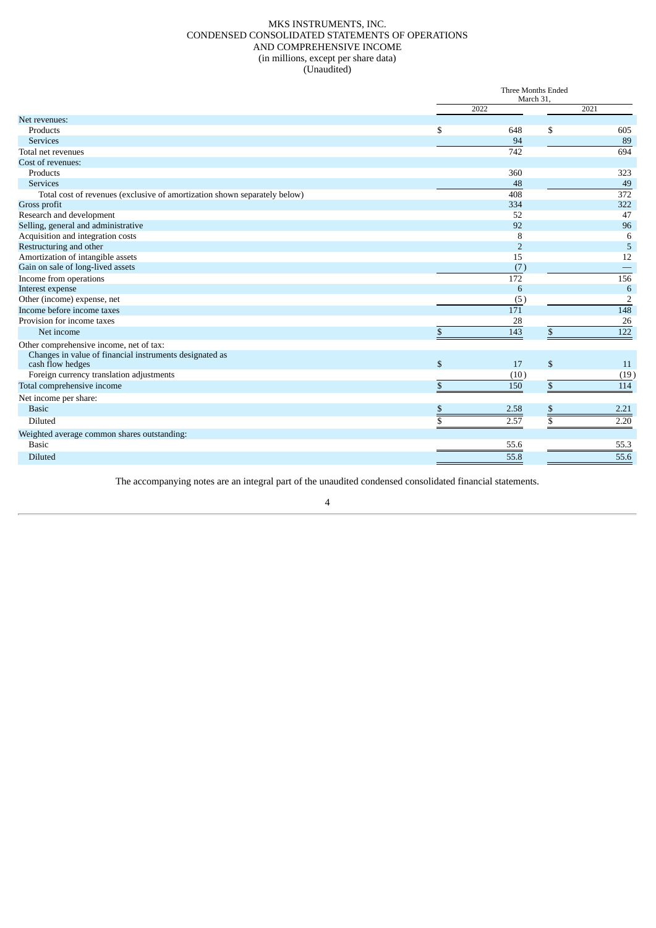#### MKS INSTRUMENTS, INC. CONDENSED CONSOLIDATED STATEMENTS OF OPERATIONS AND COMPREHENSIVE INCOME (in millions, except per share data) (Unaudited)

<span id="page-3-0"></span>

|                                                                             |              |                | Three Months Ended<br>March 31, |                |  |
|-----------------------------------------------------------------------------|--------------|----------------|---------------------------------|----------------|--|
|                                                                             |              | 2022           |                                 | 2021           |  |
| Net revenues:                                                               |              |                |                                 |                |  |
| Products                                                                    | \$           | 648            | \$                              | 605            |  |
| <b>Services</b>                                                             |              | 94             |                                 | 89             |  |
| Total net revenues                                                          |              | 742            |                                 | 694            |  |
| Cost of revenues:                                                           |              |                |                                 |                |  |
| Products                                                                    |              | 360            |                                 | 323            |  |
| <b>Services</b>                                                             |              | 48             |                                 | 49             |  |
| Total cost of revenues (exclusive of amortization shown separately below)   |              | 408            |                                 | 372            |  |
| Gross profit                                                                |              | 334            |                                 | 322            |  |
| Research and development                                                    |              | 52             |                                 | 47             |  |
| Selling, general and administrative                                         |              | 92             |                                 | 96             |  |
| Acquisition and integration costs                                           |              | 8              |                                 | 6              |  |
| Restructuring and other                                                     |              | $\overline{2}$ |                                 | 5              |  |
| Amortization of intangible assets                                           |              | 15             |                                 | 12             |  |
| Gain on sale of long-lived assets                                           |              | (7)            |                                 |                |  |
| Income from operations                                                      |              | 172            |                                 | 156            |  |
| Interest expense                                                            |              | 6              |                                 | 6              |  |
| Other (income) expense, net                                                 |              | (5)            |                                 | $\overline{2}$ |  |
| Income before income taxes                                                  |              | 171            |                                 | 148            |  |
| Provision for income taxes                                                  |              | 28             |                                 | 26             |  |
| Net income                                                                  | \$           | 143            | \$                              | 122            |  |
| Other comprehensive income, net of tax:                                     |              |                |                                 |                |  |
| Changes in value of financial instruments designated as<br>cash flow hedges | $\mathbb{S}$ | 17             | \$                              | 11             |  |
| Foreign currency translation adjustments                                    |              | (10)           |                                 | (19)           |  |
| Total comprehensive income                                                  | \$           | 150            | \$                              | 114            |  |
| Net income per share:                                                       |              |                |                                 |                |  |
| <b>Basic</b>                                                                | \$           | 2.58           | \$                              | 2.21           |  |
| Diluted                                                                     | \$           | 2.57           | \$                              | 2.20           |  |
| Weighted average common shares outstanding:                                 |              |                |                                 |                |  |
| <b>Basic</b>                                                                |              | 55.6           |                                 | 55.3           |  |
| <b>Diluted</b>                                                              |              | 55.8           |                                 | 55.6           |  |
|                                                                             |              |                |                                 |                |  |

The accompanying notes are an integral part of the unaudited condensed consolidated financial statements.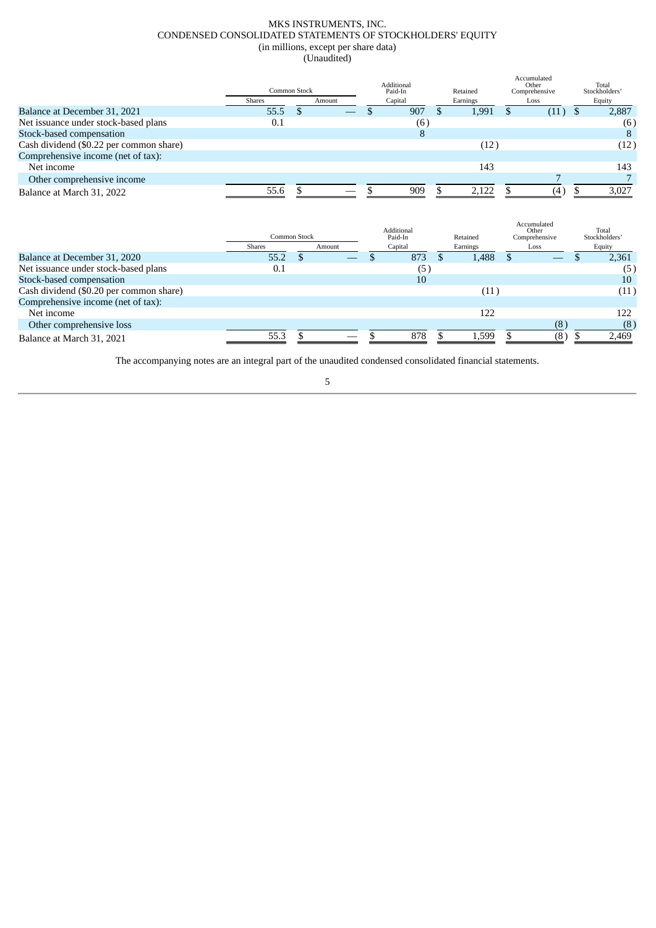#### MKS INSTRUMENTS, INC. CONDENSED CONSOLIDATED STATEMENTS OF STOCKHOLDERS' EQUITY (in millions, except per share data) (Unaudited)

<span id="page-4-0"></span>

|                                         | Common Stock<br>Shares | Amount                        | Additional<br>Paid-In<br>Capital | Retained<br>Earnings | Accumulated<br>Other<br>Comprehensive<br>Loss | Total<br>Stockholders'<br>Equity |
|-----------------------------------------|------------------------|-------------------------------|----------------------------------|----------------------|-----------------------------------------------|----------------------------------|
| Balance at December 31, 2021            | 55.5                   | $\overbrace{\phantom{aaaaa}}$ | 907                              | 1,991                | (11)                                          | 2,887                            |
| Net issuance under stock-based plans    | 0.1                    |                               | (6)                              |                      |                                               | (6)                              |
| Stock-based compensation                |                        |                               | 8                                |                      |                                               | 8                                |
| Cash dividend (\$0.22 per common share) |                        |                               |                                  | (12)                 |                                               | (12)                             |
| Comprehensive income (net of tax):      |                        |                               |                                  |                      |                                               |                                  |
| Net income                              |                        |                               |                                  | 143                  |                                               | 143                              |
| Other comprehensive income              |                        |                               |                                  |                      |                                               |                                  |
| Balance at March 31, 2022               | 55.6                   |                               | 909                              | 2,122                | 4                                             | 3.027                            |

|                                         | Common Stock  |        |         | Additional<br>Paid-In |          | Retained |      | Accumulated<br>Other<br>Comprehensive | Total<br>Stockholders' |
|-----------------------------------------|---------------|--------|---------|-----------------------|----------|----------|------|---------------------------------------|------------------------|
|                                         | <b>Shares</b> | Amount | Capital |                       | Earnings |          | Loss |                                       | Equity                 |
| Balance at December 31, 2020            | 55.2          |        |         | 873                   |          | 1.488    | S    | __                                    | 2,361                  |
| Net issuance under stock-based plans    | 0.1           |        |         | (5)                   |          |          |      |                                       | (5)                    |
| Stock-based compensation                |               |        |         | 10                    |          |          |      |                                       | 10                     |
| Cash dividend (\$0.20 per common share) |               |        |         |                       |          | (11)     |      |                                       | (11)                   |
| Comprehensive income (net of tax):      |               |        |         |                       |          |          |      |                                       |                        |
| Net income                              |               |        |         |                       |          | 122      |      |                                       | 122                    |
| Other comprehensive loss                |               |        |         |                       |          |          |      | (8)                                   | (8)                    |
| Balance at March 31, 2021               | 55.3          | $-$    |         | 878                   |          | 1,599    |      | (8)                                   | 2,469                  |

The accompanying notes are an integral part of the unaudited condensed consolidated financial statements.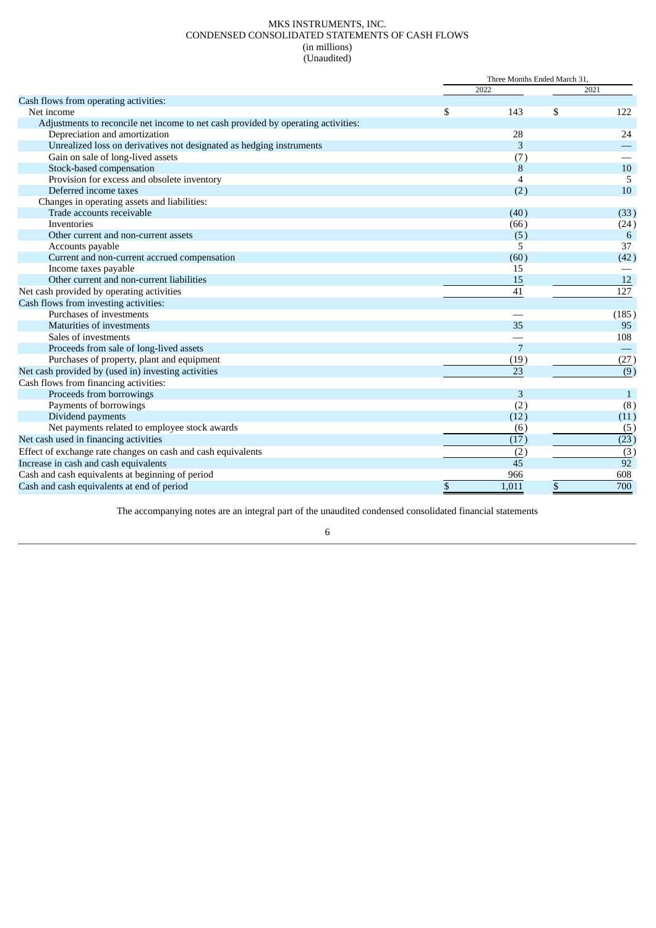#### MKS INSTRUMENTS, INC. CONDENSED CONSOLIDATED STATEMENTS OF CASH FLOWS (in millions) (Unaudited)

<span id="page-5-0"></span>

|                                                                                   | Three Months Ended March 31, |                |                           |                  |  |  |
|-----------------------------------------------------------------------------------|------------------------------|----------------|---------------------------|------------------|--|--|
|                                                                                   |                              | 2022           |                           | 2021             |  |  |
| Cash flows from operating activities:                                             |                              |                |                           |                  |  |  |
| Net income                                                                        | \$                           | 143            | \$                        | 122              |  |  |
| Adjustments to reconcile net income to net cash provided by operating activities: |                              |                |                           |                  |  |  |
| Depreciation and amortization                                                     |                              | 28             |                           | 24               |  |  |
| Unrealized loss on derivatives not designated as hedging instruments              |                              | 3              |                           |                  |  |  |
| Gain on sale of long-lived assets                                                 |                              | (7)            |                           |                  |  |  |
| Stock-based compensation                                                          |                              | 8              |                           | $10\,$           |  |  |
| Provision for excess and obsolete inventory                                       |                              | $\overline{4}$ |                           | 5                |  |  |
| Deferred income taxes                                                             |                              | (2)            |                           | 10               |  |  |
| Changes in operating assets and liabilities:                                      |                              |                |                           |                  |  |  |
| Trade accounts receivable                                                         |                              | (40)           |                           | (33)             |  |  |
| <b>Inventories</b>                                                                |                              | (66)           |                           | (24)             |  |  |
| Other current and non-current assets                                              |                              | (5)            |                           | 6                |  |  |
| Accounts payable                                                                  |                              | 5              |                           | 37               |  |  |
| Current and non-current accrued compensation                                      |                              | (60)           |                           | (42)             |  |  |
| Income taxes payable                                                              |                              | 15             |                           |                  |  |  |
| Other current and non-current liabilities                                         |                              | 15             |                           | 12               |  |  |
| Net cash provided by operating activities                                         |                              | 41             |                           | 127              |  |  |
| Cash flows from investing activities:                                             |                              |                |                           |                  |  |  |
| Purchases of investments                                                          |                              |                |                           | (185)            |  |  |
| Maturities of investments                                                         |                              | 35             |                           | 95               |  |  |
| Sales of investments                                                              |                              |                |                           | 108              |  |  |
| Proceeds from sale of long-lived assets                                           |                              | 7              |                           |                  |  |  |
| Purchases of property, plant and equipment                                        |                              | (19)           |                           | (27)             |  |  |
| Net cash provided by (used in) investing activities                               |                              | 23             |                           | (9)              |  |  |
| Cash flows from financing activities:                                             |                              |                |                           |                  |  |  |
| Proceeds from borrowings                                                          |                              | 3              |                           | $\mathbf{1}$     |  |  |
| Payments of borrowings                                                            |                              | (2)            |                           | (8)              |  |  |
| Dividend payments                                                                 |                              | (12)           |                           | (11)             |  |  |
| Net payments related to employee stock awards                                     |                              | (6)            |                           | (5)              |  |  |
| Net cash used in financing activities                                             |                              | (17)           |                           | (23)             |  |  |
| Effect of exchange rate changes on cash and cash equivalents                      |                              | (2)            |                           | (3)              |  |  |
| Increase in cash and cash equivalents                                             |                              | 45             |                           | $\overline{92}$  |  |  |
| Cash and cash equivalents at beginning of period                                  |                              | 966            |                           | 608              |  |  |
| Cash and cash equivalents at end of period                                        | \$                           | 1,011          | $\boldsymbol{\mathsf{S}}$ | $\overline{700}$ |  |  |

The accompanying notes are an integral part of the unaudited condensed consolidated financial statements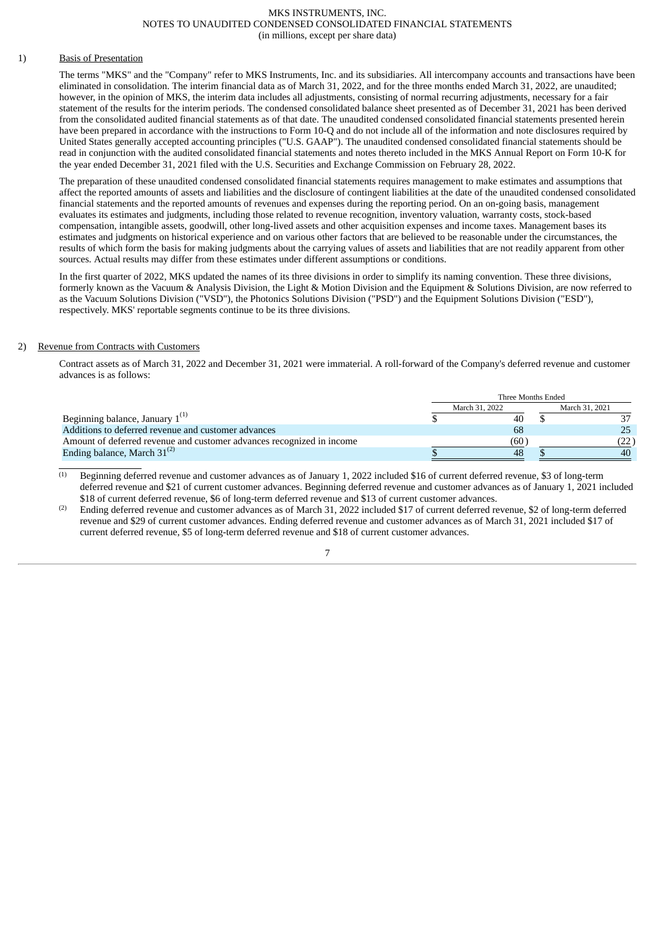# 1) Basis of Presentation

<span id="page-6-0"></span>The terms "MKS" and the "Company" refer to MKS Instruments, Inc. and its subsidiaries. All intercompany accounts and transactions have been eliminated in consolidation. The interim financial data as of March 31, 2022, and for the three months ended March 31, 2022, are unaudited; however, in the opinion of MKS, the interim data includes all adjustments, consisting of normal recurring adjustments, necessary for a fair statement of the results for the interim periods. The condensed consolidated balance sheet presented as of December 31, 2021 has been derived from the consolidated audited financial statements as of that date. The unaudited condensed consolidated financial statements presented herein have been prepared in accordance with the instructions to Form 10-Q and do not include all of the information and note disclosures required by United States generally accepted accounting principles ("U.S. GAAP"). The unaudited condensed consolidated financial statements should be read in conjunction with the audited consolidated financial statements and notes thereto included in the MKS Annual Report on Form 10-K for the year ended December 31, 2021 filed with the U.S. Securities and Exchange Commission on February 28, 2022.

The preparation of these unaudited condensed consolidated financial statements requires management to make estimates and assumptions that affect the reported amounts of assets and liabilities and the disclosure of contingent liabilities at the date of the unaudited condensed consolidated financial statements and the reported amounts of revenues and expenses during the reporting period. On an on-going basis, management evaluates its estimates and judgments, including those related to revenue recognition, inventory valuation, warranty costs, stock-based compensation, intangible assets, goodwill, other long-lived assets and other acquisition expenses and income taxes. Management bases its estimates and judgments on historical experience and on various other factors that are believed to be reasonable under the circumstances, the results of which form the basis for making judgments about the carrying values of assets and liabilities that are not readily apparent from other sources. Actual results may differ from these estimates under different assumptions or conditions.

In the first quarter of 2022, MKS updated the names of its three divisions in order to simplify its naming convention. These three divisions, formerly known as the Vacuum & Analysis Division, the Light & Motion Division and the Equipment & Solutions Division, are now referred to as the Vacuum Solutions Division ("VSD"), the Photonics Solutions Division ("PSD") and the Equipment Solutions Division ("ESD"), respectively. MKS' reportable segments continue to be its three divisions.

#### 2) Revenue from Contracts with Customers

Contract assets as of March 31, 2022 and December 31, 2021 were immaterial. A roll-forward of the Company's deferred revenue and customer advances is as follows:

|                                                                       | Three Months Ended |                |
|-----------------------------------------------------------------------|--------------------|----------------|
|                                                                       | March 31, 2022     | March 31, 2021 |
| Beginning balance, January $1^{(1)}$                                  | 40                 |                |
| Additions to deferred revenue and customer advances                   | 68                 |                |
| Amount of deferred revenue and customer advances recognized in income | (60)               | (22)           |
| Ending balance, March $31^{(2)}$                                      | 48                 | 40             |

Beginning deferred revenue and customer advances as of January 1, 2022 included \$16 of current deferred revenue, \$3 of long-term deferred revenue and \$21 of current customer advances. Beginning deferred revenue and customer advances as of January 1, 2021 included \$18 of current deferred revenue, \$6 of long-term deferred revenue and \$13 of current customer advances. (1)

Ending deferred revenue and customer advances as of March 31, 2022 included \$17 of current deferred revenue, \$2 of long-term deferred revenue and \$29 of current customer advances. Ending deferred revenue and customer advances as of March 31, 2021 included \$17 of current deferred revenue, \$5 of long-term deferred revenue and \$18 of current customer advances. (2)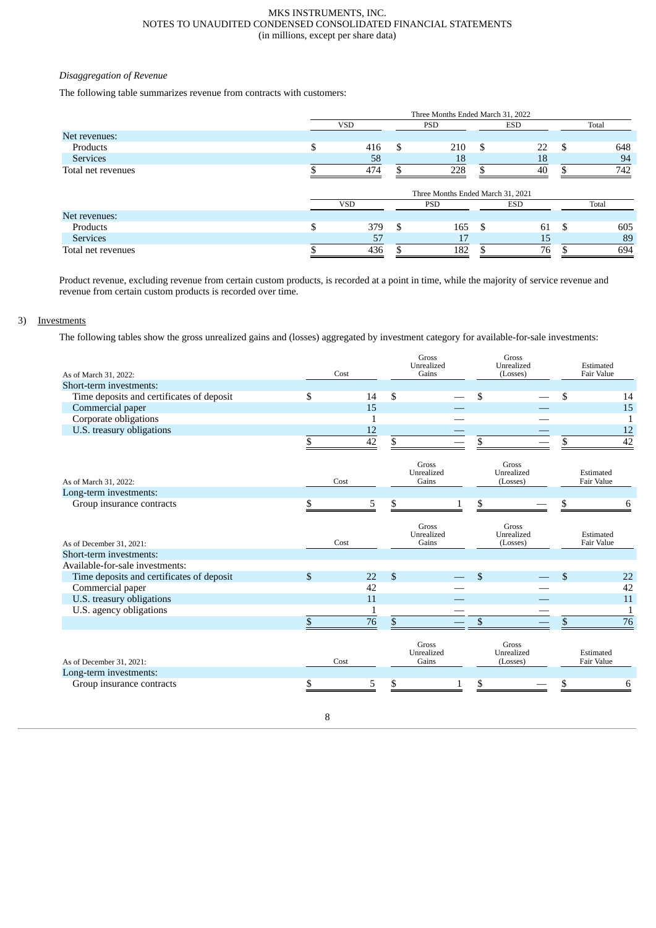# *Disaggregation of Revenue*

The following table summarizes revenue from contracts with customers:

|                    |         | Three Months Ended March 31, 2022 |     |                                   |    |     |     |       |  |
|--------------------|---------|-----------------------------------|-----|-----------------------------------|----|-----|-----|-------|--|
|                    |         | <b>VSD</b>                        |     | PSD                               |    | ESD |     | Total |  |
| Net revenues:      |         |                                   |     |                                   |    |     |     |       |  |
| Products           | ¢<br>J. | 416                               | \$  | 210                               | \$ | 22  | -\$ | 648   |  |
| <b>Services</b>    |         | 58                                |     | 18                                |    | 18  |     | 94    |  |
| Total net revenues |         | 474                               |     | 228                               |    | 40  |     | 742   |  |
|                    |         |                                   |     |                                   |    |     |     |       |  |
|                    |         |                                   |     |                                   |    |     |     |       |  |
|                    |         |                                   |     | Three Months Ended March 31, 2021 |    |     |     |       |  |
|                    |         | <b>VSD</b>                        |     | PSD                               |    | ESD |     | Total |  |
| Net revenues:      |         |                                   |     |                                   |    |     |     |       |  |
| Products           |         | 379                               | \$. | 165                               | .S | 61  | -\$ | 605   |  |
| <b>Services</b>    |         | 57                                |     | 17                                |    | 15  |     | 89    |  |
| Total net revenues |         | 436                               |     | 182                               |    | 76  |     | 694   |  |

Product revenue, excluding revenue from certain custom products, is recorded at a point in time, while the majority of service revenue and revenue from certain custom products is recorded over time.

# 3) Investments

The following tables show the gross unrealized gains and (losses) aggregated by investment category for available-for-sale investments:

|                                           |              |              | Gross<br>Unrealized          |                           | Gross<br>Unrealized             |                           | Estimated<br>Fair Value |
|-------------------------------------------|--------------|--------------|------------------------------|---------------------------|---------------------------------|---------------------------|-------------------------|
| As of March 31, 2022:                     | Cost         |              | Gains                        |                           | (Losses)                        |                           |                         |
| Short-term investments:                   |              | \$           |                              |                           |                                 |                           |                         |
| Time deposits and certificates of deposit | \$<br>14     |              |                              | \$                        |                                 | \$                        | 14                      |
| Commercial paper                          | 15           |              |                              |                           |                                 |                           | 15                      |
| Corporate obligations                     | $\mathbf{1}$ |              |                              |                           |                                 |                           | 1                       |
| U.S. treasury obligations                 | 12           |              |                              |                           |                                 |                           | 12                      |
|                                           | \$<br>42     | \$           |                              | \$                        |                                 | \$                        | 42                      |
|                                           | Cost         |              | Gross<br>Unrealized<br>Gains |                           | Gross<br>Unrealized             |                           | Estimated<br>Fair Value |
| As of March 31, 2022:                     |              |              |                              |                           | (Losses)                        |                           |                         |
| Long-term investments:                    |              |              |                              |                           |                                 |                           |                         |
| Group insurance contracts                 | \$<br>5      | S            |                              | \$                        |                                 | S                         | 6                       |
| As of December 31, 2021:                  | Cost         |              | Gross<br>Unrealized<br>Gains |                           | Gross<br>Unrealized<br>(Losses) |                           | Estimated<br>Fair Value |
| Short-term investments:                   |              |              |                              |                           |                                 |                           |                         |
| Available-for-sale investments:           |              |              |                              |                           |                                 |                           |                         |
| Time deposits and certificates of deposit | \$<br>22     | $\mathbb{S}$ |                              | $\boldsymbol{\mathsf{S}}$ |                                 | $\boldsymbol{\mathsf{S}}$ | 22                      |
| Commercial paper                          | 42           |              |                              |                           |                                 |                           | 42                      |
| U.S. treasury obligations                 | 11           |              |                              |                           |                                 |                           | 11                      |
| U.S. agency obligations                   | 1            |              |                              |                           |                                 |                           | 1                       |
|                                           | \$<br>76     | \$           |                              | \$                        |                                 | \$                        | 76                      |
| As of December 31, 2021:                  | Cost         |              | Gross<br>Unrealized<br>Gains |                           | Gross<br>Unrealized<br>(Losses) |                           | Estimated<br>Fair Value |
| Long-term investments:                    |              |              |                              |                           |                                 |                           |                         |
| Group insurance contracts                 | 5            |              |                              |                           |                                 |                           | 6                       |
|                                           |              |              |                              |                           |                                 |                           |                         |

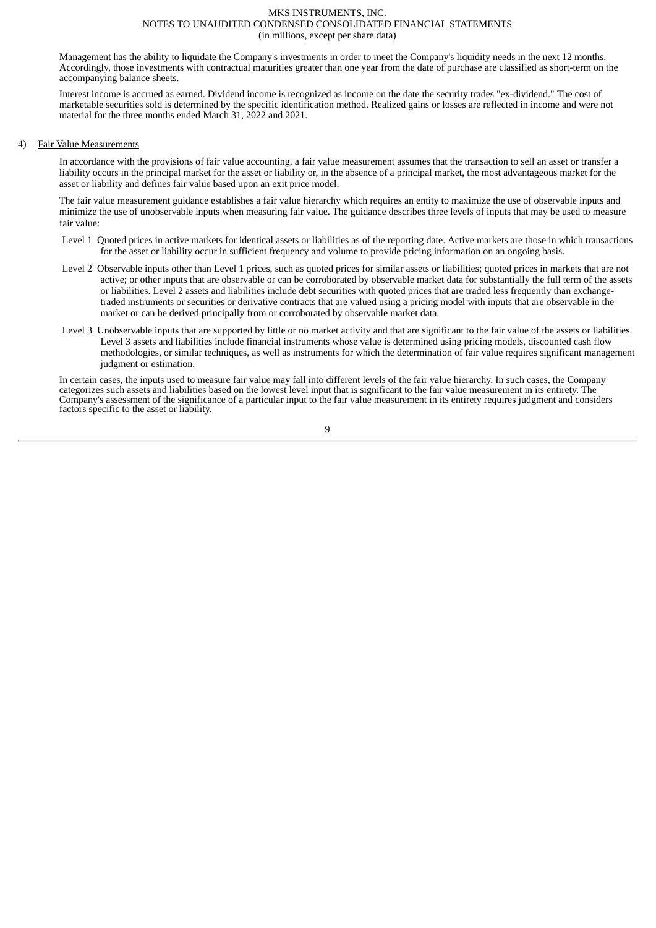Management has the ability to liquidate the Company's investments in order to meet the Company's liquidity needs in the next 12 months. Accordingly, those investments with contractual maturities greater than one year from the date of purchase are classified as short-term on the accompanying balance sheets.

Interest income is accrued as earned. Dividend income is recognized as income on the date the security trades "ex-dividend." The cost of marketable securities sold is determined by the specific identification method. Realized gains or losses are reflected in income and were not material for the three months ended March 31, 2022 and 2021.

#### 4) Fair Value Measurements

In accordance with the provisions of fair value accounting, a fair value measurement assumes that the transaction to sell an asset or transfer a liability occurs in the principal market for the asset or liability or, in the absence of a principal market, the most advantageous market for the asset or liability and defines fair value based upon an exit price model.

The fair value measurement guidance establishes a fair value hierarchy which requires an entity to maximize the use of observable inputs and minimize the use of unobservable inputs when measuring fair value. The guidance describes three levels of inputs that may be used to measure fair value:

- Level 1 Quoted prices in active markets for identical assets or liabilities as of the reporting date. Active markets are those in which transactions for the asset or liability occur in sufficient frequency and volume to provide pricing information on an ongoing basis.
- Level 2 Observable inputs other than Level 1 prices, such as quoted prices for similar assets or liabilities; quoted prices in markets that are not active; or other inputs that are observable or can be corroborated by observable market data for substantially the full term of the assets or liabilities. Level 2 assets and liabilities include debt securities with quoted prices that are traded less frequently than exchangetraded instruments or securities or derivative contracts that are valued using a pricing model with inputs that are observable in the market or can be derived principally from or corroborated by observable market data.
- Level 3 Unobservable inputs that are supported by little or no market activity and that are significant to the fair value of the assets or liabilities. Level 3 assets and liabilities include financial instruments whose value is determined using pricing models, discounted cash flow methodologies, or similar techniques, as well as instruments for which the determination of fair value requires significant management judgment or estimation.

In certain cases, the inputs used to measure fair value may fall into different levels of the fair value hierarchy. In such cases, the Company categorizes such assets and liabilities based on the lowest level input that is significant to the fair value measurement in its entirety. The Company's assessment of the significance of a particular input to the fair value measurement in its entirety requires judgment and considers factors specific to the asset or liability.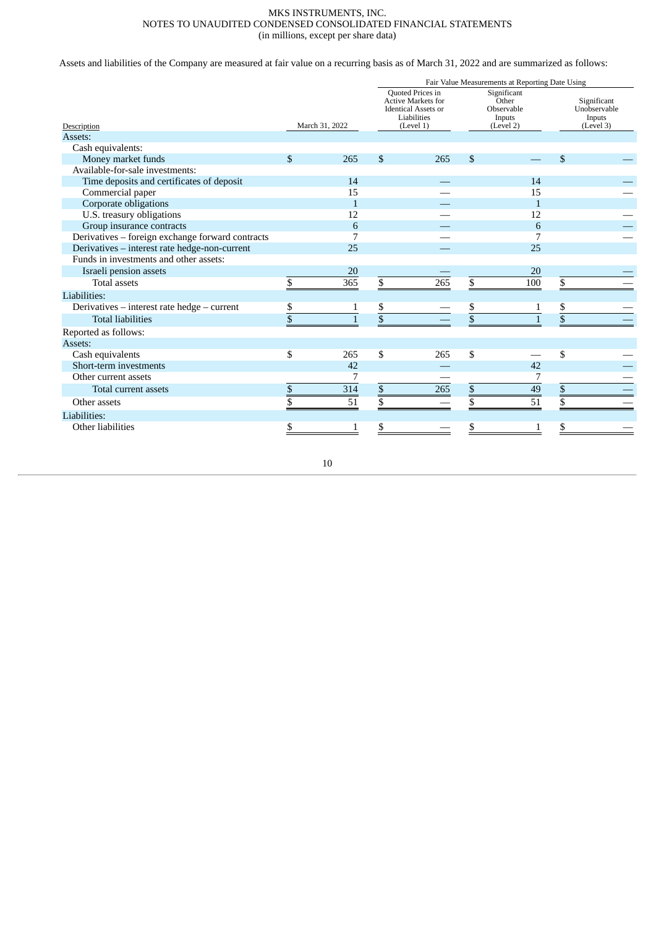Assets and liabilities of the Company are measured at fair value on a recurring basis as of March 31, 2022 and are summarized as follows:

|                                                  |                         |                | Fair Value Measurements at Reporting Date Using |                                                                                                         |    |                                                           |                         |                                                    |  |
|--------------------------------------------------|-------------------------|----------------|-------------------------------------------------|---------------------------------------------------------------------------------------------------------|----|-----------------------------------------------------------|-------------------------|----------------------------------------------------|--|
| Description                                      |                         | March 31, 2022 |                                                 | Quoted Prices in<br><b>Active Markets for</b><br><b>Identical Assets or</b><br>Liabilities<br>(Level 1) |    | Significant<br>Other<br>Observable<br>Inputs<br>(Level 2) |                         | Significant<br>Unobservable<br>Inputs<br>(Level 3) |  |
| Assets:                                          |                         |                |                                                 |                                                                                                         |    |                                                           |                         |                                                    |  |
| Cash equivalents:                                |                         |                |                                                 |                                                                                                         |    |                                                           |                         |                                                    |  |
| Money market funds                               | $\mathbf{s}$            | 265            | \$                                              | 265                                                                                                     | \$ |                                                           | \$                      |                                                    |  |
| Available-for-sale investments:                  |                         |                |                                                 |                                                                                                         |    |                                                           |                         |                                                    |  |
| Time deposits and certificates of deposit        |                         | 14             |                                                 |                                                                                                         |    | 14                                                        |                         |                                                    |  |
| Commercial paper                                 |                         | 15             |                                                 |                                                                                                         |    | 15                                                        |                         |                                                    |  |
| Corporate obligations                            |                         | $\mathbf{1}$   |                                                 |                                                                                                         |    | $\mathbf{1}$                                              |                         |                                                    |  |
| U.S. treasury obligations                        |                         | 12             |                                                 |                                                                                                         |    | 12                                                        |                         |                                                    |  |
| Group insurance contracts                        |                         | 6              |                                                 |                                                                                                         |    | 6                                                         |                         |                                                    |  |
| Derivatives - foreign exchange forward contracts |                         | 7              |                                                 |                                                                                                         |    | 7                                                         |                         |                                                    |  |
| Derivatives - interest rate hedge-non-current    |                         | 25             |                                                 |                                                                                                         |    | 25                                                        |                         |                                                    |  |
| Funds in investments and other assets:           |                         |                |                                                 |                                                                                                         |    |                                                           |                         |                                                    |  |
| Israeli pension assets                           |                         | 20             |                                                 |                                                                                                         |    | 20                                                        |                         |                                                    |  |
| Total assets                                     | \$                      | 365            | \$                                              | $\overline{265}$                                                                                        | \$ | 100                                                       | \$                      |                                                    |  |
| Liabilities:                                     |                         |                |                                                 |                                                                                                         |    |                                                           |                         |                                                    |  |
| Derivatives - interest rate hedge - current      | \$                      | 1              | $rac{5}{5}$                                     |                                                                                                         | \$ |                                                           | \$                      |                                                    |  |
| <b>Total liabilities</b>                         | $\overline{\mathbb{S}}$ | $\mathbf{1}$   |                                                 |                                                                                                         |    | $\mathbf{1}$                                              | $\overline{\mathbb{S}}$ |                                                    |  |
| Reported as follows:                             |                         |                |                                                 |                                                                                                         |    |                                                           |                         |                                                    |  |
| Assets:                                          |                         |                |                                                 |                                                                                                         |    |                                                           |                         |                                                    |  |
| Cash equivalents                                 | \$                      | 265            | \$                                              | 265                                                                                                     | \$ |                                                           | \$                      |                                                    |  |
| Short-term investments                           |                         | 42             |                                                 |                                                                                                         |    | 42                                                        |                         |                                                    |  |
| Other current assets                             |                         | 7              |                                                 |                                                                                                         |    |                                                           |                         |                                                    |  |
| Total current assets                             | \$                      | 314            | \$                                              | $\overline{265}$                                                                                        | \$ | 49                                                        | \$                      |                                                    |  |
| Other assets                                     |                         | 51             | \$                                              |                                                                                                         |    | 51                                                        | \$                      |                                                    |  |
| Liabilities:                                     |                         |                |                                                 |                                                                                                         |    |                                                           |                         |                                                    |  |
| Other liabilities                                | \$                      | $\mathbf{1}$   | \$                                              |                                                                                                         | \$ |                                                           | \$                      |                                                    |  |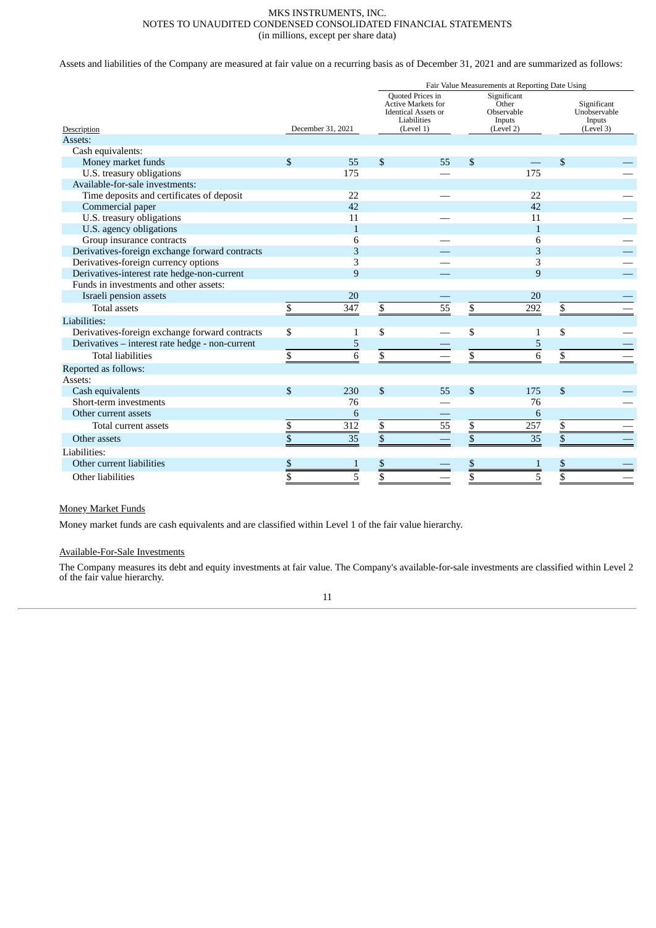Assets and liabilities of the Company are measured at fair value on a recurring basis as of December 31, 2021 and are summarized as follows:

|                                                 |                   |                | Fair Value Measurements at Reporting Date Using |                                                                                                         |    |                                                           |             |                                                    |  |  |  |
|-------------------------------------------------|-------------------|----------------|-------------------------------------------------|---------------------------------------------------------------------------------------------------------|----|-----------------------------------------------------------|-------------|----------------------------------------------------|--|--|--|
| Description                                     | December 31, 2021 |                |                                                 | Quoted Prices in<br><b>Active Markets for</b><br><b>Identical Assets or</b><br>Liabilities<br>(Level 1) |    | Significant<br>Other<br>Observable<br>Inputs<br>(Level 2) |             | Significant<br>Unobservable<br>Inputs<br>(Level 3) |  |  |  |
| Assets:                                         |                   |                |                                                 |                                                                                                         |    |                                                           |             |                                                    |  |  |  |
| Cash equivalents:                               |                   |                |                                                 |                                                                                                         |    |                                                           |             |                                                    |  |  |  |
| Money market funds                              | \$                | 55             | \$                                              | 55                                                                                                      | \$ |                                                           | \$          |                                                    |  |  |  |
| U.S. treasury obligations                       |                   | 175            |                                                 |                                                                                                         |    | 175                                                       |             |                                                    |  |  |  |
| Available-for-sale investments:                 |                   |                |                                                 |                                                                                                         |    |                                                           |             |                                                    |  |  |  |
| Time deposits and certificates of deposit       |                   | 22             |                                                 |                                                                                                         |    | 22                                                        |             |                                                    |  |  |  |
| Commercial paper                                |                   | 42             |                                                 |                                                                                                         |    | 42                                                        |             |                                                    |  |  |  |
| U.S. treasury obligations                       |                   | 11             |                                                 |                                                                                                         |    | 11                                                        |             |                                                    |  |  |  |
| U.S. agency obligations                         |                   | $\mathbf{1}$   |                                                 |                                                                                                         |    | $\mathbf{1}$                                              |             |                                                    |  |  |  |
| Group insurance contracts                       |                   | 6              |                                                 |                                                                                                         |    | 6                                                         |             |                                                    |  |  |  |
| Derivatives-foreign exchange forward contracts  |                   | 3              |                                                 |                                                                                                         |    | 3                                                         |             |                                                    |  |  |  |
| Derivatives-foreign currency options            |                   | 3              |                                                 |                                                                                                         |    | 3                                                         |             |                                                    |  |  |  |
| Derivatives-interest rate hedge-non-current     |                   | $\overline{9}$ |                                                 |                                                                                                         |    | 9                                                         |             |                                                    |  |  |  |
| Funds in investments and other assets:          |                   |                |                                                 |                                                                                                         |    |                                                           |             |                                                    |  |  |  |
| Israeli pension assets                          |                   | 20             |                                                 |                                                                                                         |    | 20                                                        |             |                                                    |  |  |  |
| <b>Total assets</b>                             | \$                | 347            | \$                                              | $\overline{55}$                                                                                         | \$ | 292                                                       | \$          |                                                    |  |  |  |
| Liabilities:                                    |                   |                |                                                 |                                                                                                         |    |                                                           |             |                                                    |  |  |  |
| Derivatives-foreign exchange forward contracts  | \$                | $\mathbf{1}$   | \$                                              |                                                                                                         | \$ | $\mathbf{1}$                                              | \$          |                                                    |  |  |  |
| Derivatives - interest rate hedge - non-current |                   | 5              |                                                 |                                                                                                         |    | 5                                                         |             |                                                    |  |  |  |
| <b>Total liabilities</b>                        | \$                | 6              | \$                                              |                                                                                                         | \$ | 6                                                         | \$          |                                                    |  |  |  |
| Reported as follows:                            |                   |                |                                                 |                                                                                                         |    |                                                           |             |                                                    |  |  |  |
| Assets:                                         |                   |                |                                                 |                                                                                                         |    |                                                           |             |                                                    |  |  |  |
| Cash equivalents                                | \$                | 230            | \$                                              | 55                                                                                                      | \$ | 175                                                       | \$          |                                                    |  |  |  |
| Short-term investments                          |                   | 76             |                                                 |                                                                                                         |    | 76                                                        |             |                                                    |  |  |  |
| Other current assets                            |                   | 6              |                                                 |                                                                                                         |    | 6                                                         |             |                                                    |  |  |  |
| Total current assets                            | $\frac{3}{5}$     | 312            | $\frac{1}{2}$                                   | $\overline{55}$                                                                                         | \$ | 257                                                       |             |                                                    |  |  |  |
| Other assets                                    | \$                | 35             | \$                                              |                                                                                                         | \$ | 35                                                        | $rac{5}{5}$ |                                                    |  |  |  |
| Liabilities:                                    |                   |                |                                                 |                                                                                                         |    |                                                           |             |                                                    |  |  |  |
| Other current liabilities                       | \$                | $\mathbf{1}$   | \$                                              |                                                                                                         | \$ |                                                           | \$          |                                                    |  |  |  |
| Other liabilities                               | \$                | 5              | \$                                              |                                                                                                         | \$ | 5                                                         | \$          |                                                    |  |  |  |

# Money Market Funds

Money market funds are cash equivalents and are classified within Level 1 of the fair value hierarchy.

# Available-For-Sale Investments

The Company measures its debt and equity investments at fair value. The Company's available-for-sale investments are classified within Level 2 of the fair value hierarchy.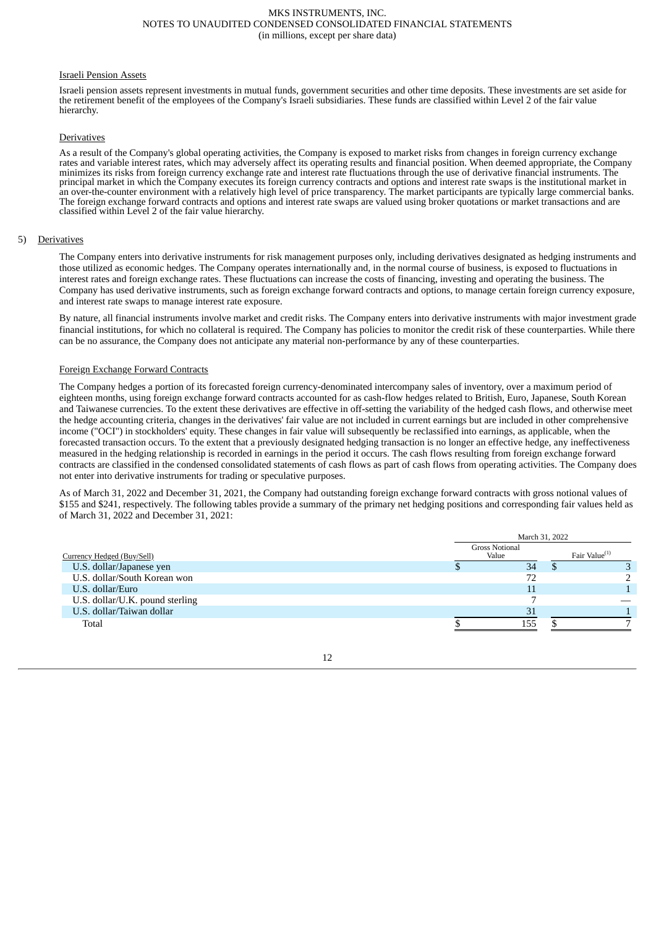#### Israeli Pension Assets

Israeli pension assets represent investments in mutual funds, government securities and other time deposits. These investments are set aside for the retirement benefit of the employees of the Company's Israeli subsidiaries. These funds are classified within Level 2 of the fair value hierarchy.

#### **Derivatives**

As a result of the Company's global operating activities, the Company is exposed to market risks from changes in foreign currency exchange rates and variable interest rates, which may adversely affect its operating results and financial position. When deemed appropriate, the Company minimizes its risks from foreign currency exchange rate and interest rate fluctuations through the use of derivative financial instruments. The principal market in which the Company executes its foreign currency contracts and options and interest rate swaps is the institutional market in an over-the-counter environment with a relatively high level of price transparency. The market participants are typically large commercial banks. The foreign exchange forward contracts and options and interest rate swaps are valued using broker quotations or market transactions and are classified within Level 2 of the fair value hierarchy.

# 5) Derivatives

The Company enters into derivative instruments for risk management purposes only, including derivatives designated as hedging instruments and those utilized as economic hedges. The Company operates internationally and, in the normal course of business, is exposed to fluctuations in interest rates and foreign exchange rates. These fluctuations can increase the costs of financing, investing and operating the business. The Company has used derivative instruments, such as foreign exchange forward contracts and options, to manage certain foreign currency exposure, and interest rate swaps to manage interest rate exposure.

By nature, all financial instruments involve market and credit risks. The Company enters into derivative instruments with major investment grade financial institutions, for which no collateral is required. The Company has policies to monitor the credit risk of these counterparties. While there can be no assurance, the Company does not anticipate any material non-performance by any of these counterparties.

#### Foreign Exchange Forward Contracts

The Company hedges a portion of its forecasted foreign currency-denominated intercompany sales of inventory, over a maximum period of eighteen months, using foreign exchange forward contracts accounted for as cash-flow hedges related to British, Euro, Japanese, South Korean and Taiwanese currencies. To the extent these derivatives are effective in off-setting the variability of the hedged cash flows, and otherwise meet the hedge accounting criteria, changes in the derivatives' fair value are not included in current earnings but are included in other comprehensive income ("OCI") in stockholders' equity. These changes in fair value will subsequently be reclassified into earnings, as applicable, when the forecasted transaction occurs. To the extent that a previously designated hedging transaction is no longer an effective hedge, any ineffectiveness measured in the hedging relationship is recorded in earnings in the period it occurs. The cash flows resulting from foreign exchange forward contracts are classified in the condensed consolidated statements of cash flows as part of cash flows from operating activities. The Company does not enter into derivative instruments for trading or speculative purposes.

As of March 31, 2022 and December 31, 2021, the Company had outstanding foreign exchange forward contracts with gross notional values of \$155 and \$241, respectively. The following tables provide a summary of the primary net hedging positions and corresponding fair values held as of March 31, 2022 and December 31, 2021:

|                                 | March 31, 2022                 |     |  |  |  |  |  |  |  |
|---------------------------------|--------------------------------|-----|--|--|--|--|--|--|--|
| Currency Hedged (Buy/Sell)      | <b>Gross Notional</b><br>Value |     |  |  |  |  |  |  |  |
| U.S. dollar/Japanese yen        |                                | 34  |  |  |  |  |  |  |  |
| U.S. dollar/South Korean won    |                                |     |  |  |  |  |  |  |  |
| U.S. dollar/Euro                |                                |     |  |  |  |  |  |  |  |
| U.S. dollar/U.K. pound sterling |                                |     |  |  |  |  |  |  |  |
| U.S. dollar/Taiwan dollar       |                                | 31  |  |  |  |  |  |  |  |
| Total                           |                                | 155 |  |  |  |  |  |  |  |

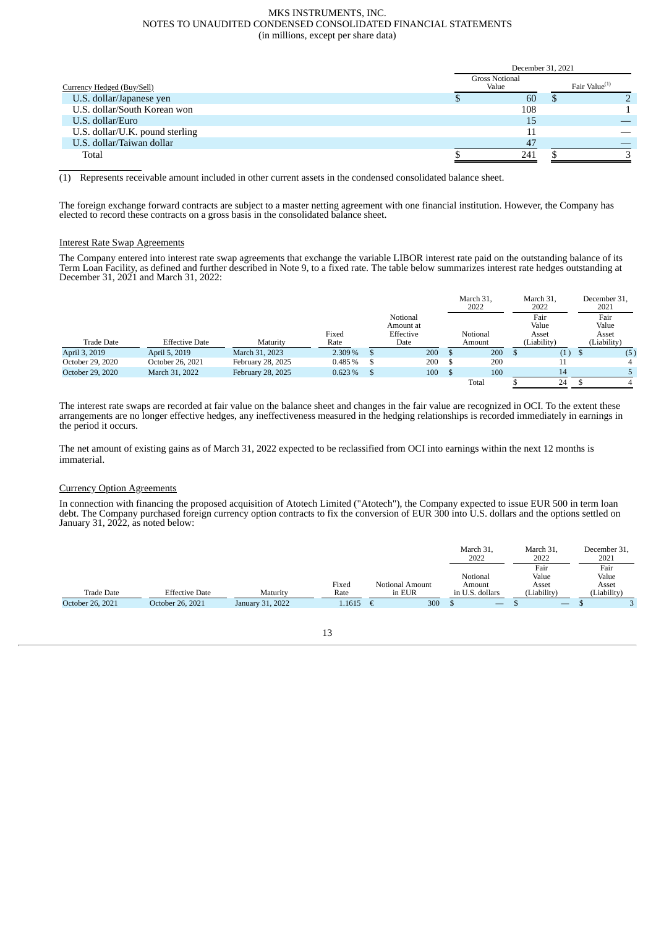|                                 | December 31, 2021       |  |                  |  |  |  |  |  |  |
|---------------------------------|-------------------------|--|------------------|--|--|--|--|--|--|
| Currency Hedged (Buy/Sell)      | Gross Notional<br>Value |  | Fair Value $(1)$ |  |  |  |  |  |  |
| U.S. dollar/Japanese yen        | 60                      |  |                  |  |  |  |  |  |  |
| U.S. dollar/South Korean won    | 108                     |  |                  |  |  |  |  |  |  |
| U.S. dollar/Euro                | 15                      |  |                  |  |  |  |  |  |  |
| U.S. dollar/U.K. pound sterling | 11                      |  |                  |  |  |  |  |  |  |
| U.S. dollar/Taiwan dollar       | 47                      |  |                  |  |  |  |  |  |  |
| Total                           | 241                     |  |                  |  |  |  |  |  |  |

(1) Represents receivable amount included in other current assets in the condensed consolidated balance sheet.

The foreign exchange forward contracts are subject to a master netting agreement with one financial institution. However, the Company has elected to record these contracts on a gross basis in the consolidated balance sheet.

#### Interest Rate Swap Agreements

The Company entered into interest rate swap agreements that exchange the variable LIBOR interest rate paid on the outstanding balance of its Term Loan Facility, as defined and further described in Note 9, to a fixed rate. The table below summarizes interest rate hedges outstanding at December 31, 2021 and March 31, 2022:

|                   |                       |                   |               |   |                                            |      | March 31.<br>2022  | March 31,<br>2022                     |     | December 31,<br>2021                  |
|-------------------|-----------------------|-------------------|---------------|---|--------------------------------------------|------|--------------------|---------------------------------------|-----|---------------------------------------|
| <b>Trade Date</b> | <b>Effective Date</b> | Maturity          | Fixed<br>Rate |   | Notional<br>Amount at<br>Effective<br>Date |      | Notional<br>Amount | Fair<br>Value<br>Asset<br>(Liability) |     | Fair<br>Value<br>Asset<br>(Liability) |
| April 3, 2019     | April 5, 2019         | March 31, 2023    | 2.309 %       |   | 200                                        |      | 200                | (1)                                   | - 5 | (5)                                   |
| October 29, 2020  | October 26, 2021      | February 28, 2025 | 0.485%        | S | 200                                        | - \$ | 200                | 11                                    |     | 4                                     |
| October 29, 2020  | March 31, 2022        | February 28, 2025 | 0.623%        |   | 100                                        |      | 100                | 14                                    |     |                                       |
|                   |                       |                   |               |   |                                            |      | Total              | 24                                    |     |                                       |

The interest rate swaps are recorded at fair value on the balance sheet and changes in the fair value are recognized in OCI. To the extent these arrangements are no longer effective hedges, any ineffectiveness measured in the hedging relationships is recorded immediately in earnings in the period it occurs.

The net amount of existing gains as of March 31, 2022 expected to be reclassified from OCI into earnings within the next 12 months is immaterial.

#### Currency Option Agreements

In connection with financing the proposed acquisition of Atotech Limited ("Atotech"), the Company expected to issue EUR 500 in term loan debt. The Company purchased foreign currency option contracts to fix the conversion of EUR 300 into U.S. dollars and the options settled on January 31, 2022, as noted below:

|                   |                       |                  |               |                           |                                       | March 31,<br>2022               |  | March 31.<br>2022                     | December 31,<br>2021                  |
|-------------------|-----------------------|------------------|---------------|---------------------------|---------------------------------------|---------------------------------|--|---------------------------------------|---------------------------------------|
| <b>Trade Date</b> | <b>Effective Date</b> | Maturity         | Fixed<br>Rate | Notional Amount<br>in EUR | Notional<br>Amount<br>in U.S. dollars |                                 |  | Fair<br>Value<br>Asset<br>(Liability) | Fair<br>Value<br>Asset<br>(Liability) |
| October 26, 2021  | October 26, 2021      | January 31, 2022 | 1.1615        | 300                       |                                       | $\hspace{0.1mm}-\hspace{0.1mm}$ |  |                                       |                                       |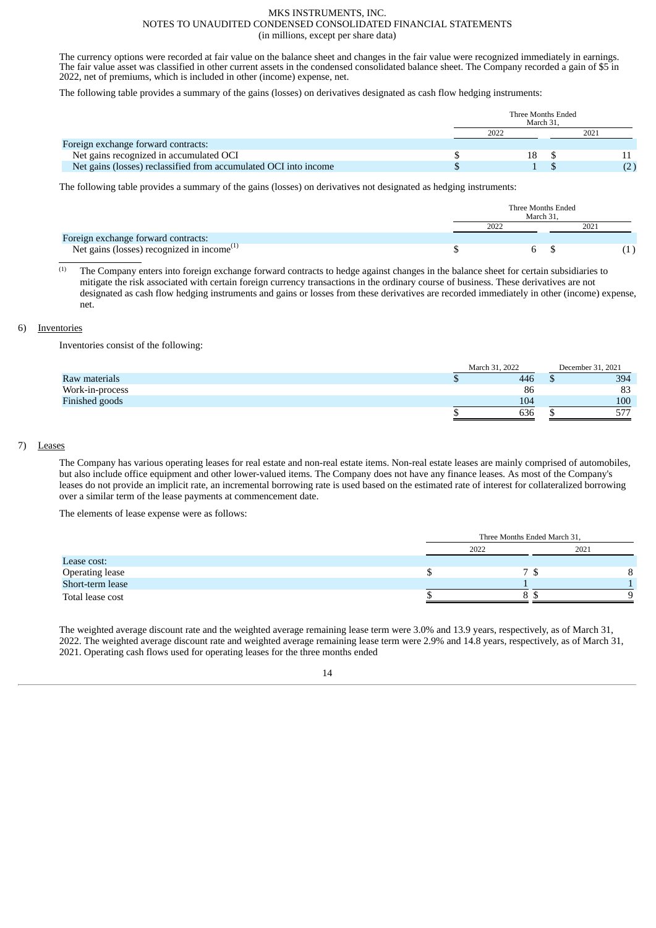The currency options were recorded at fair value on the balance sheet and changes in the fair value were recognized immediately in earnings. The fair value asset was classified in other current assets in the condensed consolidated balance sheet. The Company recorded a gain of \$5 in 2022, net of premiums, which is included in other (income) expense, net.

The following table provides a summary of the gains (losses) on derivatives designated as cash flow hedging instruments:

|                                                                  | Three Months Ended<br>March 31 |      |  |      |  |  |  |
|------------------------------------------------------------------|--------------------------------|------|--|------|--|--|--|
|                                                                  |                                | 2022 |  | 2021 |  |  |  |
| Foreign exchange forward contracts:                              |                                |      |  |      |  |  |  |
| Net gains recognized in accumulated OCI                          |                                | 18   |  |      |  |  |  |
| Net gains (losses) reclassified from accumulated OCI into income |                                |      |  |      |  |  |  |

The following table provides a summary of the gains (losses) on derivatives not designated as hedging instruments:

|                                               |      | Three Months Ended<br>March 31 |  |                |
|-----------------------------------------------|------|--------------------------------|--|----------------|
|                                               | 2022 |                                |  | 2021           |
| Foreign exchange forward contracts:           |      |                                |  |                |
| Net gains (losses) recognized in income $(1)$ |      |                                |  | $\overline{v}$ |

The Company enters into foreign exchange forward contracts to hedge against changes in the balance sheet for certain subsidiaries to mitigate the risk associated with certain foreign currency transactions in the ordinary course of business. These derivatives are not designated as cash flow hedging instruments and gains or losses from these derivatives are recorded immediately in other (income) expense, net. (1)

#### 6) Inventories

Inventories consist of the following:

|                 | March 31, 2022 | December 31, 2021 |           |  |  |
|-----------------|----------------|-------------------|-----------|--|--|
| Raw materials   | 446            |                   | 394       |  |  |
| Work-in-process | 86             |                   | 83        |  |  |
| Finished goods  | 104            |                   | 100       |  |  |
|                 | 636            |                   | 577<br>ىر |  |  |

# 7) Leases

The Company has various operating leases for real estate and non-real estate items. Non-real estate leases are mainly comprised of automobiles, but also include office equipment and other lower-valued items. The Company does not have any finance leases. As most of the Company's leases do not provide an implicit rate, an incremental borrowing rate is used based on the estimated rate of interest for collateralized borrowing over a similar term of the lease payments at commencement date.

The elements of lease expense were as follows:

|                        | Three Months Ended March 31, |      |   |
|------------------------|------------------------------|------|---|
|                        | 2022                         | 2021 |   |
| Lease cost:            |                              |      |   |
| <b>Operating lease</b> |                              |      | Զ |
| Short-term lease       |                              |      |   |
| Total lease cost       |                              |      |   |

The weighted average discount rate and the weighted average remaining lease term were 3.0% and 13.9 years, respectively, as of March 31, 2022. The weighted average discount rate and weighted average remaining lease term were 2.9% and 14.8 years, respectively, as of March 31, 2021. Operating cash flows used for operating leases for the three months ended

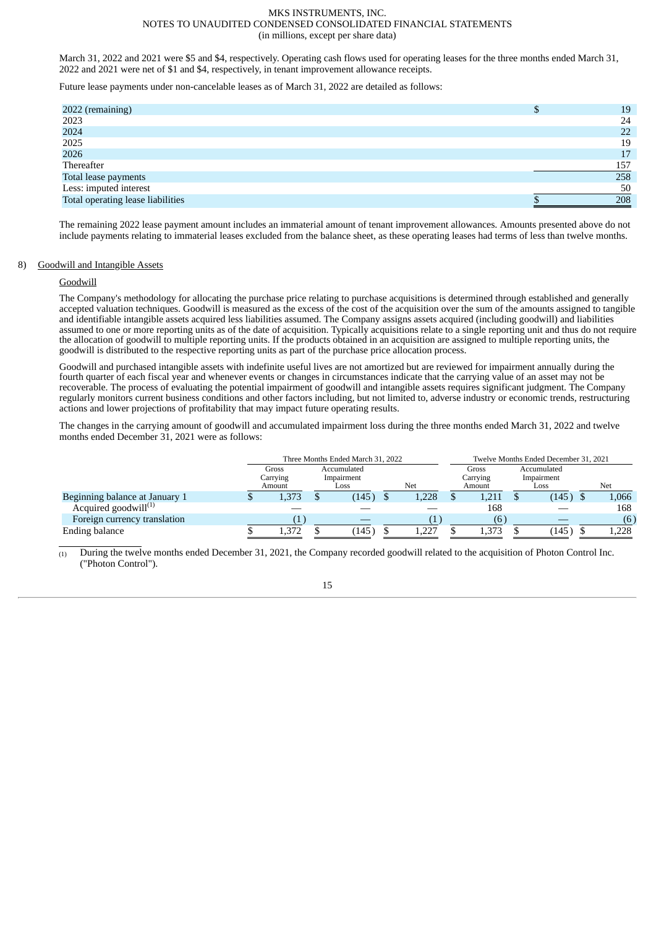March 31, 2022 and 2021 were \$5 and \$4, respectively. Operating cash flows used for operating leases for the three months ended March 31, 2022 and 2021 were net of \$1 and \$4, respectively, in tenant improvement allowance receipts.

Future lease payments under non-cancelable leases as of March 31, 2022 are detailed as follows:

| 2022 (remaining)                  | Φ | 19  |
|-----------------------------------|---|-----|
| 2023                              |   | 24  |
| 2024                              |   | 22  |
| 2025                              |   | 19  |
| 2026                              |   | 17  |
| Thereafter                        |   | 157 |
| Total lease payments              |   | 258 |
| Less: imputed interest            |   | 50  |
| Total operating lease liabilities |   | 208 |
|                                   |   |     |

The remaining 2022 lease payment amount includes an immaterial amount of tenant improvement allowances. Amounts presented above do not include payments relating to immaterial leases excluded from the balance sheet, as these operating leases had terms of less than twelve months.

#### 8) Goodwill and Intangible Assets

#### Goodwill

The Company's methodology for allocating the purchase price relating to purchase acquisitions is determined through established and generally accepted valuation techniques. Goodwill is measured as the excess of the cost of the acquisition over the sum of the amounts assigned to tangible and identifiable intangible assets acquired less liabilities assumed. The Company assigns assets acquired (including goodwill) and liabilities assumed to one or more reporting units as of the date of acquisition. Typically acquisitions relate to a single reporting unit and thus do not require the allocation of goodwill to multiple reporting units. If the products obtained in an acquisition are assigned to multiple reporting units, the goodwill is distributed to the respective reporting units as part of the purchase price allocation process.

Goodwill and purchased intangible assets with indefinite useful lives are not amortized but are reviewed for impairment annually during the fourth quarter of each fiscal year and whenever events or changes in circumstances indicate that the carrying value of an asset may not be recoverable. The process of evaluating the potential impairment of goodwill and intangible assets requires significant judgment. The Company regularly monitors current business conditions and other factors including, but not limited to, adverse industry or economic trends, restructuring actions and lower projections of profitability that may impact future operating results.

The changes in the carrying amount of goodwill and accumulated impairment loss during the three months ended March 31, 2022 and twelve months ended December 31, 2021 were as follows:

|                                  |  |                             | Three Months Ended March 31, 2022 |     |       | Twelve Months Ended December 31, 2021 |                             |                                   |            |  |       |  |  |
|----------------------------------|--|-----------------------------|-----------------------------------|-----|-------|---------------------------------------|-----------------------------|-----------------------------------|------------|--|-------|--|--|
|                                  |  | Gross<br>Carrving<br>Amount | Accumulated<br>Impairment<br>Loss | Net |       |                                       | Gross<br>Carrving<br>Amount | Accumulated<br>Impairment<br>Loss |            |  | Net   |  |  |
| Beginning balance at January 1   |  | L,373                       | (145)                             |     | 1,228 |                                       | .211                        |                                   | $(145)$ \$ |  | 1,066 |  |  |
| Acquired goodwill <sup>(1)</sup> |  |                             |                                   |     |       |                                       | 168                         |                                   |            |  | 168   |  |  |
| Foreign currency translation     |  |                             |                                   |     |       |                                       | (6)                         |                                   |            |  | (6)   |  |  |
| Ending balance                   |  | 1,372                       | 145                               |     | 1,227 |                                       | 1,373                       |                                   | 145        |  | 1,228 |  |  |

During the twelve months ended December 31, 2021, the Company recorded goodwill related to the acquisition of Photon Control Inc. ("Photon Control").  $(1)$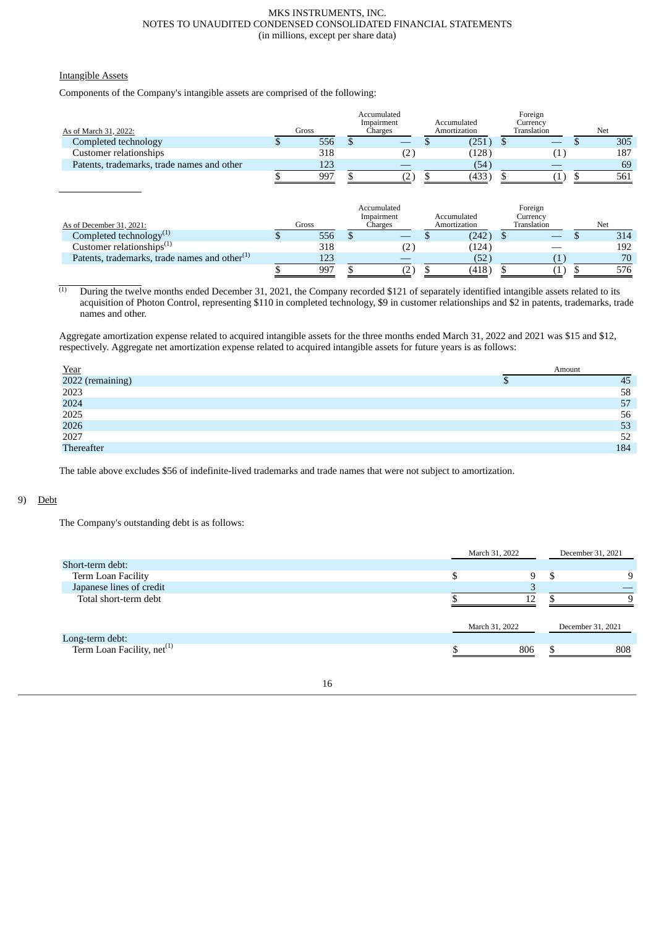# Intangible Assets

Components of the Company's intangible assets are comprised of the following:

|                                                           | Accumulated<br>Accumulated<br>Impairment |       |   |                           |  |              |     | Foreign<br>Currency |     |
|-----------------------------------------------------------|------------------------------------------|-------|---|---------------------------|--|--------------|-----|---------------------|-----|
| As of March 31, 2022:                                     |                                          | Gross |   | Charges                   |  | Amortization |     | Translation         | Net |
| Completed technology                                      | .Ъ                                       | 556   | S |                           |  | (251)        | Эb. |                     | 305 |
| Customer relationships                                    |                                          | 318   |   | (2)                       |  | (128)        |     | (1)                 | 187 |
| Patents, trademarks, trade names and other                |                                          | 123   |   |                           |  | (54)         |     |                     | 69  |
|                                                           |                                          | 997   |   | $\mathcal{L}$             |  | (433)        |     |                     | 561 |
|                                                           |                                          |       |   |                           |  |              |     |                     |     |
|                                                           |                                          |       |   | Accumulated<br>Impairment |  | Accumulated  |     | Foreign<br>Currency |     |
| As of December 31, 2021:                                  |                                          | Gross |   | Charges                   |  | Amortization |     | Translation         | Net |
| Completed technology $(1)$                                |                                          | 556   |   |                           |  | (242)        |     |                     | 314 |
| Customer relationships $(1)$                              |                                          | 318   |   | (2)                       |  | (124)        |     |                     | 192 |
| Patents, trademarks, trade names and other <sup>(1)</sup> |                                          | 123   |   |                           |  | (52)         |     |                     | 70  |
|                                                           |                                          | 997   |   | (2)                       |  | (418)        |     | (1)                 | 576 |

During the twelve months ended December 31, 2021, the Company recorded \$121 of separately identified intangible assets related to its acquisition of Photon Control, representing \$110 in completed technology, \$9 in customer relationships and \$2 in patents, trademarks, trade names and other. (1)

Aggregate amortization expense related to acquired intangible assets for the three months ended March 31, 2022 and 2021 was \$15 and \$12, respectively. Aggregate net amortization expense related to acquired intangible assets for future years is as follows:

| Year                 | Amount |
|----------------------|--------|
| 2022 (remaining)     | 45     |
| 2023                 | 58     |
|                      | 57     |
|                      | 56     |
| 2024<br>2025<br>2026 | 53     |
| 2027                 | 52     |
| Thereafter           | 184    |

The table above excludes \$56 of indefinite-lived trademarks and trade names that were not subject to amortization.

# 9) Debt

The Company's outstanding debt is as follows:

|                                        | March 31, 2022 |    | December 31, 2021 |
|----------------------------------------|----------------|----|-------------------|
| Short-term debt:                       |                |    |                   |
| Term Loan Facility                     |                | -S | 9                 |
| Japanese lines of credit               |                |    |                   |
| Total short-term debt                  |                |    |                   |
|                                        |                |    |                   |
|                                        | March 31, 2022 |    | December 31, 2021 |
| Long-term debt:                        |                |    |                   |
| Term Loan Facility, net <sup>(1)</sup> | 806            |    | 808               |
|                                        |                |    |                   |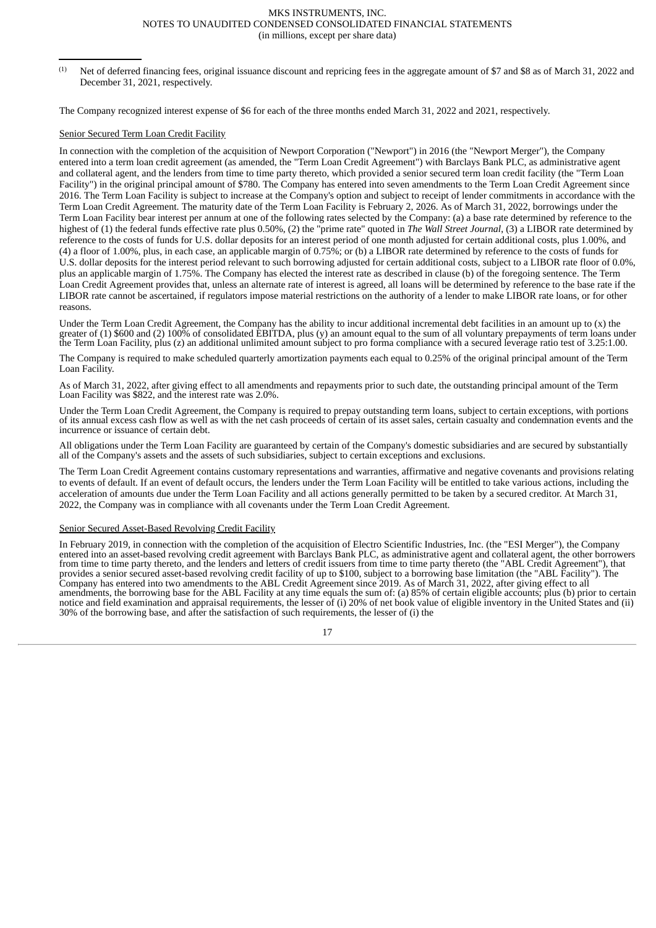Net of deferred financing fees, original issuance discount and repricing fees in the aggregate amount of \$7 and \$8 as of March 31, 2022 and December 31, 2021, respectively. (1)

The Company recognized interest expense of \$6 for each of the three months ended March 31, 2022 and 2021, respectively.

# Senior Secured Term Loan Credit Facility

In connection with the completion of the acquisition of Newport Corporation ("Newport") in 2016 (the "Newport Merger"), the Company entered into a term loan credit agreement (as amended, the "Term Loan Credit Agreement") with Barclays Bank PLC, as administrative agent and collateral agent, and the lenders from time to time party thereto, which provided a senior secured term loan credit facility (the "Term Loan Facility") in the original principal amount of \$780. The Company has entered into seven amendments to the Term Loan Credit Agreement since 2016. The Term Loan Facility is subject to increase at the Company's option and subject to receipt of lender commitments in accordance with the Term Loan Credit Agreement. The maturity date of the Term Loan Facility is February 2, 2026. As of March 31, 2022, borrowings under the Term Loan Facility bear interest per annum at one of the following rates selected by the Company: (a) a base rate determined by reference to the highest of (1) the federal funds effective rate plus 0.50%, (2) the "prime rate" quoted in *The Wall Street Journal*, (3) a LIBOR rate determined by reference to the costs of funds for U.S. dollar deposits for an interest period of one month adjusted for certain additional costs, plus 1.00%, and (4) a floor of 1.00%, plus, in each case, an applicable margin of 0.75%; or (b) a LIBOR rate determined by reference to the costs of funds for U.S. dollar deposits for the interest period relevant to such borrowing adjusted for certain additional costs, subject to a LIBOR rate floor of 0.0%, plus an applicable margin of 1.75%. The Company has elected the interest rate as described in clause (b) of the foregoing sentence. The Term Loan Credit Agreement provides that, unless an alternate rate of interest is agreed, all loans will be determined by reference to the base rate if the LIBOR rate cannot be ascertained, if regulators impose material restrictions on the authority of a lender to make LIBOR rate loans, or for other reasons.

Under the Term Loan Credit Agreement, the Company has the ability to incur additional incremental debt facilities in an amount up to (x) the greater of (1) \$600 and (2) 100% of consolidated EBITDA, plus (y) an amount equal to the sum of all voluntary prepayments of term loans under the Term Loan Facility, plus (z) an additional unlimited amount subject to pro forma compliance with a secured leverage ratio test of 3.25:1.00.

The Company is required to make scheduled quarterly amortization payments each equal to 0.25% of the original principal amount of the Term Loan Facility.

As of March 31, 2022, after giving effect to all amendments and repayments prior to such date, the outstanding principal amount of the Term Loan Facility was \$822, and the interest rate was 2.0%.

Under the Term Loan Credit Agreement, the Company is required to prepay outstanding term loans, subject to certain exceptions, with portions of its annual excess cash flow as well as with the net cash proceeds of certain of its asset sales, certain casualty and condemnation events and the incurrence or issuance of certain debt.

All obligations under the Term Loan Facility are guaranteed by certain of the Company's domestic subsidiaries and are secured by substantially all of the Company's assets and the assets of such subsidiaries, subject to certain exceptions and exclusions.

The Term Loan Credit Agreement contains customary representations and warranties, affirmative and negative covenants and provisions relating to events of default. If an event of default occurs, the lenders under the Term Loan Facility will be entitled to take various actions, including the acceleration of amounts due under the Term Loan Facility and all actions generally permitted to be taken by a secured creditor. At March 31, 2022, the Company was in compliance with all covenants under the Term Loan Credit Agreement.

#### Senior Secured Asset-Based Revolving Credit Facility

In February 2019, in connection with the completion of the acquisition of Electro Scientific Industries, Inc. (the "ESI Merger"), the Company entered into an asset-based revolving credit agreement with Barclays Bank PLC, as administrative agent and collateral agent, the other borrowers from time to time party thereto, and the lenders and letters of credit issuers from time to time party thereto (the "ABL Credit Agreement"), that provides a senior secured asset-based revolving credit facility of up to \$100, subject to a borrowing base limitation (the "ABL Facility"). The Company has entered into two amendments to the ABL Credit Agreement since 2019. As of March 31, 2022, after giving effect to all amendments, the borrowing base for the ABL Facility at any time equals the sum of: (a) 85% of certain eligible accounts; plus (b) prior to certain notice and field examination and appraisal requirements, the lesser of (i) 20% of net book value of eligible inventory in the United States and (ii) 30% of the borrowing base, and after the satisfaction of such requirements, the lesser of (i) the

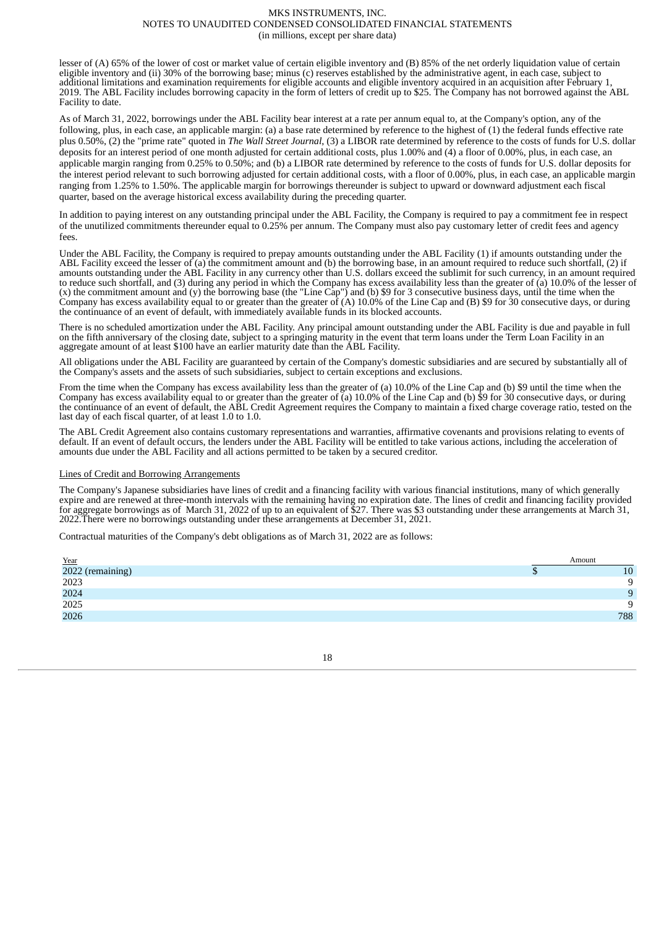lesser of (A) 65% of the lower of cost or market value of certain eligible inventory and (B) 85% of the net orderly liquidation value of certain eligible inventory and (ii) 30% of the borrowing base; minus (c) reserves established by the administrative agent, in each case, subject to additional limitations and examination requirements for eligible accounts and eligible inventory acquired in an acquisition after February 1, 2019. The ABL Facility includes borrowing capacity in the form of letters of credit up to \$25. The Company has not borrowed against the ABL Facility to date.

As of March 31, 2022, borrowings under the ABL Facility bear interest at a rate per annum equal to, at the Company's option, any of the following, plus, in each case, an applicable margin: (a) a base rate determined by reference to the highest of (1) the federal funds effective rate plus 0.50%, (2) the "prime rate" quoted in *The Wall Street Journal*, (3) a LIBOR rate determined by reference to the costs of funds for U.S. dollar deposits for an interest period of one month adjusted for certain additional costs, plus 1.00% and (4) a floor of 0.00%, plus, in each case, an applicable margin ranging from 0.25% to 0.50%; and (b) a LIBOR rate determined by reference to the costs of funds for U.S. dollar deposits for the interest period relevant to such borrowing adjusted for certain additional costs, with a floor of 0.00%, plus, in each case, an applicable margin ranging from 1.25% to 1.50%. The applicable margin for borrowings thereunder is subject to upward or downward adjustment each fiscal quarter, based on the average historical excess availability during the preceding quarter.

In addition to paying interest on any outstanding principal under the ABL Facility, the Company is required to pay a commitment fee in respect of the unutilized commitments thereunder equal to 0.25% per annum. The Company must also pay customary letter of credit fees and agency fees.

Under the ABL Facility, the Company is required to prepay amounts outstanding under the ABL Facility (1) if amounts outstanding under the ABL Facility exceed the lesser of (a) the commitment amount and (b) the borrowing base, in an amount required to reduce such shortfall, (2) if amounts outstanding under the ABL Facility in any currency other than U.S. dollars exceed the sublimit for such currency, in an amount required to reduce such shortfall, and (3) during any period in which the Company has excess availability less than the greater of (a) 10.0% of the lesser of (x) the commitment amount and (y) the borrowing base (the "Line Cap") and (b) \$9 for 3 consecutive business days, until the time when the Company has excess availability equal to or greater than the greater of (A) 10.0% of the Line Cap and (B) \$9 for 30 consecutive days, or during the continuance of an event of default, with immediately available funds in its blocked accounts.

There is no scheduled amortization under the ABL Facility. Any principal amount outstanding under the ABL Facility is due and payable in full on the fifth anniversary of the closing date, subject to a springing maturity in the event that term loans under the Term Loan Facility in an aggregate amount of at least \$100 have an earlier maturity date than the ABL Facility.

All obligations under the ABL Facility are guaranteed by certain of the Company's domestic subsidiaries and are secured by substantially all of the Company's assets and the assets of such subsidiaries, subject to certain exceptions and exclusions.

From the time when the Company has excess availability less than the greater of (a) 10.0% of the Line Cap and (b) \$9 until the time when the Company has excess availability equal to or greater than the greater of (a) 10.0% of the Line Cap and (b) \$9 for 30 consecutive days, or during the continuance of an event of default, the ABL Credit Agreement requires the Company to maintain a fixed charge coverage ratio, tested on the last day of each fiscal quarter, of at least 1.0 to 1.0.

The ABL Credit Agreement also contains customary representations and warranties, affirmative covenants and provisions relating to events of default. If an event of default occurs, the lenders under the ABL Facility will be entitled to take various actions, including the acceleration of amounts due under the ABL Facility and all actions permitted to be taken by a secured creditor.

# Lines of Credit and Borrowing Arrangements

The Company's Japanese subsidiaries have lines of credit and a financing facility with various financial institutions, many of which generally expire and are renewed at three-month intervals with the remaining having no expiration date. The lines of credit and financing facility provided for aggregate borrowings as of March 31, 2022 of up to an equivalent of \$27. There was \$3 outstanding under these arrangements at March 31, 2022.There were no borrowings outstanding under these arrangements at December 31, 2021.

Contractual maturities of the Company's debt obligations as of March 31, 2022 are as follows:

| Year             | Amount   |
|------------------|----------|
| 2022 (remaining) | 10       |
| 2023             | a<br>ٮ   |
| 2024             | $\Omega$ |
| 2025<br>2026     | a        |
|                  | 788      |
|                  |          |

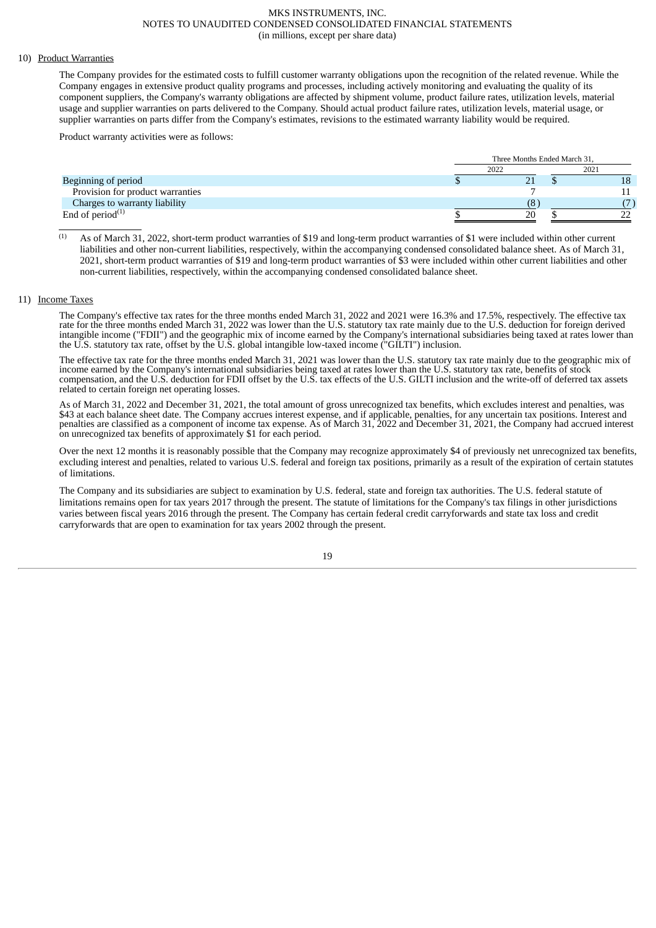#### 10) Product Warranties

The Company provides for the estimated costs to fulfill customer warranty obligations upon the recognition of the related revenue. While the Company engages in extensive product quality programs and processes, including actively monitoring and evaluating the quality of its component suppliers, the Company's warranty obligations are affected by shipment volume, product failure rates, utilization levels, material usage and supplier warranties on parts delivered to the Company. Should actual product failure rates, utilization levels, material usage, or supplier warranties on parts differ from the Company's estimates, revisions to the estimated warranty liability would be required.

Product warranty activities were as follows:

|                                  | Three Months Ended March 31, |      |  |      |
|----------------------------------|------------------------------|------|--|------|
|                                  |                              | 2022 |  | 2021 |
| Beginning of period              |                              |      |  | 18   |
| Provision for product warranties |                              |      |  |      |
| Charges to warranty liability    |                              |      |  |      |
| End of period $(1)$              |                              | 20   |  |      |

As of March 31, 2022, short-term product warranties of \$19 and long-term product warranties of \$1 were included within other current liabilities and other non-current liabilities, respectively, within the accompanying condensed consolidated balance sheet. As of March 31, 2021, short-term product warranties of \$19 and long-term product warranties of \$3 were included within other current liabilities and other non-current liabilities, respectively, within the accompanying condensed consolidated balance sheet. (1)

#### 11) Income Taxes

The Company's effective tax rates for the three months ended March 31, 2022 and 2021 were 16.3% and 17.5%, respectively. The effective tax rate for the three months ended March 31, 2022 was lower than the U.S. statutory tax rate mainly due to the U.S. deduction for foreign derived intangible income ("FDII") and the geographic mix of income earned by the Company's international subsidiaries being taxed at rates lower than the U.S. statutory tax rate, offset by the U.S. global intangible low-taxed income ("GILTI") inclusion.

The effective tax rate for the three months ended March 31, 2021 was lower than the U.S. statutory tax rate mainly due to the geographic mix of income earned by the Company's international subsidiaries being taxed at rates lower than the U.S. statutory tax rate, benefits of stock compensation, and the U.S. deduction for FDII offset by the U.S. tax effects of the U.S. GILTI inclusion and the write-off of deferred tax assets related to certain foreign net operating losses.

As of March 31, 2022 and December 31, 2021, the total amount of gross unrecognized tax benefits, which excludes interest and penalties, was \$43 at each balance sheet date. The Company accrues interest expense, and if applicable, penalties, for any uncertain tax positions. Interest and penalties are classified as a component of income tax expense. As of March 31, 2022 and December 31, 2021, the Company had accrued interest on unrecognized tax benefits of approximately \$1 for each period.

Over the next 12 months it is reasonably possible that the Company may recognize approximately \$4 of previously net unrecognized tax benefits, excluding interest and penalties, related to various U.S. federal and foreign tax positions, primarily as a result of the expiration of certain statutes of limitations.

The Company and its subsidiaries are subject to examination by U.S. federal, state and foreign tax authorities. The U.S. federal statute of limitations remains open for tax years 2017 through the present. The statute of limitations for the Company's tax filings in other jurisdictions varies between fiscal years 2016 through the present. The Company has certain federal credit carryforwards and state tax loss and credit carryforwards that are open to examination for tax years 2002 through the present.

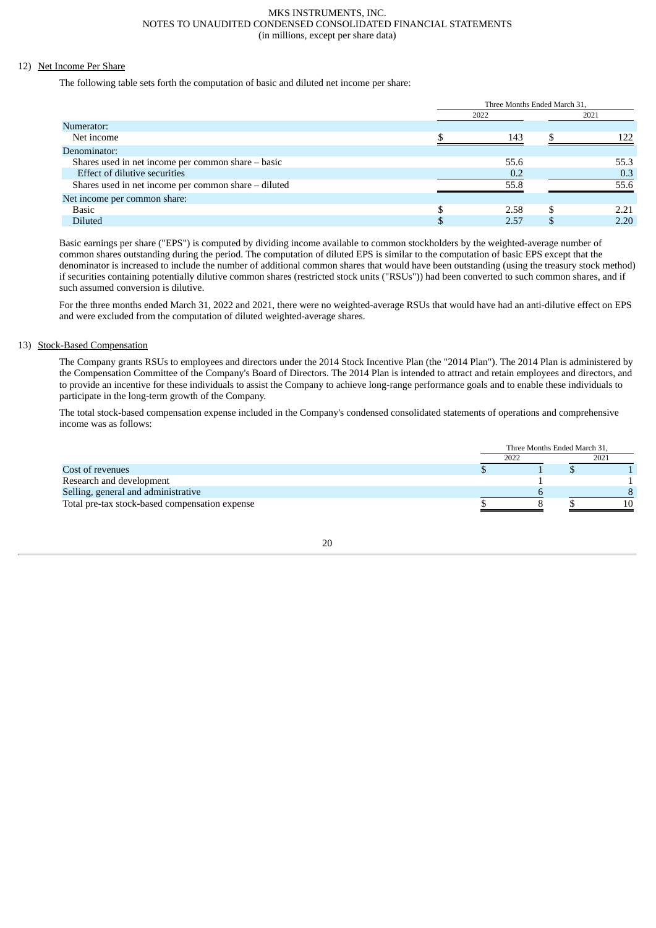# 12) Net Income Per Share

The following table sets forth the computation of basic and diluted net income per share:

|                                                      | Three Months Ended March 31, |  |      |
|------------------------------------------------------|------------------------------|--|------|
|                                                      | 2022                         |  | 2021 |
| Numerator:                                           |                              |  |      |
| Net income                                           | 143                          |  | 122  |
| Denominator:                                         |                              |  |      |
| Shares used in net income per common share - basic   | 55.6                         |  | 55.3 |
| Effect of dilutive securities                        | 0.2                          |  | 0.3  |
| Shares used in net income per common share - diluted | 55.8                         |  | 55.6 |
| Net income per common share:                         |                              |  |      |
| Basic                                                | 2.58                         |  | 2.21 |
| <b>Diluted</b>                                       | 2.57                         |  | 2.20 |

Basic earnings per share ("EPS") is computed by dividing income available to common stockholders by the weighted-average number of common shares outstanding during the period. The computation of diluted EPS is similar to the computation of basic EPS except that the denominator is increased to include the number of additional common shares that would have been outstanding (using the treasury stock method) if securities containing potentially dilutive common shares (restricted stock units ("RSUs")) had been converted to such common shares, and if such assumed conversion is dilutive.

For the three months ended March 31, 2022 and 2021, there were no weighted-average RSUs that would have had an anti-dilutive effect on EPS and were excluded from the computation of diluted weighted-average shares.

# 13) Stock-Based Compensation

The Company grants RSUs to employees and directors under the 2014 Stock Incentive Plan (the "2014 Plan"). The 2014 Plan is administered by the Compensation Committee of the Company's Board of Directors. The 2014 Plan is intended to attract and retain employees and directors, and to provide an incentive for these individuals to assist the Company to achieve long-range performance goals and to enable these individuals to participate in the long-term growth of the Company.

The total stock-based compensation expense included in the Company's condensed consolidated statements of operations and comprehensive income was as follows:

|                                                |      | Three Months Ended March 31, |      |    |  |
|------------------------------------------------|------|------------------------------|------|----|--|
|                                                | 2022 |                              | 2021 |    |  |
| Cost of revenues                               |      |                              |      |    |  |
| Research and development                       |      |                              |      |    |  |
| Selling, general and administrative            |      |                              |      |    |  |
| Total pre-tax stock-based compensation expense |      |                              |      | 10 |  |

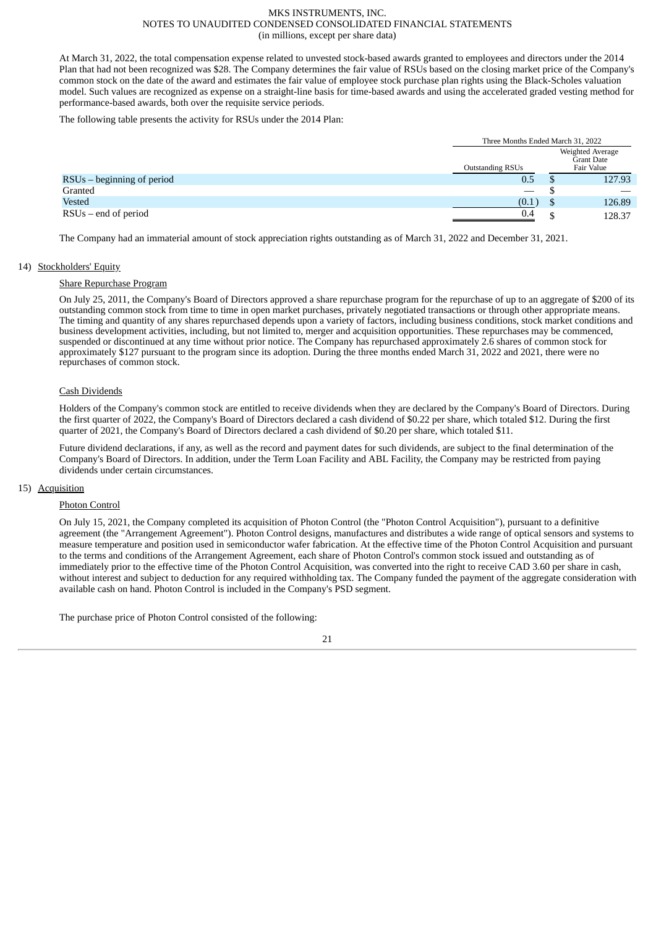At March 31, 2022, the total compensation expense related to unvested stock-based awards granted to employees and directors under the 2014 Plan that had not been recognized was \$28. The Company determines the fair value of RSUs based on the closing market price of the Company's common stock on the date of the award and estimates the fair value of employee stock purchase plan rights using the Black-Scholes valuation model. Such values are recognized as expense on a straight-line basis for time-based awards and using the accelerated graded vesting method for performance-based awards, both over the requisite service periods.

The following table presents the activity for RSUs under the 2014 Plan:

|                            | Three Months Ended March 31, 2022 |                                       |        |  |
|----------------------------|-----------------------------------|---------------------------------------|--------|--|
|                            |                                   | Weighted Average<br><b>Grant Date</b> |        |  |
|                            | <b>Outstanding RSUs</b>           | Fair Value                            |        |  |
| RSUs - beginning of period | 0.5                               | ۰υ                                    | 127.93 |  |
| Granted                    |                                   |                                       |        |  |
| <b>Vested</b>              | (0.1)                             |                                       | 126.89 |  |
| RSUs – end of period       | 0.4                               |                                       | 128.37 |  |

The Company had an immaterial amount of stock appreciation rights outstanding as of March 31, 2022 and December 31, 2021.

#### 14) Stockholders' Equity

#### Share Repurchase Program

On July 25, 2011, the Company's Board of Directors approved a share repurchase program for the repurchase of up to an aggregate of \$200 of its outstanding common stock from time to time in open market purchases, privately negotiated transactions or through other appropriate means. The timing and quantity of any shares repurchased depends upon a variety of factors, including business conditions, stock market conditions and business development activities, including, but not limited to, merger and acquisition opportunities. These repurchases may be commenced, suspended or discontinued at any time without prior notice. The Company has repurchased approximately 2.6 shares of common stock for approximately \$127 pursuant to the program since its adoption. During the three months ended March 31, 2022 and 2021, there were no repurchases of common stock.

#### Cash Dividends

Holders of the Company's common stock are entitled to receive dividends when they are declared by the Company's Board of Directors. During the first quarter of 2022, the Company's Board of Directors declared a cash dividend of \$0.22 per share, which totaled \$12. During the first quarter of 2021, the Company's Board of Directors declared a cash dividend of \$0.20 per share, which totaled \$11.

Future dividend declarations, if any, as well as the record and payment dates for such dividends, are subject to the final determination of the Company's Board of Directors. In addition, under the Term Loan Facility and ABL Facility, the Company may be restricted from paying dividends under certain circumstances.

# 15) Acquisition

# Photon Control

On July 15, 2021, the Company completed its acquisition of Photon Control (the "Photon Control Acquisition"), pursuant to a definitive agreement (the "Arrangement Agreement"). Photon Control designs, manufactures and distributes a wide range of optical sensors and systems to measure temperature and position used in semiconductor wafer fabrication. At the effective time of the Photon Control Acquisition and pursuant to the terms and conditions of the Arrangement Agreement, each share of Photon Control's common stock issued and outstanding as of immediately prior to the effective time of the Photon Control Acquisition, was converted into the right to receive CAD 3.60 per share in cash, without interest and subject to deduction for any required withholding tax. The Company funded the payment of the aggregate consideration with available cash on hand. Photon Control is included in the Company's PSD segment.

The purchase price of Photon Control consisted of the following:

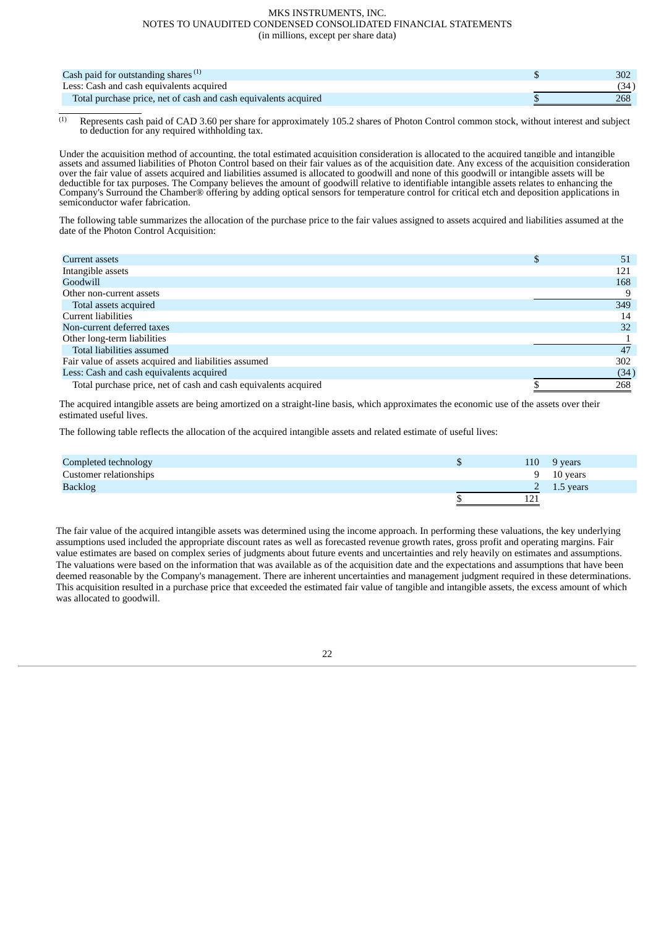| Cash paid for outstanding shares <sup>(1)</sup>                 | 302 |
|-----------------------------------------------------------------|-----|
| Less: Cash and cash equivalents acquired                        |     |
| Total purchase price, net of cash and cash equivalents acquired | 268 |

Represents cash paid of CAD 3.60 per share for approximately 105.2 shares of Photon Control common stock, without interest and subject to deduction for any required withholding tax.  $\overline{(1)}$ 

Under the acquisition method of accounting, the total estimated acquisition consideration is allocated to the acquired tangible and intangible assets and assumed liabilities of Photon Control based on their fair values as of the acquisition date. Any excess of the acquisition consideration over the fair value of assets acquired and liabilities assumed is allocated to goodwill and none of this goodwill or intangible assets will be deductible for tax purposes. The Company believes the amount of goodwill relative to identifiable intangible assets relates to enhancing the Company's Surround the Chamber® offering by adding optical sensors for temperature control for critical etch and deposition applications in semiconductor wafer fabrication.

The following table summarizes the allocation of the purchase price to the fair values assigned to assets acquired and liabilities assumed at the date of the Photon Control Acquisition:

| Current assets                                                  | 51   |
|-----------------------------------------------------------------|------|
| Intangible assets                                               | 121  |
| Goodwill                                                        | 168  |
| Other non-current assets                                        |      |
| Total assets acquired                                           | 349  |
| Current liabilities                                             | 14   |
| Non-current deferred taxes                                      | 32   |
| Other long-term liabilities                                     |      |
| Total liabilities assumed                                       | 47   |
| Fair value of assets acquired and liabilities assumed           | 302  |
| Less: Cash and cash equivalents acquired                        | (34) |
| Total purchase price, net of cash and cash equivalents acquired | 268  |

The acquired intangible assets are being amortized on a straight-line basis, which approximates the economic use of the assets over their estimated useful lives.

The following table reflects the allocation of the acquired intangible assets and related estimate of useful lives:

| Completed technology   |  | $110 \quad 9 \text{ years}$ |
|------------------------|--|-----------------------------|
| Customer relationships |  | 9 10 years                  |
| <b>Backlog</b>         |  | $2 \quad 1.5$ years         |
|                        |  |                             |

The fair value of the acquired intangible assets was determined using the income approach. In performing these valuations, the key underlying assumptions used included the appropriate discount rates as well as forecasted revenue growth rates, gross profit and operating margins. Fair value estimates are based on complex series of judgments about future events and uncertainties and rely heavily on estimates and assumptions. The valuations were based on the information that was available as of the acquisition date and the expectations and assumptions that have been deemed reasonable by the Company's management. There are inherent uncertainties and management judgment required in these determinations. This acquisition resulted in a purchase price that exceeded the estimated fair value of tangible and intangible assets, the excess amount of which was allocated to goodwill.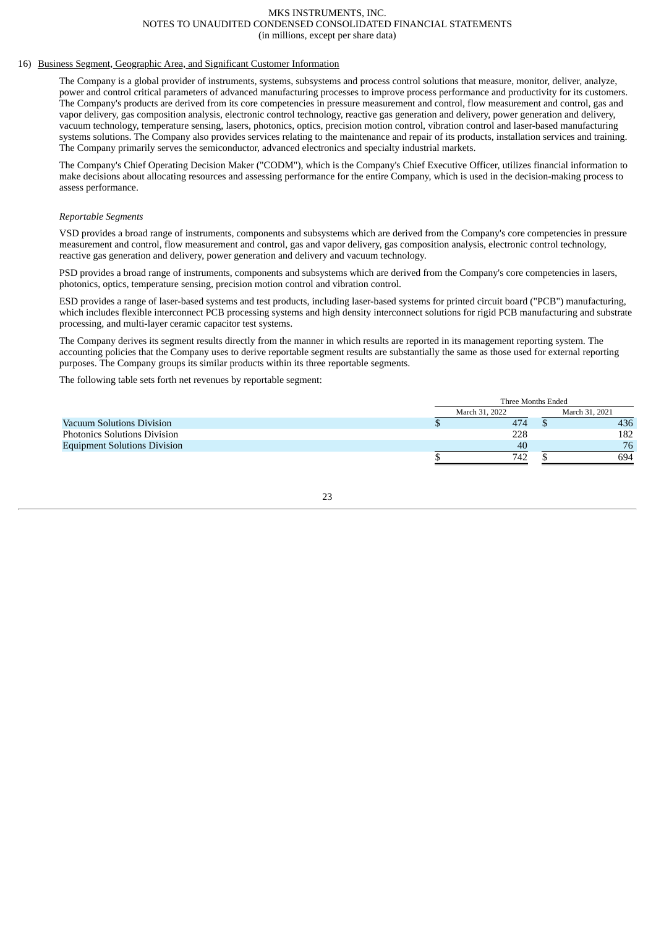#### 16) Business Segment, Geographic Area, and Significant Customer Information

The Company is a global provider of instruments, systems, subsystems and process control solutions that measure, monitor, deliver, analyze, power and control critical parameters of advanced manufacturing processes to improve process performance and productivity for its customers. The Company's products are derived from its core competencies in pressure measurement and control, flow measurement and control, gas and vapor delivery, gas composition analysis, electronic control technology, reactive gas generation and delivery, power generation and delivery, vacuum technology, temperature sensing, lasers, photonics, optics, precision motion control, vibration control and laser-based manufacturing systems solutions. The Company also provides services relating to the maintenance and repair of its products, installation services and training. The Company primarily serves the semiconductor, advanced electronics and specialty industrial markets.

The Company's Chief Operating Decision Maker ("CODM"), which is the Company's Chief Executive Officer, utilizes financial information to make decisions about allocating resources and assessing performance for the entire Company, which is used in the decision-making process to assess performance.

#### *Reportable Segments*

VSD provides a broad range of instruments, components and subsystems which are derived from the Company's core competencies in pressure measurement and control, flow measurement and control, gas and vapor delivery, gas composition analysis, electronic control technology, reactive gas generation and delivery, power generation and delivery and vacuum technology.

PSD provides a broad range of instruments, components and subsystems which are derived from the Company's core competencies in lasers, photonics, optics, temperature sensing, precision motion control and vibration control.

ESD provides a range of laser-based systems and test products, including laser-based systems for printed circuit board ("PCB") manufacturing, which includes flexible interconnect PCB processing systems and high density interconnect solutions for rigid PCB manufacturing and substrate processing, and multi-layer ceramic capacitor test systems.

The Company derives its segment results directly from the manner in which results are reported in its management reporting system. The accounting policies that the Company uses to derive reportable segment results are substantially the same as those used for external reporting purposes. The Company groups its similar products within its three reportable segments.

The following table sets forth net revenues by reportable segment:

|                                     |  | Three Months Ended |  |                |
|-------------------------------------|--|--------------------|--|----------------|
|                                     |  | March 31, 2022     |  | March 31, 2021 |
| Vacuum Solutions Division           |  | 474                |  | 436            |
| <b>Photonics Solutions Division</b> |  | 228                |  | 182            |
| <b>Equipment Solutions Division</b> |  | 40                 |  | 76             |
|                                     |  | 742                |  | 694            |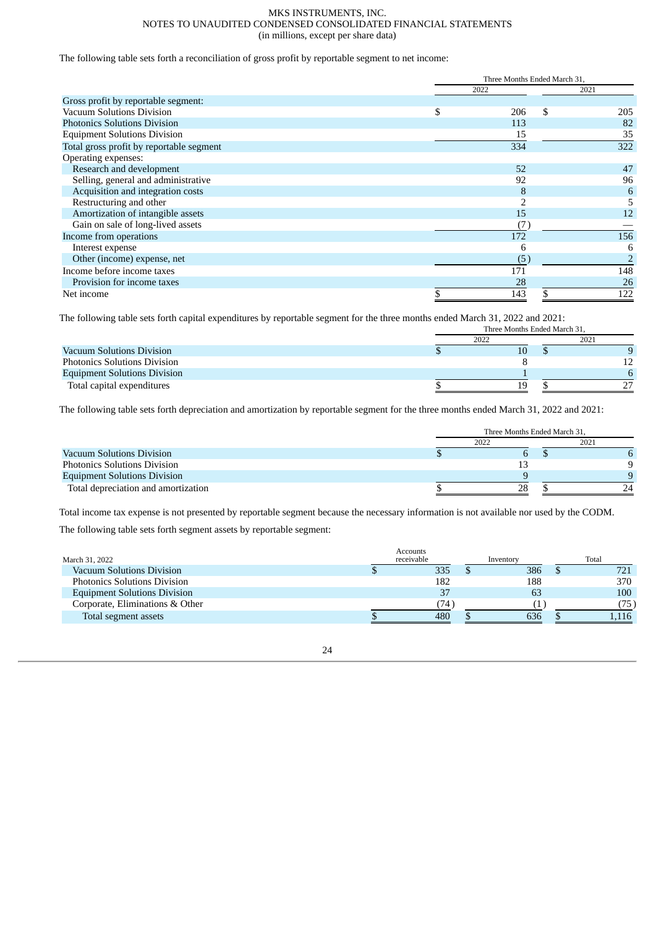# The following table sets forth a reconciliation of gross profit by reportable segment to net income:

|                                          | Three Months Ended March 31, |     |      |
|------------------------------------------|------------------------------|-----|------|
|                                          | 2022                         |     | 2021 |
| Gross profit by reportable segment:      |                              |     |      |
| Vacuum Solutions Division                | \$<br>206                    | \$. | 205  |
| <b>Photonics Solutions Division</b>      | 113                          |     | 82   |
| <b>Equipment Solutions Division</b>      | 15                           |     | 35   |
| Total gross profit by reportable segment | 334                          |     | 322  |
| Operating expenses:                      |                              |     |      |
| Research and development                 | 52                           |     | 47   |
| Selling, general and administrative      | 92                           |     | 96   |
| Acquisition and integration costs        | 8                            |     | 6    |
| Restructuring and other                  |                              |     | 5    |
| Amortization of intangible assets        | 15                           |     | 12   |
| Gain on sale of long-lived assets        | (7)                          |     |      |
| Income from operations                   | 172                          |     | 156  |
| Interest expense                         | 6                            |     | 6    |
| Other (income) expense, net              | (5)                          |     |      |
| Income before income taxes               | 171                          |     | 148  |
| Provision for income taxes               | 28                           |     | 26   |
| Net income                               | 143                          |     | 122  |

The following table sets forth capital expenditures by reportable segment for the three months ended March 31, 2022 and 2021:

|                                     |      | Three Months Ended March 31, |  |      |  |  |  |
|-------------------------------------|------|------------------------------|--|------|--|--|--|
|                                     | 2022 |                              |  | 2021 |  |  |  |
| Vacuum Solutions Division           |      | 10                           |  |      |  |  |  |
| <b>Photonics Solutions Division</b> |      |                              |  | 12   |  |  |  |
| <b>Equipment Solutions Division</b> |      |                              |  | 6    |  |  |  |
| Total capital expenditures          |      | 19                           |  | חר   |  |  |  |

The following table sets forth depreciation and amortization by reportable segment for the three months ended March 31, 2022 and 2021:

|                                     | Three Months Ended March 31. |  |      |  |  |  |
|-------------------------------------|------------------------------|--|------|--|--|--|
|                                     | 2022                         |  | 2021 |  |  |  |
| Vacuum Solutions Division           |                              |  |      |  |  |  |
| <b>Photonics Solutions Division</b> |                              |  |      |  |  |  |
| <b>Equipment Solutions Division</b> |                              |  |      |  |  |  |
| Total depreciation and amortization | 28                           |  | 24   |  |  |  |

Total income tax expense is not presented by reportable segment because the necessary information is not available nor used by the CODM.

The following table sets forth segment assets by reportable segment:

| March 31, 2022                      | Accounts<br>receivable | Inventory | Total |
|-------------------------------------|------------------------|-----------|-------|
| Vacuum Solutions Division           | 335                    | 386       |       |
| <b>Photonics Solutions Division</b> | 182                    | 188       | 370   |
| <b>Equipment Solutions Division</b> | 37                     | 63        | 100   |
| Corporate, Eliminations & Other     | (74`                   |           | ′75)  |
| Total segment assets                | 480                    | 636       | 1,116 |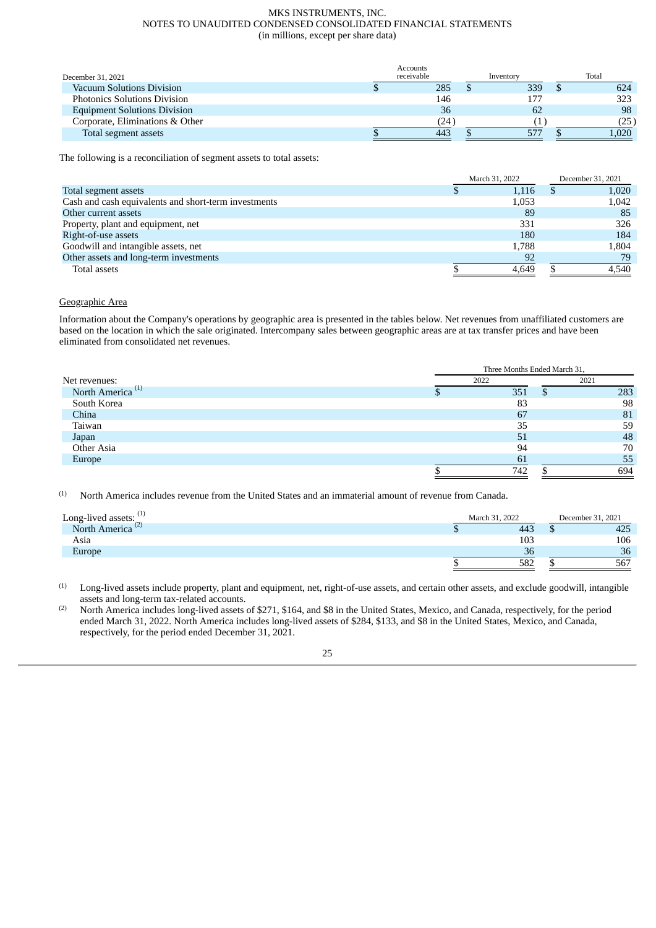| December 31, 2021                   | Accounts<br>receivable |      | Inventory | Total        |
|-------------------------------------|------------------------|------|-----------|--------------|
| Vacuum Solutions Division           |                        | 285  | 339       | 624          |
| <b>Photonics Solutions Division</b> |                        | 146  | 177       | 323          |
| <b>Equipment Solutions Division</b> |                        | 36   | 62        | 98           |
| Corporate, Eliminations & Other     |                        | (24) |           | $25^{\circ}$ |
| Total segment assets                |                        | 443  | 577       | 1,020        |

The following is a reconciliation of segment assets to total assets:

|                                                      | March 31, 2022 |       |  | December 31, 2021 |
|------------------------------------------------------|----------------|-------|--|-------------------|
| Total segment assets                                 |                | 1,116 |  | 1,020             |
| Cash and cash equivalents and short-term investments |                | 1,053 |  | 1,042             |
| Other current assets                                 |                | 89    |  | 85                |
| Property, plant and equipment, net                   |                | 331   |  | 326               |
| Right-of-use assets                                  |                | 180   |  | 184               |
| Goodwill and intangible assets, net                  |                | 1.788 |  | 1,804             |
| Other assets and long-term investments               |                | 92    |  | 79                |
| Total assets                                         |                | 4.649 |  | 4.540             |

# Geographic Area

Information about the Company's operations by geographic area is presented in the tables below. Net revenues from unaffiliated customers are based on the location in which the sale originated. Intercompany sales between geographic areas are at tax transfer prices and have been eliminated from consolidated net revenues.

|                              | Three Months Ended March 31, |      |
|------------------------------|------------------------------|------|
| Net revenues:                | 2022                         | 2021 |
| North America <sup>(1)</sup> | 351                          | 283  |
| South Korea                  | 83                           | 98   |
| China                        | 67                           | 81   |
| Taiwan                       | 35                           | 59   |
| Japan                        | 51                           | 48   |
| Other Asia                   | 94                           | 70   |
| Europe                       | 61                           | 55   |
|                              | 742                          | 694  |

North America includes revenue from the United States and an immaterial amount of revenue from Canada. (1)

| Long-lived assets: $(1)$     | March 31, 2022 | December 31, 2021 |
|------------------------------|----------------|-------------------|
| North America <sup>(2)</sup> | 443            | 425               |
| Asia                         | 103            | 106               |
| Europe                       | 36             | 36                |
|                              | 582            | 567               |

Long-lived assets include property, plant and equipment, net, right-of-use assets, and certain other assets, and exclude goodwill, intangible assets and long-term tax-related accounts. (1)

North America includes long-lived assets of \$271, \$164, and \$8 in the United States, Mexico, and Canada, respectively, for the period ended March 31, 2022. North America includes long-lived assets of \$284, \$133, and \$8 in the United States, Mexico, and Canada, respectively, for the period ended December 31, 2021. (2)

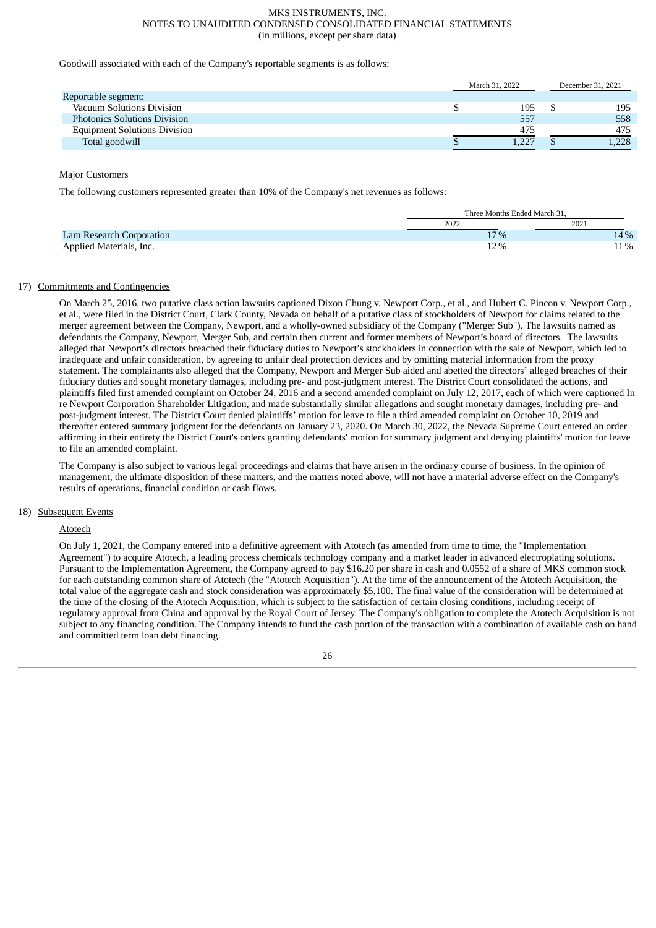#### Goodwill associated with each of the Company's reportable segments is as follows:

|                                     | March 31, 2022 | December 31, 2021 |
|-------------------------------------|----------------|-------------------|
| Reportable segment:                 |                |                   |
| Vacuum Solutions Division           | 195            | 195               |
| <b>Photonics Solutions Division</b> | 557            | 558               |
| <b>Equipment Solutions Division</b> | 475            | 475               |
| Total goodwill                      | 1.227          | 1.228             |

# **Major Customers**

The following customers represented greater than 10% of the Company's net revenues as follows:

|                          | Three Months Ended March 31. |      |
|--------------------------|------------------------------|------|
|                          | 2022                         | 2021 |
| Lam Research Corporation | 17%                          | 14%  |
| Applied Materials, Inc.  | 12%                          | 11%  |

#### 17) Commitments and Contingencies

On March 25, 2016, two putative class action lawsuits captioned Dixon Chung v. Newport Corp., et al., and Hubert C. Pincon v. Newport Corp., et al., were filed in the District Court, Clark County, Nevada on behalf of a putative class of stockholders of Newport for claims related to the merger agreement between the Company, Newport, and a wholly-owned subsidiary of the Company ("Merger Sub"). The lawsuits named as defendants the Company, Newport, Merger Sub, and certain then current and former members of Newport's board of directors. The lawsuits alleged that Newport's directors breached their fiduciary duties to Newport's stockholders in connection with the sale of Newport, which led to inadequate and unfair consideration, by agreeing to unfair deal protection devices and by omitting material information from the proxy statement. The complainants also alleged that the Company, Newport and Merger Sub aided and abetted the directors' alleged breaches of their fiduciary duties and sought monetary damages, including pre- and post-judgment interest. The District Court consolidated the actions, and plaintiffs filed first amended complaint on October 24, 2016 and a second amended complaint on July 12, 2017, each of which were captioned In re Newport Corporation Shareholder Litigation, and made substantially similar allegations and sought monetary damages, including pre- and post-judgment interest. The District Court denied plaintiffs' motion for leave to file a third amended complaint on October 10, 2019 and thereafter entered summary judgment for the defendants on January 23, 2020. On March 30, 2022, the Nevada Supreme Court entered an order affirming in their entirety the District Court's orders granting defendants' motion for summary judgment and denying plaintiffs' motion for leave to file an amended complaint.

The Company is also subject to various legal proceedings and claims that have arisen in the ordinary course of business. In the opinion of management, the ultimate disposition of these matters, and the matters noted above, will not have a material adverse effect on the Company's results of operations, financial condition or cash flows.

# 18) Subsequent Events

# Atotech

On July 1, 2021, the Company entered into a definitive agreement with Atotech (as amended from time to time, the "Implementation Agreement") to acquire Atotech, a leading process chemicals technology company and a market leader in advanced electroplating solutions. Pursuant to the Implementation Agreement, the Company agreed to pay \$16.20 per share in cash and 0.0552 of a share of MKS common stock for each outstanding common share of Atotech (the "Atotech Acquisition"). At the time of the announcement of the Atotech Acquisition, the total value of the aggregate cash and stock consideration was approximately \$5,100. The final value of the consideration will be determined at the time of the closing of the Atotech Acquisition, which is subject to the satisfaction of certain closing conditions, including receipt of regulatory approval from China and approval by the Royal Court of Jersey. The Company's obligation to complete the Atotech Acquisition is not subject to any financing condition. The Company intends to fund the cash portion of the transaction with a combination of available cash on hand and committed term loan debt financing.

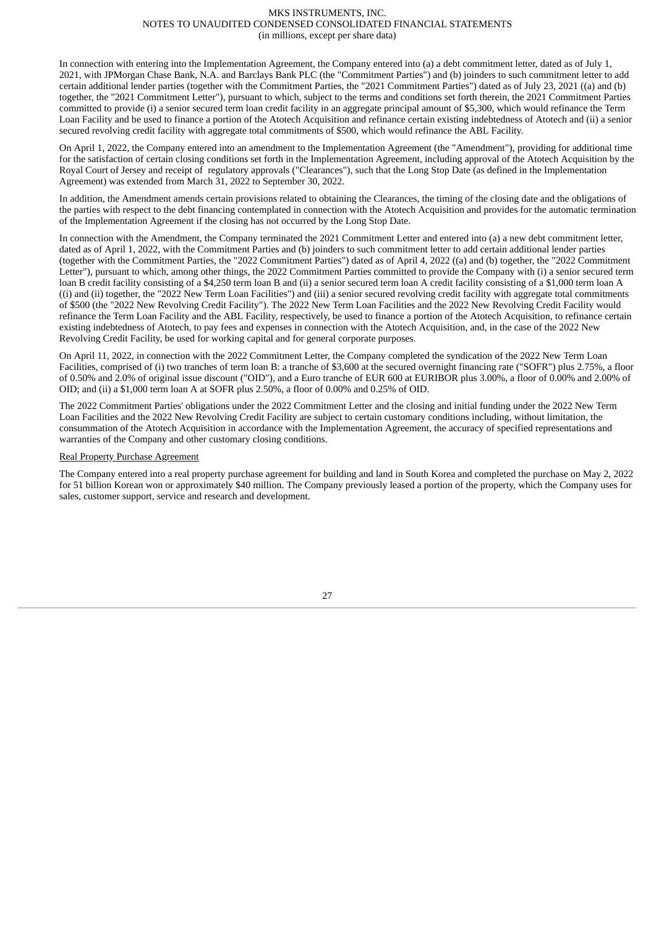In connection with entering into the Implementation Agreement, the Company entered into (a) a debt commitment letter, dated as of July 1, 2021, with JPMorgan Chase Bank, N.A. and Barclays Bank PLC (the "Commitment Parties") and (b) joinders to such commitment letter to add certain additional lender parties (together with the Commitment Parties, the "2021 Commitment Parties") dated as of July 23, 2021 ((a) and (b) together, the "2021 Commitment Letter"), pursuant to which, subject to the terms and conditions set forth therein, the 2021 Commitment Parties committed to provide (i) a senior secured term loan credit facility in an aggregate principal amount of \$5,300, which would refinance the Term Loan Facility and be used to finance a portion of the Atotech Acquisition and refinance certain existing indebtedness of Atotech and (ii) a senior secured revolving credit facility with aggregate total commitments of \$500, which would refinance the ABL Facility.

On April 1, 2022, the Company entered into an amendment to the Implementation Agreement (the "Amendment"), providing for additional time for the satisfaction of certain closing conditions set forth in the Implementation Agreement, including approval of the Atotech Acquisition by the Royal Court of Jersey and receipt of regulatory approvals ("Clearances"), such that the Long Stop Date (as defined in the Implementation Agreement) was extended from March 31, 2022 to September 30, 2022.

In addition, the Amendment amends certain provisions related to obtaining the Clearances, the timing of the closing date and the obligations of the parties with respect to the debt financing contemplated in connection with the Atotech Acquisition and provides for the automatic termination of the Implementation Agreement if the closing has not occurred by the Long Stop Date.

In connection with the Amendment, the Company terminated the 2021 Commitment Letter and entered into (a) a new debt commitment letter, dated as of April 1, 2022, with the Commitment Parties and (b) joinders to such commitment letter to add certain additional lender parties (together with the Commitment Parties, the "2022 Commitment Parties") dated as of April 4, 2022 ((a) and (b) together, the "2022 Commitment Letter"), pursuant to which, among other things, the 2022 Commitment Parties committed to provide the Company with (i) a senior secured term loan B credit facility consisting of a \$4,250 term loan B and (ii) a senior secured term loan A credit facility consisting of a \$1,000 term loan A ((i) and (ii) together, the "2022 New Term Loan Facilities") and (iii) a senior secured revolving credit facility with aggregate total commitments of \$500 (the "2022 New Revolving Credit Facility"). The 2022 New Term Loan Facilities and the 2022 New Revolving Credit Facility would refinance the Term Loan Facility and the ABL Facility, respectively, be used to finance a portion of the Atotech Acquisition, to refinance certain existing indebtedness of Atotech, to pay fees and expenses in connection with the Atotech Acquisition, and, in the case of the 2022 New Revolving Credit Facility, be used for working capital and for general corporate purposes.

On April 11, 2022, in connection with the 2022 Commitment Letter, the Company completed the syndication of the 2022 New Term Loan Facilities, comprised of (i) two tranches of term loan B: a tranche of \$3,600 at the secured overnight financing rate ("SOFR") plus 2.75%, a floor of 0.50% and 2.0% of original issue discount ("OID"), and a Euro tranche of EUR 600 at EURIBOR plus 3.00%, a floor of 0.00% and 2.00% of OID; and (ii) a \$1,000 term loan A at SOFR plus 2.50%, a floor of 0.00% and 0.25% of OID.

The 2022 Commitment Parties' obligations under the 2022 Commitment Letter and the closing and initial funding under the 2022 New Term Loan Facilities and the 2022 New Revolving Credit Facility are subject to certain customary conditions including, without limitation, the consummation of the Atotech Acquisition in accordance with the Implementation Agreement, the accuracy of specified representations and warranties of the Company and other customary closing conditions.

#### Real Property Purchase Agreement

The Company entered into a real property purchase agreement for building and land in South Korea and completed the purchase on May 2, 2022 for 51 billion Korean won or approximately \$40 million. The Company previously leased a portion of the property, which the Company uses for sales, customer support, service and research and development.

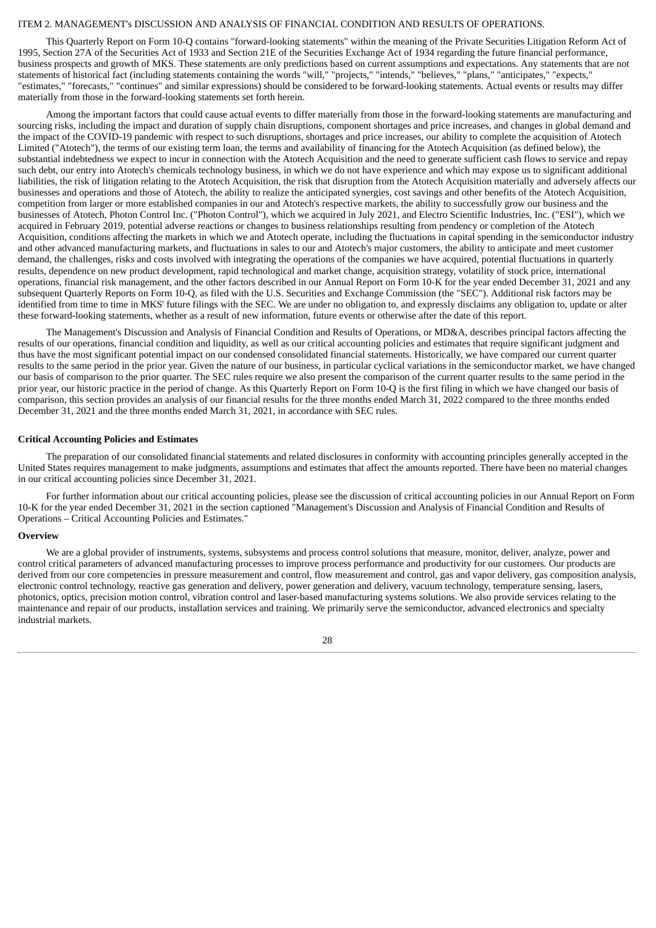#### <span id="page-27-0"></span>ITEM 2. MANAGEMENT's DISCUSSION AND ANALYSIS OF FINANCIAL CONDITION AND RESULTS OF OPERATIONS.

This Quarterly Report on Form 10-Q contains "forward-looking statements" within the meaning of the Private Securities Litigation Reform Act of 1995, Section 27A of the Securities Act of 1933 and Section 21E of the Securities Exchange Act of 1934 regarding the future financial performance, business prospects and growth of MKS. These statements are only predictions based on current assumptions and expectations. Any statements that are not statements of historical fact (including statements containing the words "will," "projects," "intends," "believes," "plans," "anticipates," "expects," "estimates," "forecasts," "continues" and similar expressions) should be considered to be forward-looking statements. Actual events or results may differ materially from those in the forward-looking statements set forth herein.

Among the important factors that could cause actual events to differ materially from those in the forward-looking statements are manufacturing and sourcing risks, including the impact and duration of supply chain disruptions, component shortages and price increases, and changes in global demand and the impact of the COVID-19 pandemic with respect to such disruptions, shortages and price increases, our ability to complete the acquisition of Atotech Limited ("Atotech"), the terms of our existing term loan, the terms and availability of financing for the Atotech Acquisition (as defined below), the substantial indebtedness we expect to incur in connection with the Atotech Acquisition and the need to generate sufficient cash flows to service and repay such debt, our entry into Atotech's chemicals technology business, in which we do not have experience and which may expose us to significant additional liabilities, the risk of litigation relating to the Atotech Acquisition, the risk that disruption from the Atotech Acquisition materially and adversely affects our businesses and operations and those of Atotech, the ability to realize the anticipated synergies, cost savings and other benefits of the Atotech Acquisition, competition from larger or more established companies in our and Atotech's respective markets, the ability to successfully grow our business and the businesses of Atotech, Photon Control Inc. ("Photon Control"), which we acquired in July 2021, and Electro Scientific Industries, Inc. ("ESI"), which we acquired in February 2019, potential adverse reactions or changes to business relationships resulting from pendency or completion of the Atotech Acquisition, conditions affecting the markets in which we and Atotech operate, including the fluctuations in capital spending in the semiconductor industry and other advanced manufacturing markets, and fluctuations in sales to our and Atotech's major customers, the ability to anticipate and meet customer demand, the challenges, risks and costs involved with integrating the operations of the companies we have acquired, potential fluctuations in quarterly results, dependence on new product development, rapid technological and market change, acquisition strategy, volatility of stock price, international operations, financial risk management, and the other factors described in our Annual Report on Form 10-K for the year ended December 31, 2021 and any subsequent Quarterly Reports on Form 10-Q, as filed with the U.S. Securities and Exchange Commission (the "SEC"). Additional risk factors may be identified from time to time in MKS' future filings with the SEC. We are under no obligation to, and expressly disclaims any obligation to, update or alter these forward-looking statements, whether as a result of new information, future events or otherwise after the date of this report.

The Management's Discussion and Analysis of Financial Condition and Results of Operations, or MD&A, describes principal factors affecting the results of our operations, financial condition and liquidity, as well as our critical accounting policies and estimates that require significant judgment and thus have the most significant potential impact on our condensed consolidated financial statements. Historically, we have compared our current quarter results to the same period in the prior year. Given the nature of our business, in particular cyclical variations in the semiconductor market, we have changed our basis of comparison to the prior quarter. The SEC rules require we also present the comparison of the current quarter results to the same period in the prior year, our historic practice in the period of change. As this Quarterly Report on Form 10-Q is the first filing in which we have changed our basis of comparison, this section provides an analysis of our financial results for the three months ended March 31, 2022 compared to the three months ended December 31, 2021 and the three months ended March 31, 2021, in accordance with SEC rules.

#### **Critical Accounting Policies and Estimates**

The preparation of our consolidated financial statements and related disclosures in conformity with accounting principles generally accepted in the United States requires management to make judgments, assumptions and estimates that affect the amounts reported. There have been no material changes in our critical accounting policies since December 31, 2021.

For further information about our critical accounting policies, please see the discussion of critical accounting policies in our Annual Report on Form 10-K for the year ended December 31, 2021 in the section captioned "Management's Discussion and Analysis of Financial Condition and Results of Operations – Critical Accounting Policies and Estimates."

#### **Overview**

We are a global provider of instruments, systems, subsystems and process control solutions that measure, monitor, deliver, analyze, power and control critical parameters of advanced manufacturing processes to improve process performance and productivity for our customers. Our products are derived from our core competencies in pressure measurement and control, flow measurement and control, gas and vapor delivery, gas composition analysis, electronic control technology, reactive gas generation and delivery, power generation and delivery, vacuum technology, temperature sensing, lasers, photonics, optics, precision motion control, vibration control and laser-based manufacturing systems solutions. We also provide services relating to the maintenance and repair of our products, installation services and training. We primarily serve the semiconductor, advanced electronics and specialty industrial markets.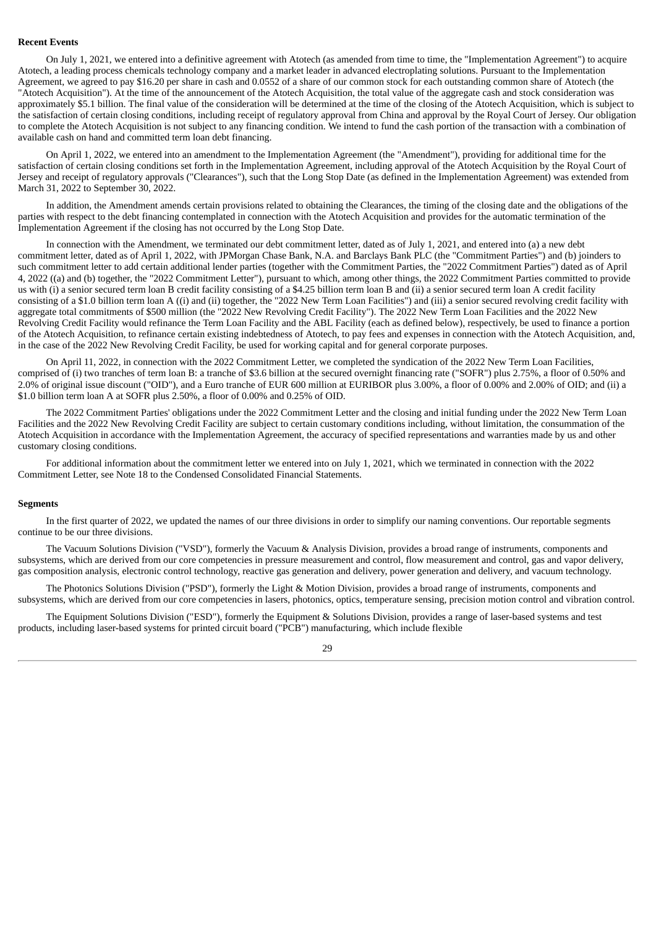#### **Recent Events**

On July 1, 2021, we entered into a definitive agreement with Atotech (as amended from time to time, the "Implementation Agreement") to acquire Atotech, a leading process chemicals technology company and a market leader in advanced electroplating solutions. Pursuant to the Implementation Agreement, we agreed to pay \$16.20 per share in cash and 0.0552 of a share of our common stock for each outstanding common share of Atotech (the "Atotech Acquisition"). At the time of the announcement of the Atotech Acquisition, the total value of the aggregate cash and stock consideration was approximately \$5.1 billion. The final value of the consideration will be determined at the time of the closing of the Atotech Acquisition, which is subject to the satisfaction of certain closing conditions, including receipt of regulatory approval from China and approval by the Royal Court of Jersey. Our obligation to complete the Atotech Acquisition is not subject to any financing condition. We intend to fund the cash portion of the transaction with a combination of available cash on hand and committed term loan debt financing.

On April 1, 2022, we entered into an amendment to the Implementation Agreement (the "Amendment"), providing for additional time for the satisfaction of certain closing conditions set forth in the Implementation Agreement, including approval of the Atotech Acquisition by the Royal Court of Jersey and receipt of regulatory approvals ("Clearances"), such that the Long Stop Date (as defined in the Implementation Agreement) was extended from March 31, 2022 to September 30, 2022.

In addition, the Amendment amends certain provisions related to obtaining the Clearances, the timing of the closing date and the obligations of the parties with respect to the debt financing contemplated in connection with the Atotech Acquisition and provides for the automatic termination of the Implementation Agreement if the closing has not occurred by the Long Stop Date.

In connection with the Amendment, we terminated our debt commitment letter, dated as of July 1, 2021, and entered into (a) a new debt commitment letter, dated as of April 1, 2022, with JPMorgan Chase Bank, N.A. and Barclays Bank PLC (the "Commitment Parties") and (b) joinders to such commitment letter to add certain additional lender parties (together with the Commitment Parties, the "2022 Commitment Parties") dated as of April 4, 2022 ((a) and (b) together, the "2022 Commitment Letter"), pursuant to which, among other things, the 2022 Commitment Parties committed to provide us with (i) a senior secured term loan B credit facility consisting of a \$4.25 billion term loan B and (ii) a senior secured term loan A credit facility consisting of a \$1.0 billion term loan A ((i) and (ii) together, the "2022 New Term Loan Facilities") and (iii) a senior secured revolving credit facility with aggregate total commitments of \$500 million (the "2022 New Revolving Credit Facility"). The 2022 New Term Loan Facilities and the 2022 New Revolving Credit Facility would refinance the Term Loan Facility and the ABL Facility (each as defined below), respectively, be used to finance a portion of the Atotech Acquisition, to refinance certain existing indebtedness of Atotech, to pay fees and expenses in connection with the Atotech Acquisition, and, in the case of the 2022 New Revolving Credit Facility, be used for working capital and for general corporate purposes.

On April 11, 2022, in connection with the 2022 Commitment Letter, we completed the syndication of the 2022 New Term Loan Facilities, comprised of (i) two tranches of term loan B: a tranche of \$3.6 billion at the secured overnight financing rate ("SOFR") plus 2.75%, a floor of 0.50% and 2.0% of original issue discount ("OID"), and a Euro tranche of EUR 600 million at EURIBOR plus 3.00%, a floor of 0.00% and 2.00% of OID; and (ii) a \$1.0 billion term loan A at SOFR plus 2.50%, a floor of 0.00% and 0.25% of OID.

The 2022 Commitment Parties' obligations under the 2022 Commitment Letter and the closing and initial funding under the 2022 New Term Loan Facilities and the 2022 New Revolving Credit Facility are subject to certain customary conditions including, without limitation, the consummation of the Atotech Acquisition in accordance with the Implementation Agreement, the accuracy of specified representations and warranties made by us and other customary closing conditions.

For additional information about the commitment letter we entered into on July 1, 2021, which we terminated in connection with the 2022 Commitment Letter, see Note 18 to the Condensed Consolidated Financial Statements.

#### **Segments**

In the first quarter of 2022, we updated the names of our three divisions in order to simplify our naming conventions. Our reportable segments continue to be our three divisions.

The Vacuum Solutions Division ("VSD"), formerly the Vacuum & Analysis Division, provides a broad range of instruments, components and subsystems, which are derived from our core competencies in pressure measurement and control, flow measurement and control, gas and vapor delivery, gas composition analysis, electronic control technology, reactive gas generation and delivery, power generation and delivery, and vacuum technology.

The Photonics Solutions Division ("PSD"), formerly the Light & Motion Division, provides a broad range of instruments, components and subsystems, which are derived from our core competencies in lasers, photonics, optics, temperature sensing, precision motion control and vibration control.

The Equipment Solutions Division ("ESD"), formerly the Equipment & Solutions Division, provides a range of laser-based systems and test products, including laser-based systems for printed circuit board ("PCB") manufacturing, which include flexible

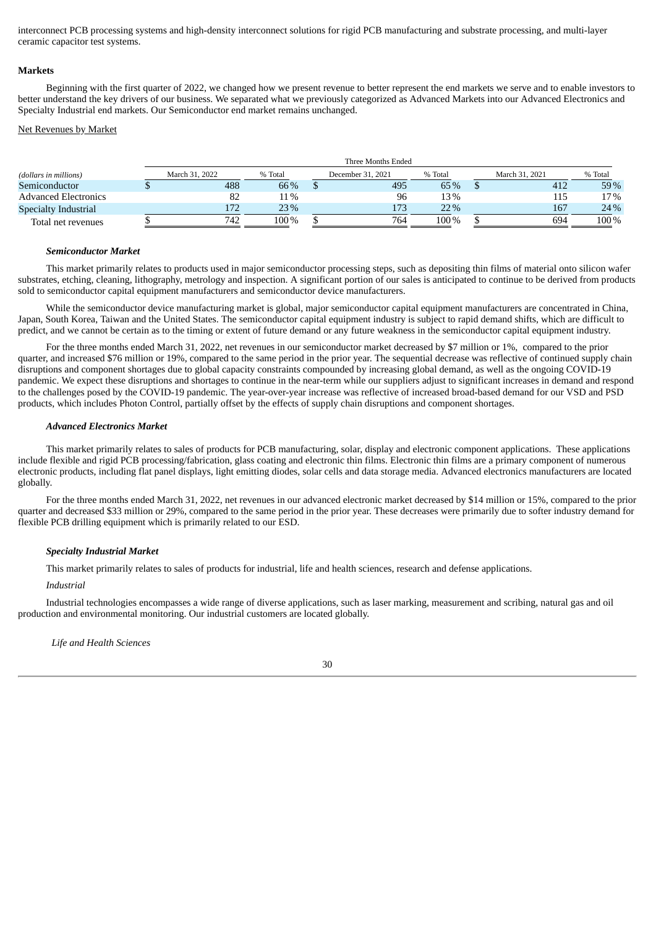interconnect PCB processing systems and high-density interconnect solutions for rigid PCB manufacturing and substrate processing, and multi-layer ceramic capacitor test systems.

#### **Markets**

Beginning with the first quarter of 2022, we changed how we present revenue to better represent the end markets we serve and to enable investors to better understand the key drivers of our business. We separated what we previously categorized as Advanced Markets into our Advanced Electronics and Specialty Industrial end markets. Our Semiconductor end market remains unchanged.

#### Net Revenues by Market

|                             | Three Months Ended |         |  |                   |         |  |                |         |
|-----------------------------|--------------------|---------|--|-------------------|---------|--|----------------|---------|
| (dollars in millions)       | March 31, 2022     | % Total |  | December 31, 2021 | % Total |  | March 31, 2021 | % Total |
| Semiconductor               | 488                | 66%     |  | 495               | 65%     |  | 412            | 59%     |
| <b>Advanced Electronics</b> | 82                 | 11 %    |  | 96                | 13%     |  | 115            | 17%     |
| Specialty Industrial        | 172                | 23%     |  |                   | 22%     |  | 167            | 24%     |
| Total net revenues          | 742                | 100%    |  | 764               | 100%    |  | 694            | 100%    |

#### *Semiconductor Market*

This market primarily relates to products used in major semiconductor processing steps, such as depositing thin films of material onto silicon wafer substrates, etching, cleaning, lithography, metrology and inspection. A significant portion of our sales is anticipated to continue to be derived from products sold to semiconductor capital equipment manufacturers and semiconductor device manufacturers.

While the semiconductor device manufacturing market is global, major semiconductor capital equipment manufacturers are concentrated in China, Japan, South Korea, Taiwan and the United States. The semiconductor capital equipment industry is subject to rapid demand shifts, which are difficult to predict, and we cannot be certain as to the timing or extent of future demand or any future weakness in the semiconductor capital equipment industry.

For the three months ended March 31, 2022, net revenues in our semiconductor market decreased by \$7 million or 1%, compared to the prior quarter, and increased \$76 million or 19%, compared to the same period in the prior year. The sequential decrease was reflective of continued supply chain disruptions and component shortages due to global capacity constraints compounded by increasing global demand, as well as the ongoing COVID-19 pandemic. We expect these disruptions and shortages to continue in the near-term while our suppliers adjust to significant increases in demand and respond to the challenges posed by the COVID-19 pandemic. The year-over-year increase was reflective of increased broad-based demand for our VSD and PSD products, which includes Photon Control, partially offset by the effects of supply chain disruptions and component shortages.

#### *Advanced Electronics Market*

This market primarily relates to sales of products for PCB manufacturing, solar, display and electronic component applications. These applications include flexible and rigid PCB processing/fabrication, glass coating and electronic thin films. Electronic thin films are a primary component of numerous electronic products, including flat panel displays, light emitting diodes, solar cells and data storage media. Advanced electronics manufacturers are located globally.

For the three months ended March 31, 2022, net revenues in our advanced electronic market decreased by \$14 million or 15%, compared to the prior quarter and decreased \$33 million or 29%, compared to the same period in the prior year. These decreases were primarily due to softer industry demand for flexible PCB drilling equipment which is primarily related to our ESD.

#### *Specialty Industrial Market*

This market primarily relates to sales of products for industrial, life and health sciences, research and defense applications.

#### *Industrial*

Industrial technologies encompasses a wide range of diverse applications, such as laser marking, measurement and scribing, natural gas and oil production and environmental monitoring. Our industrial customers are located globally.

*Life and Health Sciences*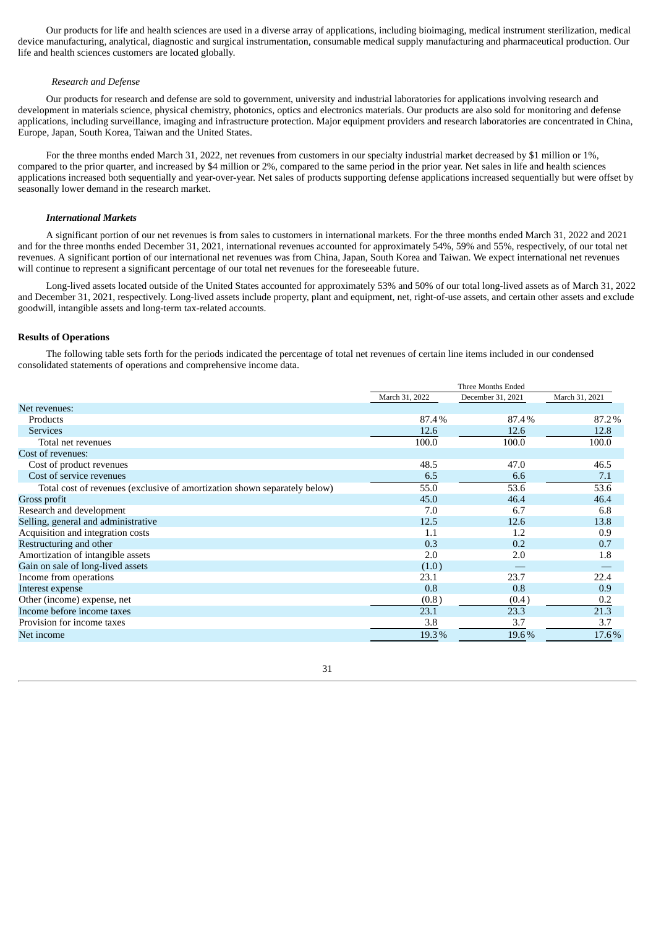Our products for life and health sciences are used in a diverse array of applications, including bioimaging, medical instrument sterilization, medical device manufacturing, analytical, diagnostic and surgical instrumentation, consumable medical supply manufacturing and pharmaceutical production. Our life and health sciences customers are located globally.

#### *Research and Defense*

Our products for research and defense are sold to government, university and industrial laboratories for applications involving research and development in materials science, physical chemistry, photonics, optics and electronics materials. Our products are also sold for monitoring and defense applications, including surveillance, imaging and infrastructure protection. Major equipment providers and research laboratories are concentrated in China, Europe, Japan, South Korea, Taiwan and the United States.

For the three months ended March 31, 2022, net revenues from customers in our specialty industrial market decreased by \$1 million or 1%, compared to the prior quarter, and increased by \$4 million or 2%, compared to the same period in the prior year. Net sales in life and health sciences applications increased both sequentially and year-over-year. Net sales of products supporting defense applications increased sequentially but were offset by seasonally lower demand in the research market.

#### *International Markets*

A significant portion of our net revenues is from sales to customers in international markets. For the three months ended March 31, 2022 and 2021 and for the three months ended December 31, 2021, international revenues accounted for approximately 54%, 59% and 55%, respectively, of our total net revenues. A significant portion of our international net revenues was from China, Japan, South Korea and Taiwan. We expect international net revenues will continue to represent a significant percentage of our total net revenues for the foreseeable future.

Long-lived assets located outside of the United States accounted for approximately 53% and 50% of our total long-lived assets as of March 31, 2022 and December 31, 2021, respectively. Long-lived assets include property, plant and equipment, net, right-of-use assets, and certain other assets and exclude goodwill, intangible assets and long-term tax-related accounts.

#### **Results of Operations**

The following table sets forth for the periods indicated the percentage of total net revenues of certain line items included in our condensed consolidated statements of operations and comprehensive income data.

|                                                                           | Three Months Ended |                   |                |  |  |
|---------------------------------------------------------------------------|--------------------|-------------------|----------------|--|--|
|                                                                           | March 31, 2022     | December 31, 2021 | March 31, 2021 |  |  |
| Net revenues:                                                             |                    |                   |                |  |  |
| Products                                                                  | 87.4%              | 87.4%             | 87.2%          |  |  |
| <b>Services</b>                                                           | 12.6               | 12.6              | 12.8           |  |  |
| Total net revenues                                                        | 100.0              | 100.0             | 100.0          |  |  |
| Cost of revenues:                                                         |                    |                   |                |  |  |
| Cost of product revenues                                                  | 48.5               | 47.0              | 46.5           |  |  |
| Cost of service revenues                                                  | 6.5                | 6.6               | 7.1            |  |  |
| Total cost of revenues (exclusive of amortization shown separately below) | 55.0               | 53.6              | 53.6           |  |  |
| Gross profit                                                              | 45.0               | 46.4              | 46.4           |  |  |
| Research and development                                                  | 7.0                | 6.7               | 6.8            |  |  |
| Selling, general and administrative                                       | 12.5               | 12.6              | 13.8           |  |  |
| Acquisition and integration costs                                         | 1.1                | 1.2               | 0.9            |  |  |
| Restructuring and other                                                   | 0.3                | 0.2               | 0.7            |  |  |
| Amortization of intangible assets                                         | 2.0                | 2.0               | 1.8            |  |  |
| Gain on sale of long-lived assets                                         | (1.0)              |                   |                |  |  |
| Income from operations                                                    | 23.1               | 23.7              | 22.4           |  |  |
| Interest expense                                                          | 0.8                | 0.8               | 0.9            |  |  |
| Other (income) expense, net                                               | (0.8)              | (0.4)             | 0.2            |  |  |
| Income before income taxes                                                | 23.1               | 23.3              | 21.3           |  |  |
| Provision for income taxes                                                | 3.8                | 3.7               | 3.7            |  |  |
| Net income                                                                | 19.3%              | 19.6%             | 17.6%          |  |  |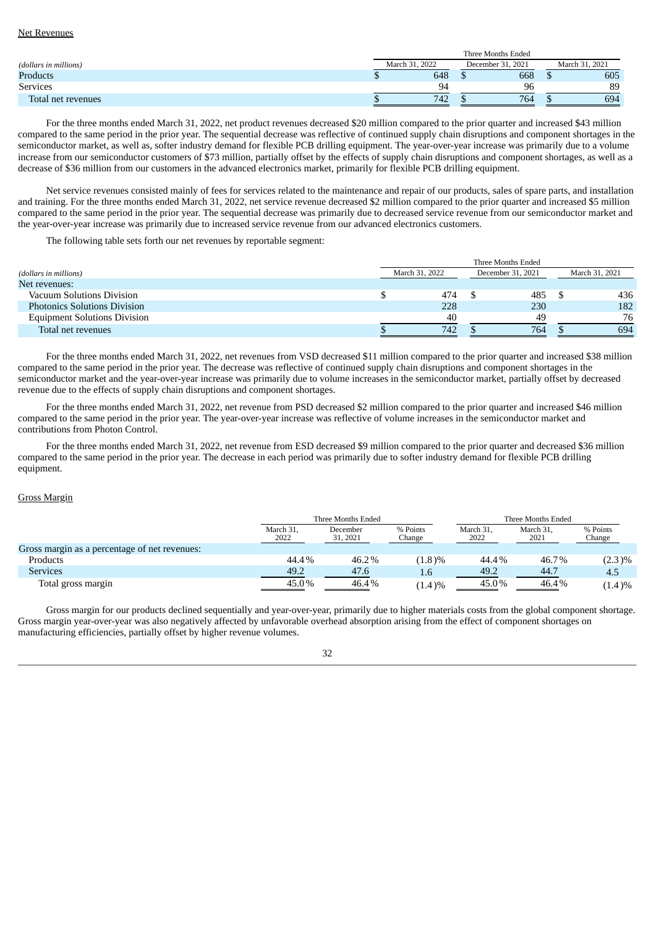#### Net Revenues

|                       | Three Months Ended                  |  |     |                |     |
|-----------------------|-------------------------------------|--|-----|----------------|-----|
| (dollars in millions) | March 31, 2022<br>December 31, 2021 |  |     | March 31, 2021 |     |
| Products              | 648                                 |  | 668 |                | 605 |
| <b>Services</b>       | 94                                  |  | 96  |                | 89  |
| Total net revenues    | 742                                 |  | 764 |                | 694 |

For the three months ended March 31, 2022, net product revenues decreased \$20 million compared to the prior quarter and increased \$43 million compared to the same period in the prior year. The sequential decrease was reflective of continued supply chain disruptions and component shortages in the semiconductor market, as well as, softer industry demand for flexible PCB drilling equipment. The year-over-year increase was primarily due to a volume increase from our semiconductor customers of \$73 million, partially offset by the effects of supply chain disruptions and component shortages, as well as a decrease of \$36 million from our customers in the advanced electronics market, primarily for flexible PCB drilling equipment.

Net service revenues consisted mainly of fees for services related to the maintenance and repair of our products, sales of spare parts, and installation and training. For the three months ended March 31, 2022, net service revenue decreased \$2 million compared to the prior quarter and increased \$5 million compared to the same period in the prior year. The sequential decrease was primarily due to decreased service revenue from our semiconductor market and the year-over-year increase was primarily due to increased service revenue from our advanced electronics customers.

The following table sets forth our net revenues by reportable segment:

|                                     | Three Months Ended |                |     |  |
|-------------------------------------|--------------------|----------------|-----|--|
| (dollars in millions)               | March 31, 2022     | March 31, 2021 |     |  |
| Net revenues:                       |                    |                |     |  |
| Vacuum Solutions Division           | 474                | 485            | 436 |  |
| <b>Photonics Solutions Division</b> | 228                | 230            | 182 |  |
| <b>Equipment Solutions Division</b> | 40                 | 49             | 76  |  |
| Total net revenues                  | 742                | 764            | 694 |  |

For the three months ended March 31, 2022, net revenues from VSD decreased \$11 million compared to the prior quarter and increased \$38 million compared to the same period in the prior year. The decrease was reflective of continued supply chain disruptions and component shortages in the semiconductor market and the year-over-year increase was primarily due to volume increases in the semiconductor market, partially offset by decreased revenue due to the effects of supply chain disruptions and component shortages.

For the three months ended March 31, 2022, net revenue from PSD decreased \$2 million compared to the prior quarter and increased \$46 million compared to the same period in the prior year. The year-over-year increase was reflective of volume increases in the semiconductor market and contributions from Photon Control.

For the three months ended March 31, 2022, net revenue from ESD decreased \$9 million compared to the prior quarter and decreased \$36 million compared to the same period in the prior year. The decrease in each period was primarily due to softer industry demand for flexible PCB drilling equipment.

#### Gross Margin

|                                               |                   | Three Months Ended   |                    |                   | Three Months Ended |                    |  |  |  |
|-----------------------------------------------|-------------------|----------------------|--------------------|-------------------|--------------------|--------------------|--|--|--|
|                                               | March 31,<br>2022 | December<br>31, 2021 | % Points<br>Change | March 31,<br>2022 | March 31,<br>2021  | % Points<br>Change |  |  |  |
| Gross margin as a percentage of net revenues: |                   |                      |                    |                   |                    |                    |  |  |  |
| Products                                      | 44.4%             | 46.2%                | $(1.8)\%$          | 44.4%             | 46.7%              | $(2.3)\%$          |  |  |  |
| <b>Services</b>                               | 49.2              | 47.6                 | 1.6                | 49.2              | 44.7               | 4.5                |  |  |  |
| Total gross margin                            | 45.0%             | 46.4%                | (1.4)%             | 45.0%             | 46.4%              | (1.4)%             |  |  |  |

Gross margin for our products declined sequentially and year-over-year, primarily due to higher materials costs from the global component shortage. Gross margin year-over-year was also negatively affected by unfavorable overhead absorption arising from the effect of component shortages on manufacturing efficiencies, partially offset by higher revenue volumes.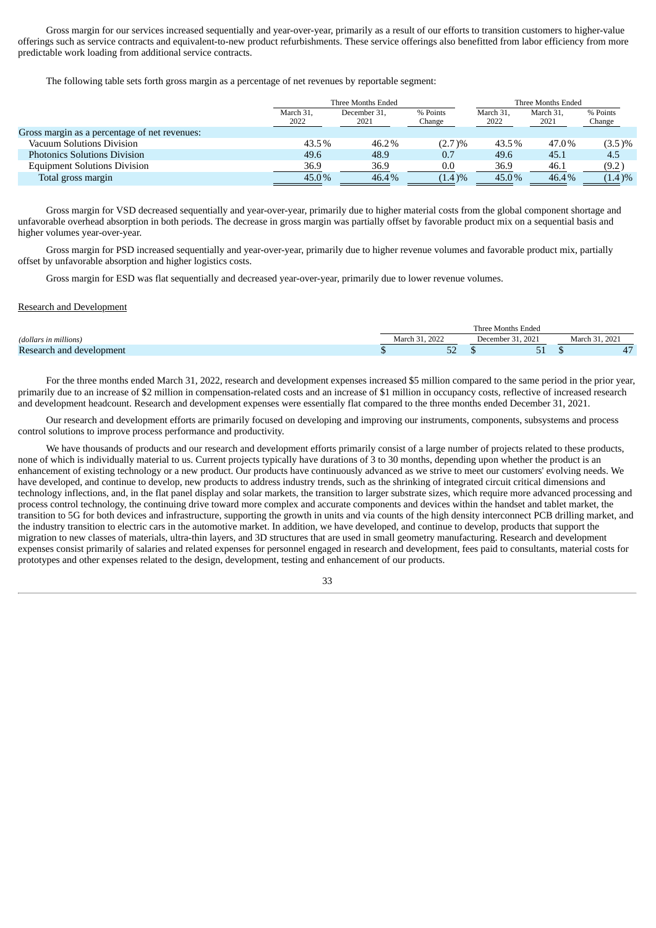Gross margin for our services increased sequentially and year-over-year, primarily as a result of our efforts to transition customers to higher-value offerings such as service contracts and equivalent-to-new product refurbishments. These service offerings also benefitted from labor efficiency from more predictable work loading from additional service contracts.

The following table sets forth gross margin as a percentage of net revenues by reportable segment:

|                                               |                   | Three Months Ended   |                    |                   | Three Months Ended |                    |
|-----------------------------------------------|-------------------|----------------------|--------------------|-------------------|--------------------|--------------------|
|                                               | March 31.<br>2022 | December 31.<br>2021 | % Points<br>Change | March 31,<br>2022 | March 31.<br>2021  | % Points<br>Change |
| Gross margin as a percentage of net revenues: |                   |                      |                    |                   |                    |                    |
| Vacuum Solutions Division                     | 43.5%             | 46.2%                | (2.7)%             | 43.5%             | 47.0%              | $(3.5)\%$          |
| <b>Photonics Solutions Division</b>           | 49.6              | 48.9                 | 0.7                | 49.6              | 45.1               | 4.5                |
| <b>Equipment Solutions Division</b>           | 36.9              | 36.9                 | 0.0                | 36.9              | 46.1               | (9.2)              |
| Total gross margin                            | 45.0%             | 46.4%                | $(1.4)\%$          | 45.0%             | 46.4%              | $(1.4)\%$          |

Gross margin for VSD decreased sequentially and year-over-year, primarily due to higher material costs from the global component shortage and unfavorable overhead absorption in both periods. The decrease in gross margin was partially offset by favorable product mix on a sequential basis and higher volumes year-over-year.

Gross margin for PSD increased sequentially and year-over-year, primarily due to higher revenue volumes and favorable product mix, partially offset by unfavorable absorption and higher logistics costs.

Gross margin for ESD was flat sequentially and decreased year-over-year, primarily due to lower revenue volumes.

#### Research and Development

|                          |          |                | Three Months Ended |                      |
|--------------------------|----------|----------------|--------------------|----------------------|
| (dollars in millions)    | March 31 | .2022          | December 31, 2021  | March 31, 2021       |
| Research and development |          | $\Gamma$<br>ےں | لدرب               | $\overline{ }$<br>4. |

For the three months ended March 31, 2022, research and development expenses increased \$5 million compared to the same period in the prior year, primarily due to an increase of \$2 million in compensation-related costs and an increase of \$1 million in occupancy costs, reflective of increased research and development headcount. Research and development expenses were essentially flat compared to the three months ended December 31, 2021.

Our research and development efforts are primarily focused on developing and improving our instruments, components, subsystems and process control solutions to improve process performance and productivity.

We have thousands of products and our research and development efforts primarily consist of a large number of projects related to these products, none of which is individually material to us. Current projects typically have durations of 3 to 30 months, depending upon whether the product is an enhancement of existing technology or a new product. Our products have continuously advanced as we strive to meet our customers' evolving needs. We have developed, and continue to develop, new products to address industry trends, such as the shrinking of integrated circuit critical dimensions and technology inflections, and, in the flat panel display and solar markets, the transition to larger substrate sizes, which require more advanced processing and process control technology, the continuing drive toward more complex and accurate components and devices within the handset and tablet market, the transition to 5G for both devices and infrastructure, supporting the growth in units and via counts of the high density interconnect PCB drilling market, and the industry transition to electric cars in the automotive market. In addition, we have developed, and continue to develop, products that support the migration to new classes of materials, ultra-thin layers, and 3D structures that are used in small geometry manufacturing. Research and development expenses consist primarily of salaries and related expenses for personnel engaged in research and development, fees paid to consultants, material costs for prototypes and other expenses related to the design, development, testing and enhancement of our products.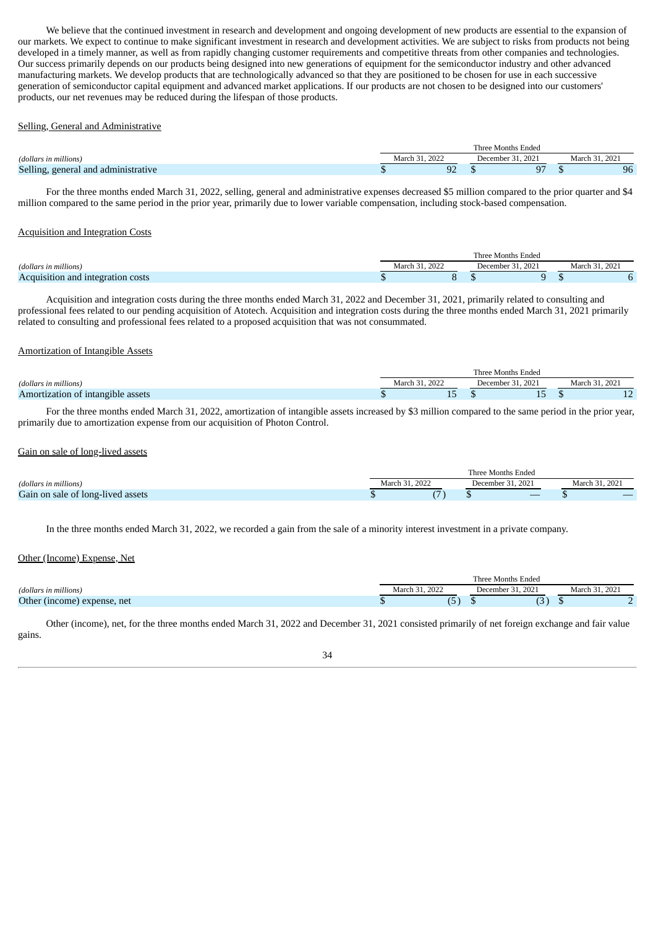We believe that the continued investment in research and development and ongoing development of new products are essential to the expansion of our markets. We expect to continue to make significant investment in research and development activities. We are subject to risks from products not being developed in a timely manner, as well as from rapidly changing customer requirements and competitive threats from other companies and technologies. Our success primarily depends on our products being designed into new generations of equipment for the semiconductor industry and other advanced manufacturing markets. We develop products that are technologically advanced so that they are positioned to be chosen for use in each successive generation of semiconductor capital equipment and advanced market applications. If our products are not chosen to be designed into our customers' products, our net revenues may be reduced during the lifespan of those products.

#### Selling, General and Administrative

|                                     | Three Months Ended |                |  |                   |                |
|-------------------------------------|--------------------|----------------|--|-------------------|----------------|
| (dollars in millions)               |                    | March 31, 2022 |  | December 31, 2021 | March 31, 2021 |
| Selling, general and administrative |                    | 92             |  |                   | 96             |

For the three months ended March 31, 2022, selling, general and administrative expenses decreased \$5 million compared to the prior quarter and \$4 million compared to the same period in the prior year, primarily due to lower variable compensation, including stock-based compensation.

#### Acquisition and Integration Costs

|                                   |                |  |  | Three Months Ended |                |  |
|-----------------------------------|----------------|--|--|--------------------|----------------|--|
| (dollars in millions)             | March 31, 2022 |  |  | December 31, 2021  | March 31, 2021 |  |
| Acquisition and integration costs |                |  |  |                    |                |  |

Acquisition and integration costs during the three months ended March 31, 2022 and December 31, 2021, primarily related to consulting and professional fees related to our pending acquisition of Atotech. Acquisition and integration costs during the three months ended March 31, 2021 primarily related to consulting and professional fees related to a proposed acquisition that was not consummated.

#### Amortization of Intangible Assets

|                                   |       |       | Three Months Ended  |              |
|-----------------------------------|-------|-------|---------------------|--------------|
| (dollars in millions)             | March | .2022 | 2021<br>December 31 | 2021<br>Marc |
| Amortization of intangible assets |       | ᆠ     | -                   | $\sim$<br>-- |

For the three months ended March 31, 2022, amortization of intangible assets increased by \$3 million compared to the same period in the prior year, primarily due to amortization expense from our acquisition of Photon Control.

# Gain on sale of long-lived assets

|                                   | Three Months Ended |  |                   |  |                |  |
|-----------------------------------|--------------------|--|-------------------|--|----------------|--|
| (dollars in millions)             | March 31, 2022     |  | December 31, 2021 |  | March 31, 2021 |  |
| Gain on sale of long-lived assets |                    |  |                   |  |                |  |

In the three months ended March 31, 2022, we recorded a gain from the sale of a minority interest investment in a private company.

#### Other (Income) Expense, Net

|                             |                | Three Months Ended |                |
|-----------------------------|----------------|--------------------|----------------|
| (dollars in millions)       | March 31, 2022 | December 31, 2021  | March 31, 2021 |
| Other (income) expense, net |                | $\sim$             |                |

Other (income), net, for the three months ended March 31, 2022 and December 31, 2021 consisted primarily of net foreign exchange and fair value gains.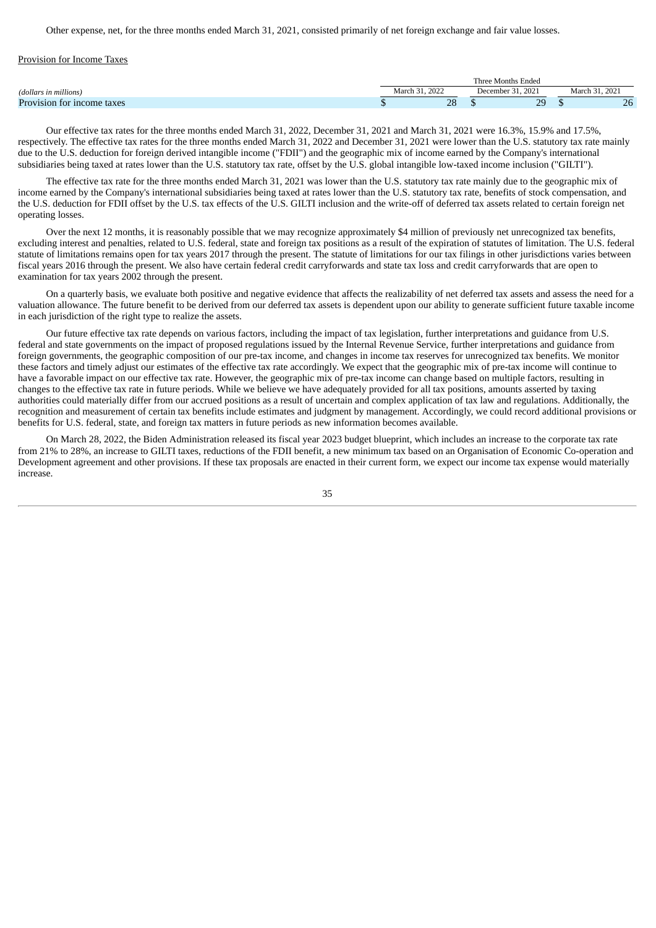#### Other expense, net, for the three months ended March 31, 2021, consisted primarily of net foreign exchange and fair value losses.

#### Provision for Income Taxes

|                            |                | Three Months Ended |              |
|----------------------------|----------------|--------------------|--------------|
| (dollars in millions)      | .2022<br>March | 2021<br>December 3 | 2021<br>Marc |
| Provision for income taxes | 28             | n<br>ر ے           | 26           |

Our effective tax rates for the three months ended March 31, 2022, December 31, 2021 and March 31, 2021 were 16.3%, 15.9% and 17.5%, respectively. The effective tax rates for the three months ended March 31, 2022 and December 31, 2021 were lower than the U.S. statutory tax rate mainly due to the U.S. deduction for foreign derived intangible income ("FDII") and the geographic mix of income earned by the Company's international subsidiaries being taxed at rates lower than the U.S. statutory tax rate, offset by the U.S. global intangible low-taxed income inclusion ("GILTI").

The effective tax rate for the three months ended March 31, 2021 was lower than the U.S. statutory tax rate mainly due to the geographic mix of income earned by the Company's international subsidiaries being taxed at rates lower than the U.S. statutory tax rate, benefits of stock compensation, and the U.S. deduction for FDII offset by the U.S. tax effects of the U.S. GILTI inclusion and the write-off of deferred tax assets related to certain foreign net operating losses.

Over the next 12 months, it is reasonably possible that we may recognize approximately \$4 million of previously net unrecognized tax benefits, excluding interest and penalties, related to U.S. federal, state and foreign tax positions as a result of the expiration of statutes of limitation. The U.S. federal statute of limitations remains open for tax years 2017 through the present. The statute of limitations for our tax filings in other jurisdictions varies between fiscal years 2016 through the present. We also have certain federal credit carryforwards and state tax loss and credit carryforwards that are open to examination for tax years 2002 through the present.

On a quarterly basis, we evaluate both positive and negative evidence that affects the realizability of net deferred tax assets and assess the need for a valuation allowance. The future benefit to be derived from our deferred tax assets is dependent upon our ability to generate sufficient future taxable income in each jurisdiction of the right type to realize the assets.

Our future effective tax rate depends on various factors, including the impact of tax legislation, further interpretations and guidance from U.S. federal and state governments on the impact of proposed regulations issued by the Internal Revenue Service, further interpretations and guidance from foreign governments, the geographic composition of our pre-tax income, and changes in income tax reserves for unrecognized tax benefits. We monitor these factors and timely adjust our estimates of the effective tax rate accordingly. We expect that the geographic mix of pre-tax income will continue to have a favorable impact on our effective tax rate. However, the geographic mix of pre-tax income can change based on multiple factors, resulting in changes to the effective tax rate in future periods. While we believe we have adequately provided for all tax positions, amounts asserted by taxing authorities could materially differ from our accrued positions as a result of uncertain and complex application of tax law and regulations. Additionally, the recognition and measurement of certain tax benefits include estimates and judgment by management. Accordingly, we could record additional provisions or benefits for U.S. federal, state, and foreign tax matters in future periods as new information becomes available.

On March 28, 2022, the Biden Administration released its fiscal year 2023 budget blueprint, which includes an increase to the corporate tax rate from 21% to 28%, an increase to GILTI taxes, reductions of the FDII benefit, a new minimum tax based on an Organisation of Economic Co-operation and Development agreement and other provisions. If these tax proposals are enacted in their current form, we expect our income tax expense would materially increase.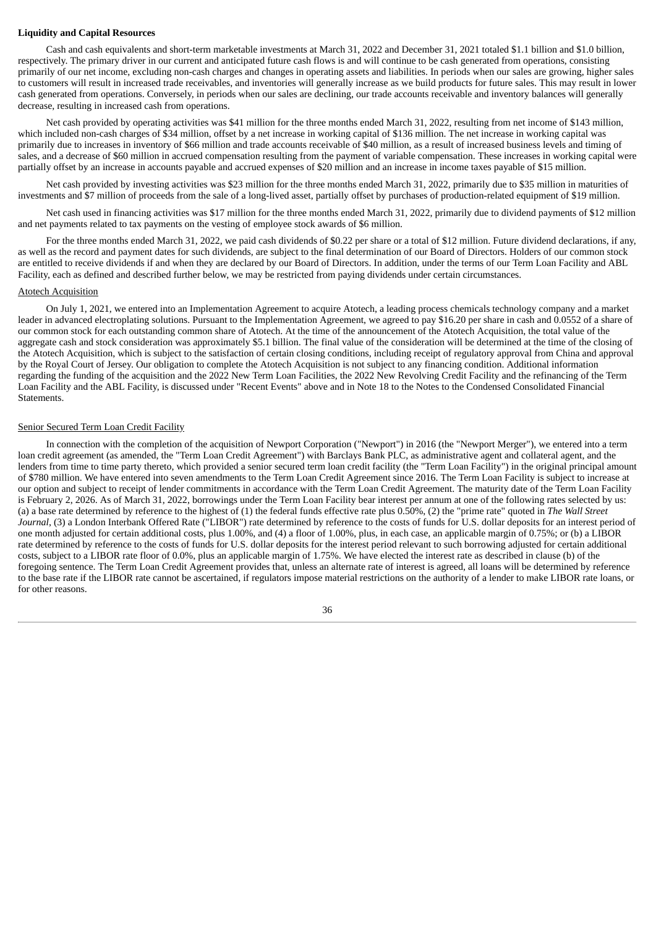#### **Liquidity and Capital Resources**

Cash and cash equivalents and short-term marketable investments at March 31, 2022 and December 31, 2021 totaled \$1.1 billion and \$1.0 billion, respectively. The primary driver in our current and anticipated future cash flows is and will continue to be cash generated from operations, consisting primarily of our net income, excluding non-cash charges and changes in operating assets and liabilities. In periods when our sales are growing, higher sales to customers will result in increased trade receivables, and inventories will generally increase as we build products for future sales. This may result in lower cash generated from operations. Conversely, in periods when our sales are declining, our trade accounts receivable and inventory balances will generally decrease, resulting in increased cash from operations.

Net cash provided by operating activities was \$41 million for the three months ended March 31, 2022, resulting from net income of \$143 million, which included non-cash charges of \$34 million, offset by a net increase in working capital of \$136 million. The net increase in working capital was primarily due to increases in inventory of \$66 million and trade accounts receivable of \$40 million, as a result of increased business levels and timing of sales, and a decrease of \$60 million in accrued compensation resulting from the payment of variable compensation. These increases in working capital were partially offset by an increase in accounts payable and accrued expenses of \$20 million and an increase in income taxes payable of \$15 million.

Net cash provided by investing activities was \$23 million for the three months ended March 31, 2022, primarily due to \$35 million in maturities of investments and \$7 million of proceeds from the sale of a long-lived asset, partially offset by purchases of production-related equipment of \$19 million.

Net cash used in financing activities was \$17 million for the three months ended March 31, 2022, primarily due to dividend payments of \$12 million and net payments related to tax payments on the vesting of employee stock awards of \$6 million.

For the three months ended March 31, 2022, we paid cash dividends of \$0.22 per share or a total of \$12 million. Future dividend declarations, if any, as well as the record and payment dates for such dividends, are subject to the final determination of our Board of Directors. Holders of our common stock are entitled to receive dividends if and when they are declared by our Board of Directors. In addition, under the terms of our Term Loan Facility and ABL Facility, each as defined and described further below, we may be restricted from paying dividends under certain circumstances.

#### Atotech Acquisition

On July 1, 2021, we entered into an Implementation Agreement to acquire Atotech, a leading process chemicals technology company and a market leader in advanced electroplating solutions. Pursuant to the Implementation Agreement, we agreed to pay \$16.20 per share in cash and 0.0552 of a share of our common stock for each outstanding common share of Atotech. At the time of the announcement of the Atotech Acquisition, the total value of the aggregate cash and stock consideration was approximately \$5.1 billion. The final value of the consideration will be determined at the time of the closing of the Atotech Acquisition, which is subject to the satisfaction of certain closing conditions, including receipt of regulatory approval from China and approval by the Royal Court of Jersey. Our obligation to complete the Atotech Acquisition is not subject to any financing condition. Additional information regarding the funding of the acquisition and the 2022 New Term Loan Facilities, the 2022 New Revolving Credit Facility and the refinancing of the Term Loan Facility and the ABL Facility, is discussed under "Recent Events" above and in Note 18 to the Notes to the Condensed Consolidated Financial Statements.

#### Senior Secured Term Loan Credit Facility

In connection with the completion of the acquisition of Newport Corporation ("Newport") in 2016 (the "Newport Merger"), we entered into a term loan credit agreement (as amended, the "Term Loan Credit Agreement") with Barclays Bank PLC, as administrative agent and collateral agent, and the lenders from time to time party thereto, which provided a senior secured term loan credit facility (the "Term Loan Facility") in the original principal amount of \$780 million. We have entered into seven amendments to the Term Loan Credit Agreement since 2016. The Term Loan Facility is subject to increase at our option and subject to receipt of lender commitments in accordance with the Term Loan Credit Agreement. The maturity date of the Term Loan Facility is February 2, 2026. As of March 31, 2022, borrowings under the Term Loan Facility bear interest per annum at one of the following rates selected by us: (a) a base rate determined by reference to the highest of (1) the federal funds effective rate plus 0.50%, (2) the "prime rate" quoted in *The Wall Street Journal*, (3) a London Interbank Offered Rate ("LIBOR") rate determined by reference to the costs of funds for U.S. dollar deposits for an interest period of one month adjusted for certain additional costs, plus 1.00%, and (4) a floor of 1.00%, plus, in each case, an applicable margin of 0.75%; or (b) a LIBOR rate determined by reference to the costs of funds for U.S. dollar deposits for the interest period relevant to such borrowing adjusted for certain additional costs, subject to a LIBOR rate floor of 0.0%, plus an applicable margin of 1.75%. We have elected the interest rate as described in clause (b) of the foregoing sentence. The Term Loan Credit Agreement provides that, unless an alternate rate of interest is agreed, all loans will be determined by reference to the base rate if the LIBOR rate cannot be ascertained, if regulators impose material restrictions on the authority of a lender to make LIBOR rate loans, or for other reasons.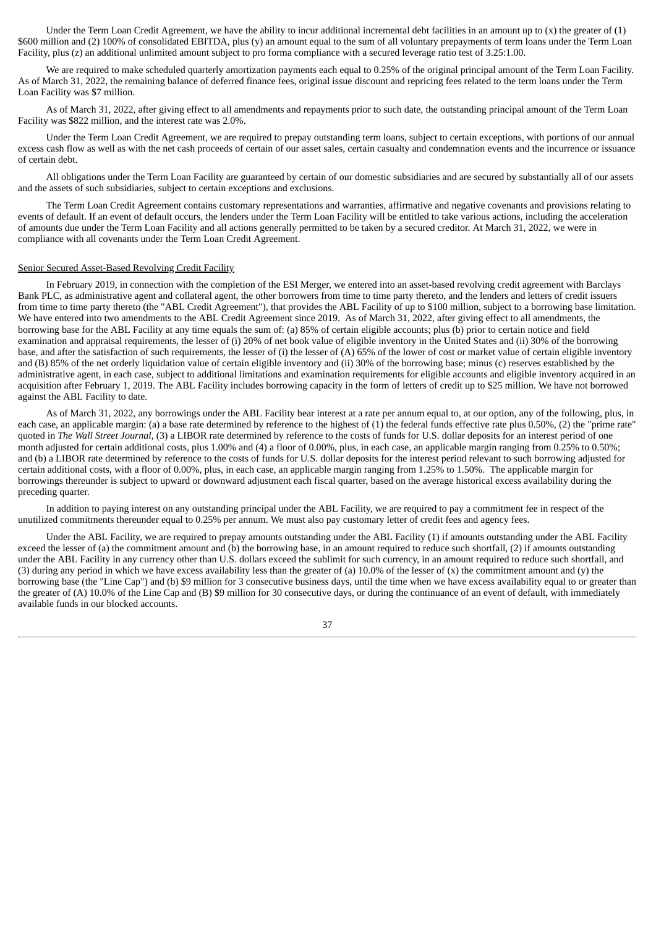Under the Term Loan Credit Agreement, we have the ability to incur additional incremental debt facilities in an amount up to  $(x)$  the greater of  $(1)$ \$600 million and (2) 100% of consolidated EBITDA, plus (y) an amount equal to the sum of all voluntary prepayments of term loans under the Term Loan Facility, plus (z) an additional unlimited amount subject to pro forma compliance with a secured leverage ratio test of 3.25:1.00.

We are required to make scheduled quarterly amortization payments each equal to 0.25% of the original principal amount of the Term Loan Facility. As of March 31, 2022, the remaining balance of deferred finance fees, original issue discount and repricing fees related to the term loans under the Term Loan Facility was \$7 million.

As of March 31, 2022, after giving effect to all amendments and repayments prior to such date, the outstanding principal amount of the Term Loan Facility was \$822 million, and the interest rate was 2.0%.

Under the Term Loan Credit Agreement, we are required to prepay outstanding term loans, subject to certain exceptions, with portions of our annual excess cash flow as well as with the net cash proceeds of certain of our asset sales, certain casualty and condemnation events and the incurrence or issuance of certain debt.

All obligations under the Term Loan Facility are guaranteed by certain of our domestic subsidiaries and are secured by substantially all of our assets and the assets of such subsidiaries, subject to certain exceptions and exclusions.

The Term Loan Credit Agreement contains customary representations and warranties, affirmative and negative covenants and provisions relating to events of default. If an event of default occurs, the lenders under the Term Loan Facility will be entitled to take various actions, including the acceleration of amounts due under the Term Loan Facility and all actions generally permitted to be taken by a secured creditor. At March 31, 2022, we were in compliance with all covenants under the Term Loan Credit Agreement.

#### Senior Secured Asset-Based Revolving Credit Facility

In February 2019, in connection with the completion of the ESI Merger, we entered into an asset-based revolving credit agreement with Barclays Bank PLC, as administrative agent and collateral agent, the other borrowers from time to time party thereto, and the lenders and letters of credit issuers from time to time party thereto (the "ABL Credit Agreement"), that provides the ABL Facility of up to \$100 million, subject to a borrowing base limitation. We have entered into two amendments to the ABL Credit Agreement since 2019. As of March 31, 2022, after giving effect to all amendments, the borrowing base for the ABL Facility at any time equals the sum of: (a) 85% of certain eligible accounts; plus (b) prior to certain notice and field examination and appraisal requirements, the lesser of (i) 20% of net book value of eligible inventory in the United States and (ii) 30% of the borrowing base, and after the satisfaction of such requirements, the lesser of (i) the lesser of (A) 65% of the lower of cost or market value of certain eligible inventory and (B) 85% of the net orderly liquidation value of certain eligible inventory and (ii) 30% of the borrowing base; minus (c) reserves established by the administrative agent, in each case, subject to additional limitations and examination requirements for eligible accounts and eligible inventory acquired in an acquisition after February 1, 2019. The ABL Facility includes borrowing capacity in the form of letters of credit up to \$25 million. We have not borrowed against the ABL Facility to date.

As of March 31, 2022, any borrowings under the ABL Facility bear interest at a rate per annum equal to, at our option, any of the following, plus, in each case, an applicable margin: (a) a base rate determined by reference to the highest of (1) the federal funds effective rate plus 0.50%, (2) the "prime rate" quoted in *The Wall Street Journal*, (3) a LIBOR rate determined by reference to the costs of funds for U.S. dollar deposits for an interest period of one month adjusted for certain additional costs, plus 1.00% and (4) a floor of 0.00%, plus, in each case, an applicable margin ranging from 0.25% to 0.50%; and (b) a LIBOR rate determined by reference to the costs of funds for U.S. dollar deposits for the interest period relevant to such borrowing adjusted for certain additional costs, with a floor of 0.00%, plus, in each case, an applicable margin ranging from 1.25% to 1.50%. The applicable margin for borrowings thereunder is subject to upward or downward adjustment each fiscal quarter, based on the average historical excess availability during the preceding quarter.

In addition to paying interest on any outstanding principal under the ABL Facility, we are required to pay a commitment fee in respect of the unutilized commitments thereunder equal to 0.25% per annum. We must also pay customary letter of credit fees and agency fees.

Under the ABL Facility, we are required to prepay amounts outstanding under the ABL Facility (1) if amounts outstanding under the ABL Facility exceed the lesser of (a) the commitment amount and (b) the borrowing base, in an amount required to reduce such shortfall, (2) if amounts outstanding under the ABL Facility in any currency other than U.S. dollars exceed the sublimit for such currency, in an amount required to reduce such shortfall, and (3) during any period in which we have excess availability less than the greater of (a) 10.0% of the lesser of (x) the commitment amount and (y) the borrowing base (the "Line Cap") and (b) \$9 million for 3 consecutive business days, until the time when we have excess availability equal to or greater than the greater of (A) 10.0% of the Line Cap and (B) \$9 million for 30 consecutive days, or during the continuance of an event of default, with immediately available funds in our blocked accounts.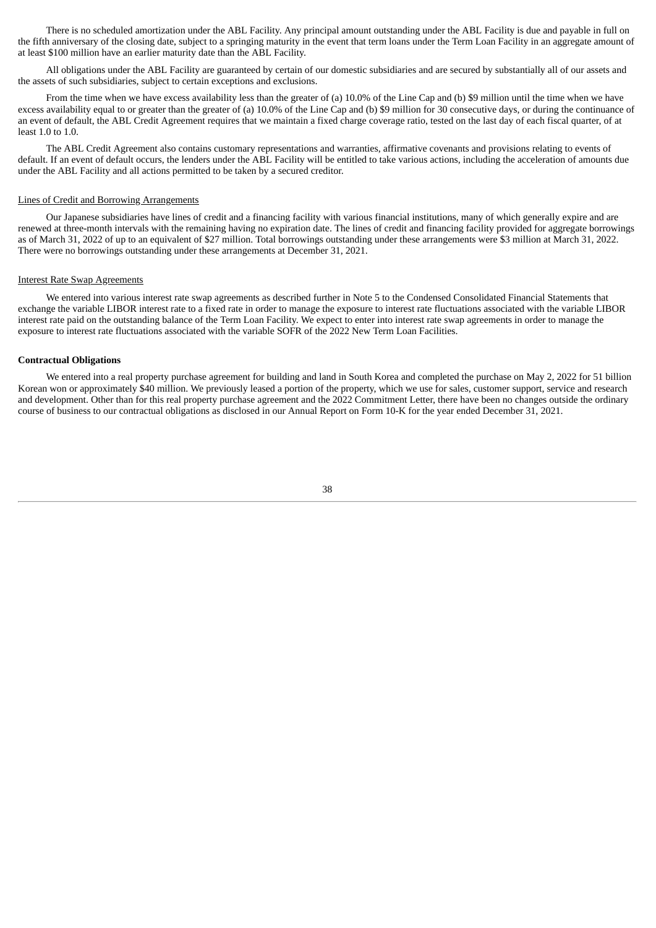There is no scheduled amortization under the ABL Facility. Any principal amount outstanding under the ABL Facility is due and payable in full on the fifth anniversary of the closing date, subject to a springing maturity in the event that term loans under the Term Loan Facility in an aggregate amount of at least \$100 million have an earlier maturity date than the ABL Facility.

All obligations under the ABL Facility are guaranteed by certain of our domestic subsidiaries and are secured by substantially all of our assets and the assets of such subsidiaries, subject to certain exceptions and exclusions.

From the time when we have excess availability less than the greater of (a) 10.0% of the Line Cap and (b) \$9 million until the time when we have excess availability equal to or greater than the greater of (a) 10.0% of the Line Cap and (b) \$9 million for 30 consecutive days, or during the continuance of an event of default, the ABL Credit Agreement requires that we maintain a fixed charge coverage ratio, tested on the last day of each fiscal quarter, of at least 1.0 to 1.0.

The ABL Credit Agreement also contains customary representations and warranties, affirmative covenants and provisions relating to events of default. If an event of default occurs, the lenders under the ABL Facility will be entitled to take various actions, including the acceleration of amounts due under the ABL Facility and all actions permitted to be taken by a secured creditor.

#### Lines of Credit and Borrowing Arrangements

Our Japanese subsidiaries have lines of credit and a financing facility with various financial institutions, many of which generally expire and are renewed at three-month intervals with the remaining having no expiration date. The lines of credit and financing facility provided for aggregate borrowings as of March 31, 2022 of up to an equivalent of \$27 million. Total borrowings outstanding under these arrangements were \$3 million at March 31, 2022. There were no borrowings outstanding under these arrangements at December 31, 2021.

#### Interest Rate Swap Agreements

We entered into various interest rate swap agreements as described further in Note 5 to the Condensed Consolidated Financial Statements that exchange the variable LIBOR interest rate to a fixed rate in order to manage the exposure to interest rate fluctuations associated with the variable LIBOR interest rate paid on the outstanding balance of the Term Loan Facility. We expect to enter into interest rate swap agreements in order to manage the exposure to interest rate fluctuations associated with the variable SOFR of the 2022 New Term Loan Facilities.

#### **Contractual Obligations**

We entered into a real property purchase agreement for building and land in South Korea and completed the purchase on May 2, 2022 for 51 billion Korean won or approximately \$40 million. We previously leased a portion of the property, which we use for sales, customer support, service and research and development. Other than for this real property purchase agreement and the 2022 Commitment Letter, there have been no changes outside the ordinary course of business to our contractual obligations as disclosed in our Annual Report on Form 10-K for the year ended December 31, 2021.

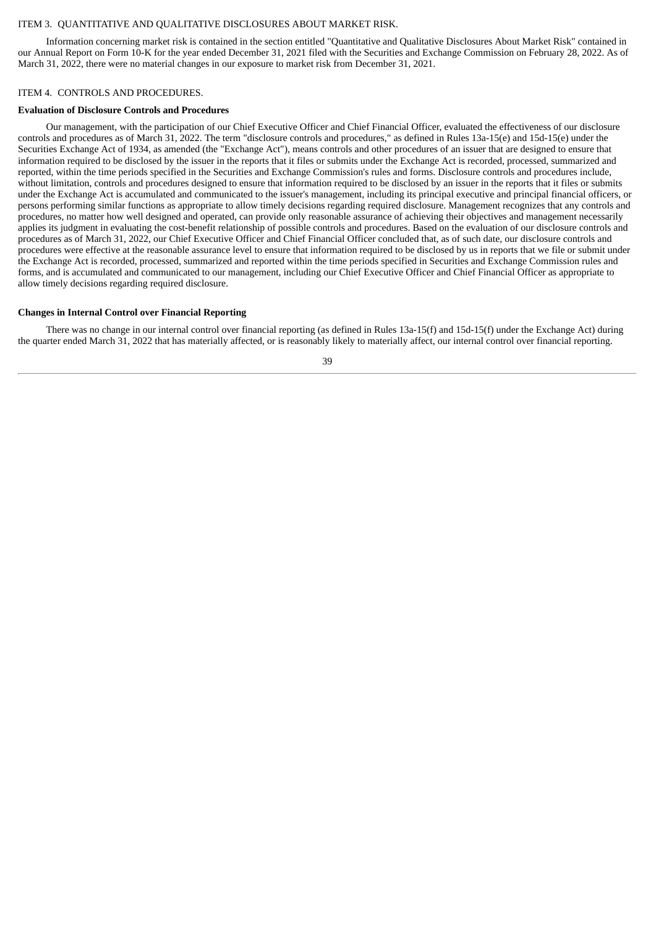#### <span id="page-38-0"></span>ITEM 3. QUANTITATIVE AND QUALITATIVE DISCLOSURES ABOUT MARKET RISK.

Information concerning market risk is contained in the section entitled "Quantitative and Qualitative Disclosures About Market Risk" contained in our Annual Report on Form 10-K for the year ended December 31, 2021 filed with the Securities and Exchange Commission on February 28, 2022. As of March 31, 2022, there were no material changes in our exposure to market risk from December 31, 2021.

#### <span id="page-38-1"></span>ITEM 4. CONTROLS AND PROCEDURES.

#### **Evaluation of Disclosure Controls and Procedures**

Our management, with the participation of our Chief Executive Officer and Chief Financial Officer, evaluated the effectiveness of our disclosure controls and procedures as of March 31, 2022. The term "disclosure controls and procedures," as defined in Rules 13a-15(e) and 15d-15(e) under the Securities Exchange Act of 1934, as amended (the "Exchange Act"), means controls and other procedures of an issuer that are designed to ensure that information required to be disclosed by the issuer in the reports that it files or submits under the Exchange Act is recorded, processed, summarized and reported, within the time periods specified in the Securities and Exchange Commission's rules and forms. Disclosure controls and procedures include, without limitation, controls and procedures designed to ensure that information required to be disclosed by an issuer in the reports that it files or submits under the Exchange Act is accumulated and communicated to the issuer's management, including its principal executive and principal financial officers, or persons performing similar functions as appropriate to allow timely decisions regarding required disclosure. Management recognizes that any controls and procedures, no matter how well designed and operated, can provide only reasonable assurance of achieving their objectives and management necessarily applies its judgment in evaluating the cost-benefit relationship of possible controls and procedures. Based on the evaluation of our disclosure controls and procedures as of March 31, 2022, our Chief Executive Officer and Chief Financial Officer concluded that, as of such date, our disclosure controls and procedures were effective at the reasonable assurance level to ensure that information required to be disclosed by us in reports that we file or submit under the Exchange Act is recorded, processed, summarized and reported within the time periods specified in Securities and Exchange Commission rules and forms, and is accumulated and communicated to our management, including our Chief Executive Officer and Chief Financial Officer as appropriate to allow timely decisions regarding required disclosure.

#### **Changes in Internal Control over Financial Reporting**

There was no change in our internal control over financial reporting (as defined in Rules 13a-15(f) and 15d-15(f) under the Exchange Act) during the quarter ended March 31, 2022 that has materially affected, or is reasonably likely to materially affect, our internal control over financial reporting.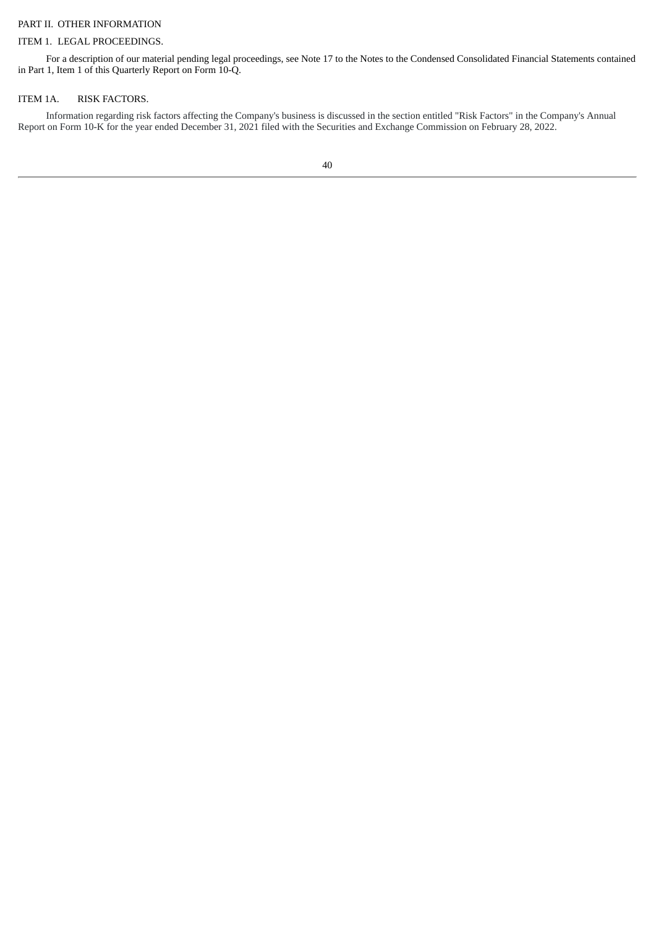# <span id="page-39-0"></span>PART II. OTHER INFORMATION

# <span id="page-39-1"></span>ITEM 1. LEGAL PROCEEDINGS.

For a description of our material pending legal proceedings, see Note 17 to the Notes to the Condensed Consolidated Financial Statements contained in Part 1, Item 1 of this Quarterly Report on Form 10-Q.

# <span id="page-39-2"></span>ITEM 1A. RISK FACTORS.

Information regarding risk factors affecting the Company's business is discussed in the section entitled "Risk Factors" in the Company's Annual Report on Form 10-K for the year ended December 31, 2021 filed with the Securities and Exchange Commission on February 28, 2022.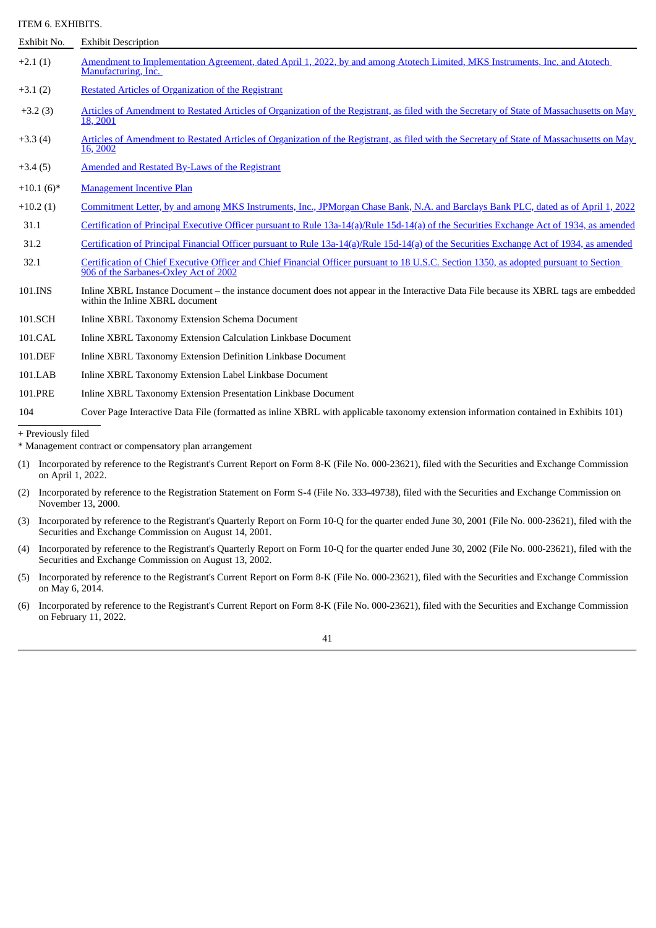#### <span id="page-40-0"></span>ITEM 6. EXHIBITS.

| Exhibit No.        | <b>Exhibit Description</b>                                                                                                                                                       |
|--------------------|----------------------------------------------------------------------------------------------------------------------------------------------------------------------------------|
| $+2.1(1)$          | Amendment to Implementation Agreement, dated April 1, 2022, by and among Atotech Limited, MKS Instruments, Inc. and Atotech<br>Manufacturing, Inc.                               |
| $+3.1(2)$          | <b>Restated Articles of Organization of the Registrant</b>                                                                                                                       |
| $+3.2(3)$          | Articles of Amendment to Restated Articles of Organization of the Registrant, as filed with the Secretary of State of Massachusetts on May<br>18, 2001                           |
| $+3.3(4)$          | Articles of Amendment to Restated Articles of Organization of the Registrant, as filed with the Secretary of State of Massachusetts on May<br>16, 2002                           |
| $+3.4(5)$          | <b>Amended and Restated By-Laws of the Registrant</b>                                                                                                                            |
| $+10.1(6)*$        | <b>Management Incentive Plan</b>                                                                                                                                                 |
| $+10.2(1)$         | Commitment Letter, by and among MKS Instruments, Inc., JPMorgan Chase Bank, N.A. and Barclays Bank PLC, dated as of April 1, 2022                                                |
| 31.1               | Certification of Principal Executive Officer pursuant to Rule 13a-14(a)/Rule 15d-14(a) of the Securities Exchange Act of 1934, as amended                                        |
| 31.2               | Certification of Principal Financial Officer pursuant to Rule 13a-14(a)/Rule 15d-14(a) of the Securities Exchange Act of 1934, as amended                                        |
| 32.1               | Certification of Chief Executive Officer and Chief Financial Officer pursuant to 18 U.S.C. Section 1350, as adopted pursuant to Section<br>906 of the Sarbanes-Oxley Act of 2002 |
| 101.INS            | Inline XBRL Instance Document - the instance document does not appear in the Interactive Data File because its XBRL tags are embedded<br>within the Inline XBRL document         |
| 101.SCH            | Inline XBRL Taxonomy Extension Schema Document                                                                                                                                   |
| 101.CAL            | Inline XBRL Taxonomy Extension Calculation Linkbase Document                                                                                                                     |
| 101.DEF            | Inline XBRL Taxonomy Extension Definition Linkbase Document                                                                                                                      |
| 101.LAB            | Inline XBRL Taxonomy Extension Label Linkbase Document                                                                                                                           |
| 101.PRE            | Inline XBRL Taxonomy Extension Presentation Linkbase Document                                                                                                                    |
| 104                | Cover Page Interactive Data File (formatted as inline XBRL with applicable taxonomy extension information contained in Exhibits 101)                                             |
| + Previously filed |                                                                                                                                                                                  |

\* Management contract or compensatory plan arrangement

(1) Incorporated by reference to the Registrant's Current Report on Form 8-K (File No. 000-23621), filed with the Securities and Exchange Commission on April 1, 2022.

(2) Incorporated by reference to the Registration Statement on Form S-4 (File No. 333-49738), filed with the Securities and Exchange Commission on November 13, 2000.

(3) Incorporated by reference to the Registrant's Quarterly Report on Form 10-Q for the quarter ended June 30, 2001 (File No. 000-23621), filed with the Securities and Exchange Commission on August 14, 2001.

(4) Incorporated by reference to the Registrant's Quarterly Report on Form 10-Q for the quarter ended June 30, 2002 (File No. 000-23621), filed with the Securities and Exchange Commission on August 13, 2002.

(5) Incorporated by reference to the Registrant's Current Report on Form 8-K (File No. 000-23621), filed with the Securities and Exchange Commission on May 6, 2014.

(6) Incorporated by reference to the Registrant's Current Report on Form 8-K (File No. 000-23621), filed with the Securities and Exchange Commission on February 11, 2022.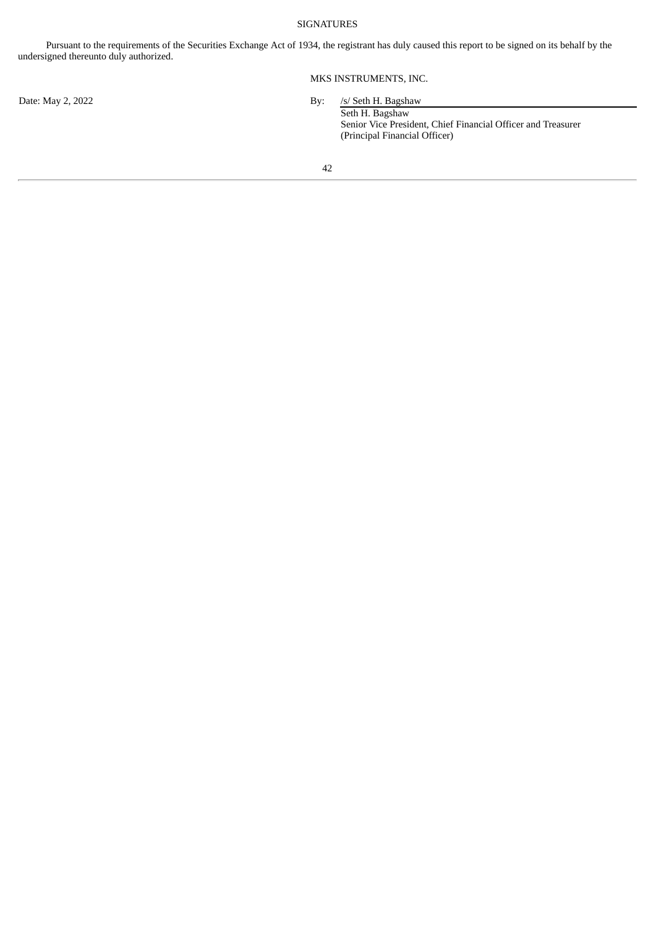# SIGNATURES

<span id="page-41-0"></span>Pursuant to the requirements of the Securities Exchange Act of 1934, the registrant has duly caused this report to be signed on its behalf by the undersigned thereunto duly authorized.

# MKS INSTRUMENTS, INC.

Date: May 2, 2022 By: /s/ Seth H. Bagshaw

Seth H. Bagshaw Senior Vice President, Chief Financial Officer and Treasurer (Principal Financial Officer)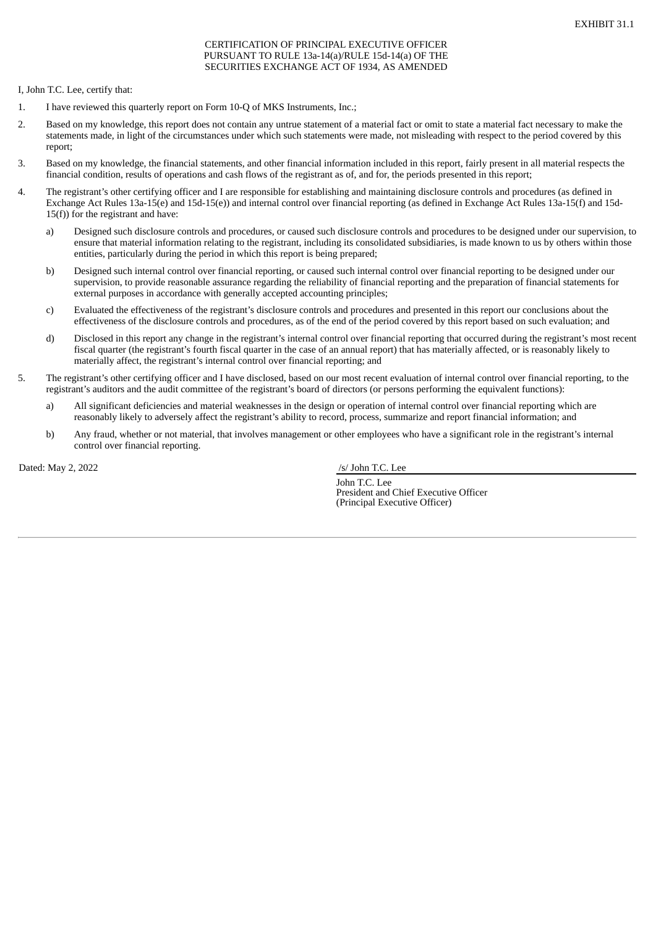# CERTIFICATION OF PRINCIPAL EXECUTIVE OFFICER PURSUANT TO RULE 13a-14(a)/RULE 15d-14(a) OF THE SECURITIES EXCHANGE ACT OF 1934, AS AMENDED

<span id="page-42-0"></span>I, John T.C. Lee, certify that:

- 1. I have reviewed this quarterly report on Form 10-Q of MKS Instruments, Inc.;
- 2. Based on my knowledge, this report does not contain any untrue statement of a material fact or omit to state a material fact necessary to make the statements made, in light of the circumstances under which such statements were made, not misleading with respect to the period covered by this report;
- 3. Based on my knowledge, the financial statements, and other financial information included in this report, fairly present in all material respects the financial condition, results of operations and cash flows of the registrant as of, and for, the periods presented in this report;
- 4. The registrant's other certifying officer and I are responsible for establishing and maintaining disclosure controls and procedures (as defined in Exchange Act Rules 13a-15(e) and 15d-15(e)) and internal control over financial reporting (as defined in Exchange Act Rules 13a-15(f) and 15d-15(f)) for the registrant and have:
	- a) Designed such disclosure controls and procedures, or caused such disclosure controls and procedures to be designed under our supervision, to ensure that material information relating to the registrant, including its consolidated subsidiaries, is made known to us by others within those entities, particularly during the period in which this report is being prepared;
	- b) Designed such internal control over financial reporting, or caused such internal control over financial reporting to be designed under our supervision, to provide reasonable assurance regarding the reliability of financial reporting and the preparation of financial statements for external purposes in accordance with generally accepted accounting principles;
	- c) Evaluated the effectiveness of the registrant's disclosure controls and procedures and presented in this report our conclusions about the effectiveness of the disclosure controls and procedures, as of the end of the period covered by this report based on such evaluation; and
	- d) Disclosed in this report any change in the registrant's internal control over financial reporting that occurred during the registrant's most recent fiscal quarter (the registrant's fourth fiscal quarter in the case of an annual report) that has materially affected, or is reasonably likely to materially affect, the registrant's internal control over financial reporting; and
- 5. The registrant's other certifying officer and I have disclosed, based on our most recent evaluation of internal control over financial reporting, to the registrant's auditors and the audit committee of the registrant's board of directors (or persons performing the equivalent functions):
	- a) All significant deficiencies and material weaknesses in the design or operation of internal control over financial reporting which are reasonably likely to adversely affect the registrant's ability to record, process, summarize and report financial information; and
	- b) Any fraud, whether or not material, that involves management or other employees who have a significant role in the registrant's internal control over financial reporting.

Dated: May 2, 2022 /s/ John T.C. Lee

John T.C. Lee President and Chief Executive Officer (Principal Executive Officer)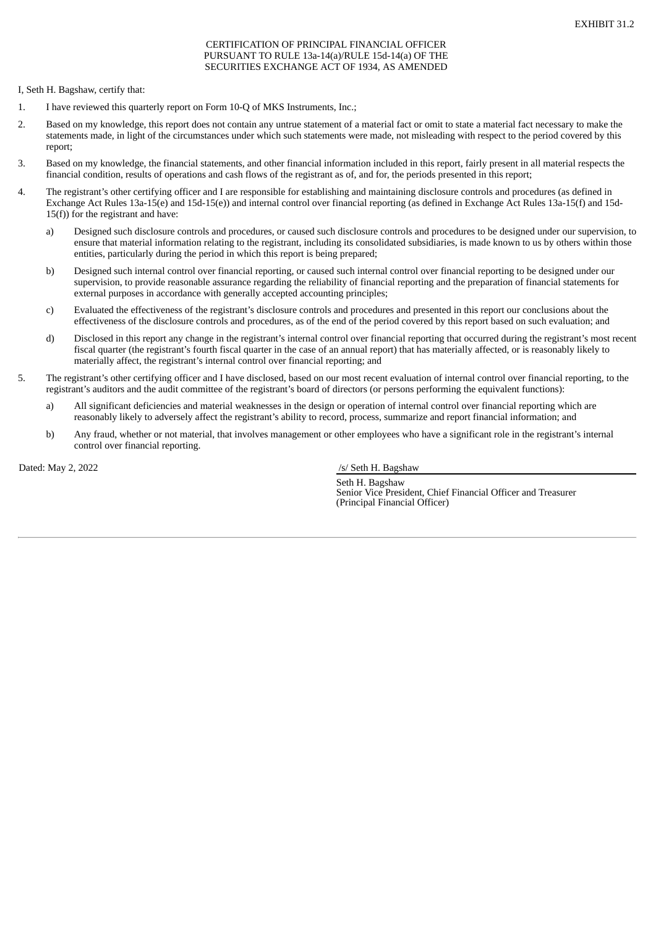# CERTIFICATION OF PRINCIPAL FINANCIAL OFFICER PURSUANT TO RULE 13a-14(a)/RULE 15d-14(a) OF THE SECURITIES EXCHANGE ACT OF 1934, AS AMENDED

<span id="page-43-0"></span>I, Seth H. Bagshaw, certify that:

- 1. I have reviewed this quarterly report on Form 10-Q of MKS Instruments, Inc.;
- 2. Based on my knowledge, this report does not contain any untrue statement of a material fact or omit to state a material fact necessary to make the statements made, in light of the circumstances under which such statements were made, not misleading with respect to the period covered by this report;
- 3. Based on my knowledge, the financial statements, and other financial information included in this report, fairly present in all material respects the financial condition, results of operations and cash flows of the registrant as of, and for, the periods presented in this report;
- 4. The registrant's other certifying officer and I are responsible for establishing and maintaining disclosure controls and procedures (as defined in Exchange Act Rules 13a-15(e) and 15d-15(e)) and internal control over financial reporting (as defined in Exchange Act Rules 13a-15(f) and 15d-15(f)) for the registrant and have:
	- a) Designed such disclosure controls and procedures, or caused such disclosure controls and procedures to be designed under our supervision, to ensure that material information relating to the registrant, including its consolidated subsidiaries, is made known to us by others within those entities, particularly during the period in which this report is being prepared;
	- b) Designed such internal control over financial reporting, or caused such internal control over financial reporting to be designed under our supervision, to provide reasonable assurance regarding the reliability of financial reporting and the preparation of financial statements for external purposes in accordance with generally accepted accounting principles;
	- c) Evaluated the effectiveness of the registrant's disclosure controls and procedures and presented in this report our conclusions about the effectiveness of the disclosure controls and procedures, as of the end of the period covered by this report based on such evaluation; and
	- d) Disclosed in this report any change in the registrant's internal control over financial reporting that occurred during the registrant's most recent fiscal quarter (the registrant's fourth fiscal quarter in the case of an annual report) that has materially affected, or is reasonably likely to materially affect, the registrant's internal control over financial reporting; and
- 5. The registrant's other certifying officer and I have disclosed, based on our most recent evaluation of internal control over financial reporting, to the registrant's auditors and the audit committee of the registrant's board of directors (or persons performing the equivalent functions):
	- a) All significant deficiencies and material weaknesses in the design or operation of internal control over financial reporting which are reasonably likely to adversely affect the registrant's ability to record, process, summarize and report financial information; and
	- b) Any fraud, whether or not material, that involves management or other employees who have a significant role in the registrant's internal control over financial reporting.

Dated: May 2, 2022 /s/ Seth H. Bagshaw

Seth H. Bagshaw Senior Vice President, Chief Financial Officer and Treasurer (Principal Financial Officer)